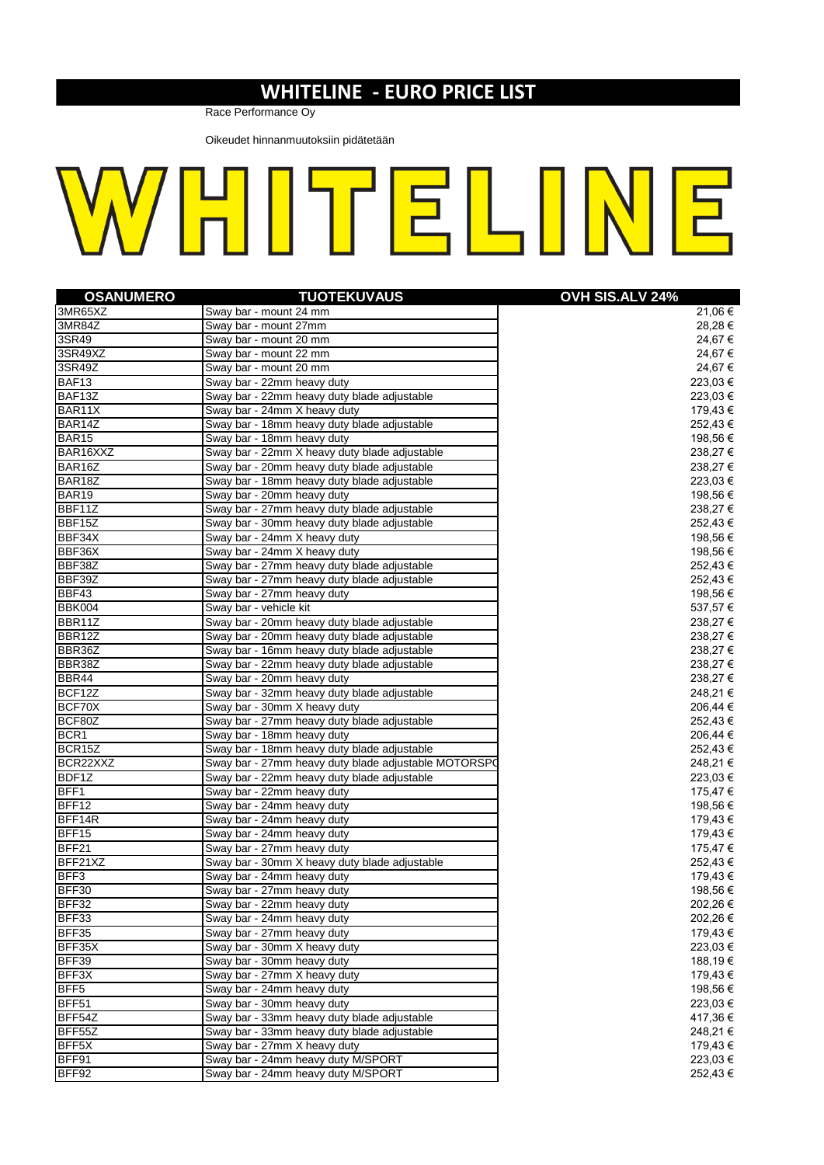## **WHITELINE - EURO PRICE LIST**

Race Performance Oy

Oikeudet hinnanmuutoksiin pidätetään

| WHITELINE |  |  |  |  |
|-----------|--|--|--|--|
|-----------|--|--|--|--|

| <b>OSANUMERO</b>    | <b>TUOTEKUVAUS</b>                                   | OVH SIS.ALV 24% |
|---------------------|------------------------------------------------------|-----------------|
| 3MR65XZ             | Sway bar - mount 24 mm                               | 21,06 €         |
| 3MR84Z              | Sway bar - mount 27mm                                | 28,28 €         |
| 3SR49               | Sway bar - mount 20 mm                               | 24,67 €         |
| 3SR49XZ             | Sway bar - mount 22 mm                               | 24,67€          |
| 3SR49Z              | Sway bar - mount 20 mm                               | 24,67€          |
| BAF13               | Sway bar - 22mm heavy duty                           | 223,03 €        |
| BAF13Z              | Sway bar - 22mm heavy duty blade adjustable          | 223,03 €        |
| BAR11X              | Sway bar - 24mm X heavy duty                         | 179,43 €        |
| BAR14Z              | Sway bar - 18mm heavy duty blade adjustable          | 252,43€         |
| <b>BAR15</b>        | Sway bar - 18mm heavy duty                           | 198,56€         |
| BAR16XXZ            | Sway bar - 22mm X heavy duty blade adjustable        | 238,27 €        |
| BAR16Z              | Sway bar - 20mm heavy duty blade adjustable          | 238,27 €        |
| BAR18Z              | Sway bar - 18mm heavy duty blade adjustable          | 223,03€         |
| BAR19               | Sway bar - 20mm heavy duty                           | 198,56€         |
| BBF11Z              | Sway bar - 27mm heavy duty blade adjustable          | 238,27€         |
| BBF15Z              | Sway bar - 30mm heavy duty blade adjustable          | 252,43€         |
| BBF34X              | Sway bar - 24mm X heavy duty                         | 198,56 €        |
| BBF36X              | Sway bar - 24mm X heavy duty                         | 198,56 €        |
| BBF38Z              | Sway bar - 27mm heavy duty blade adjustable          | 252,43€         |
| BBF39Z              | Sway bar - 27mm heavy duty blade adjustable          | 252,43€         |
| BBF43               | Sway bar - 27mm heavy duty                           | 198,56 €        |
| BBK004              | Sway bar - vehicle kit                               | 537,57€         |
| BBR11Z              | Sway bar - 20mm heavy duty blade adjustable          | 238,27 €        |
| BBR12Z              | Sway bar - 20mm heavy duty blade adjustable          | 238,27 €        |
| BBR36Z              | Sway bar - 16mm heavy duty blade adjustable          | 238,27 €        |
| BBR38Z              | Sway bar - 22mm heavy duty blade adjustable          | 238,27 €        |
| BBR44               | Sway bar - 20mm heavy duty                           | 238,27 €        |
| BCF12Z              | Sway bar - 32mm heavy duty blade adjustable          | 248,21€         |
| BCF70X              | Sway bar - 30mm X heavy duty                         | 206,44 €        |
| BCF80Z              | Sway bar - 27mm heavy duty blade adjustable          | 252,43 €        |
| BCR <sub>1</sub>    | Sway bar - 18mm heavy duty                           | 206,44 €        |
| BCR <sub>15</sub> Z | Sway bar - 18mm heavy duty blade adjustable          | 252,43€         |
| BCR22XXZ            | Sway bar - 27mm heavy duty blade adjustable MOTORSPO | 248,21 €        |
| BDF1Z               | Sway bar - 22mm heavy duty blade adjustable          | 223,03 €        |
| BFF1                | Sway bar - 22mm heavy duty                           | 175,47 €        |
| BFF12               | Sway bar - 24mm heavy duty                           | 198,56 €        |
| BFF14R              | Sway bar - 24mm heavy duty                           | 179,43 €        |
| BFF15               | Sway bar - 24mm heavy duty                           | 179,43 €        |
| BFF21               | Sway bar - 27mm heavy duty                           | 175,47 €        |
| BFF21XZ             | Sway bar - 30mm X heavy duty blade adjustable        | 252,43€         |
| BFF3                | Sway bar - 24mm heavy duty                           | 179,43 €        |
| BFF30               | Sway bar - 27mm heavy duty                           | 198,56€         |
| BFF32               | Sway bar - 22mm heavy duty                           | 202,26€         |
| BFF33               | Sway bar - 24mm heavy duty                           | 202,26 €        |
| BFF35               | Sway bar - 27mm heavy duty                           | 179,43 €        |
| BFF35X              | Sway bar - 30mm X heavy duty                         | 223,03 €        |
| BFF39               | Sway bar - 30mm heavy duty                           | 188,19€         |
| BFF3X               | Sway bar - 27mm X heavy duty                         | 179,43€         |
| BFF <sub>5</sub>    | Sway bar - 24mm heavy duty                           | 198,56 €        |
| BFF51               | Sway bar - 30mm heavy duty                           | 223,03 €        |
| BFF54Z              | Sway bar - 33mm heavy duty blade adjustable          | 417,36 €        |
| BFF55Z              | Sway bar - 33mm heavy duty blade adjustable          | 248,21 €        |
| BFF <sub>5</sub> X  | Sway bar - 27mm X heavy duty                         | 179,43 €        |
| BFF91               | Sway bar - 24mm heavy duty M/SPORT                   | 223,03 €        |
| BFF92               | Sway bar - 24mm heavy duty M/SPORT                   | 252,43 €        |
|                     |                                                      |                 |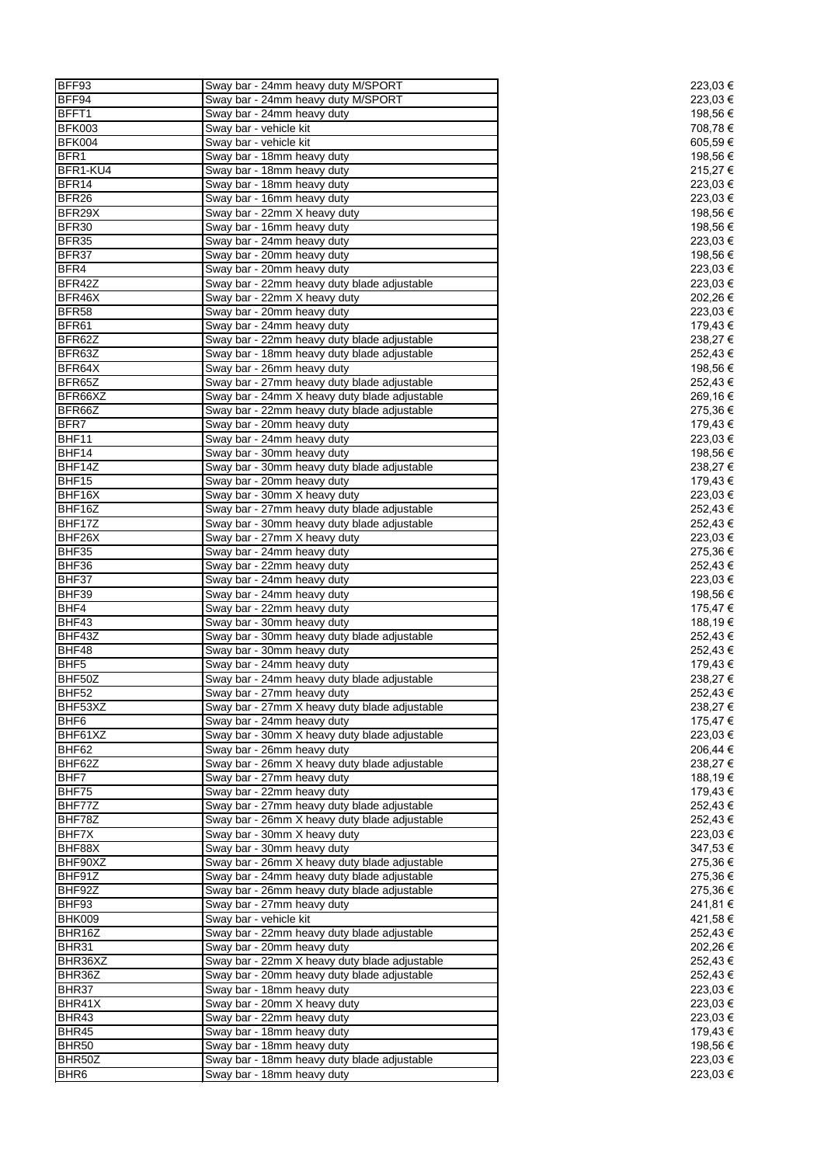| BFF93             | Sway bar - 24mm heavy duty M/SPORT            | 223,03 € |
|-------------------|-----------------------------------------------|----------|
| BFF94             | Sway bar - 24mm heavy duty M/SPORT            | 223,03 € |
| BFFT1             | Sway bar - 24mm heavy duty                    | 198,56 € |
|                   |                                               |          |
| <b>BFK003</b>     | Sway bar - vehicle kit                        | 708,78€  |
| <b>BFK004</b>     | Sway bar - vehicle kit                        | 605,59€  |
| BFR1              | Sway bar - 18mm heavy duty                    | 198,56 € |
| BFR1-KU4          | Sway bar - 18mm heavy duty                    | 215,27€  |
| BFR14             | Sway bar - 18mm heavy duty                    | 223,03 € |
| BFR <sub>26</sub> | Sway bar - 16mm heavy duty                    | 223,03€  |
| BFR29X            | Sway bar - 22mm X heavy duty                  | 198,56 € |
| BFR30             | Sway bar - 16mm heavy duty                    | 198,56 € |
| BFR35             | Sway bar - 24mm heavy duty                    | 223,03 € |
| BFR37             | Sway bar - 20mm heavy duty                    | 198,56 € |
| BFR4              | Sway bar - 20mm heavy duty                    | 223,03€  |
| BFR42Z            | Sway bar - 22mm heavy duty blade adjustable   | 223,03 € |
| BFR46X            |                                               |          |
|                   | Sway bar - 22mm X heavy duty                  | 202,26 € |
| <b>BFR58</b>      | Sway bar - 20mm heavy duty                    | 223,03 € |
| BFR61             | Sway bar - 24mm heavy duty                    | 179,43 € |
| BFR62Z            | Sway bar - 22mm heavy duty blade adjustable   | 238,27 € |
| BFR63Z            | Sway bar - 18mm heavy duty blade adjustable   | 252,43€  |
| BFR64X            | Sway bar - 26mm heavy duty                    | 198,56€  |
| BFR65Z            | Sway bar - 27mm heavy duty blade adjustable   | 252,43 € |
| BFR66XZ           | Sway bar - 24mm X heavy duty blade adjustable | 269,16€  |
| BFR66Z            | Sway bar - 22mm heavy duty blade adjustable   | 275,36€  |
| BFR7              | Sway bar - 20mm heavy duty                    | 179,43 € |
| BHF11             | Sway bar - 24mm heavy duty                    | 223,03 € |
| BHF14             | Sway bar - 30mm heavy duty                    | 198,56 € |
|                   |                                               |          |
| BHF14Z            | Sway bar - 30mm heavy duty blade adjustable   | 238,27€  |
| BHF15             | Sway bar - 20mm heavy duty                    | 179,43€  |
| BHF16X            | Sway bar - 30mm X heavy duty                  | 223,03 € |
| BHF16Z            | Sway bar - 27mm heavy duty blade adjustable   | 252,43€  |
| BHF17Z            | Sway bar - 30mm heavy duty blade adjustable   | 252,43 € |
| BHF26X            | Sway bar - 27mm X heavy duty                  | 223,03 € |
| BHF35             | Sway bar - 24mm heavy duty                    | 275,36 € |
| BHF36             | Sway bar - 22mm heavy duty                    | 252,43€  |
| BHF37             | Sway bar - 24mm heavy duty                    | 223,03 € |
| BHF39             | Sway bar - 24mm heavy duty                    | 198,56 € |
|                   |                                               |          |
| BHF4              | Sway bar - 22mm heavy duty                    | 175,47 € |
| BHF43             | Sway bar - 30mm heavy duty                    | 188,19€  |
| BHF43Z            | Sway bar - 30mm heavy duty blade adjustable   | 252,43€  |
| BHF48             | Sway bar - 30mm heavy duty                    | 252,43 € |
| BHF <sub>5</sub>  | Sway bar - 24mm heavy duty                    | 179,43 € |
| BHF50Z            | Sway bar - 24mm heavy duty blade adjustable   | 238,27 € |
| BHF52             | Sway bar - 27mm heavy duty                    | 252,43€  |
| BHF53XZ           | Sway bar - 27mm X heavy duty blade adjustable | 238,27€  |
| BHF <sub>6</sub>  | Sway bar - 24mm heavy duty                    | 175,47€  |
| BHF61XZ           | Sway bar - 30mm X heavy duty blade adjustable | 223,03 € |
| BHF62             | Sway bar - 26mm heavy duty                    | 206,44 € |
| BHF62Z            |                                               | 238,27€  |
|                   | Sway bar - 26mm X heavy duty blade adjustable |          |
| BHF7              | Sway bar - 27mm heavy duty                    | 188,19€  |
| BHF75             | Sway bar - 22mm heavy duty                    | 179,43 € |
| BHF77Z            | Sway bar - 27mm heavy duty blade adjustable   | 252,43€  |
| BHF78Z            | Sway bar - 26mm X heavy duty blade adjustable | 252,43€  |
| BHF7X             | Sway bar - 30mm X heavy duty                  | 223,03€  |
| BHF88X            | Sway bar - 30mm heavy duty                    | 347,53 € |
| BHF90XZ           | Sway bar - 26mm X heavy duty blade adjustable | 275,36€  |
| BHF91Z            | Sway bar - 24mm heavy duty blade adjustable   | 275,36€  |
| BHF92Z            | Sway bar - 26mm heavy duty blade adjustable   | 275,36€  |
| BHF93             | Sway bar - 27mm heavy duty                    | 241,81 € |
| <b>BHK009</b>     | Sway bar - vehicle kit                        | 421,58 € |
|                   |                                               |          |
| BHR16Z            | Sway bar - 22mm heavy duty blade adjustable   | 252,43€  |
| BHR31             | Sway bar - 20mm heavy duty                    | 202,26€  |
| BHR36XZ           | Sway bar - 22mm X heavy duty blade adjustable | 252,43€  |
| BHR36Z            | Sway bar - 20mm heavy duty blade adjustable   | 252,43€  |
| BHR37             | Sway bar - 18mm heavy duty                    | 223,03 € |
| BHR41X            | Sway bar - 20mm X heavy duty                  | 223,03 € |
| BHR43             | Sway bar - 22mm heavy duty                    | 223,03 € |
| BHR45             | Sway bar - 18mm heavy duty                    | 179,43 € |
| <b>BHR50</b>      | Sway bar - 18mm heavy duty                    | 198,56 € |
| BHR50Z            | Sway bar - 18mm heavy duty blade adjustable   | 223,03 € |
|                   |                                               |          |
| BHR <sub>6</sub>  | Sway bar - 18mm heavy duty                    | 223,03 € |

| 223,03 €                       |
|--------------------------------|
| 223,03 €                       |
| 198,56<br>708,78€              |
| 605,59€                        |
| 198,56€                        |
| 215,27€<br>223,03€             |
| 223,03€                        |
| 198,56<br>€<br>198,56 €        |
| 223,03<br>€                    |
| 198,56€                        |
| 223,03€<br>223,03€             |
| 202,26 €                       |
| 223,03€<br>179,43€             |
| 238,27<br>€                    |
| 252,43€<br>198,56 €            |
| 252,43<br>€                    |
| 269,16€                        |
| 275,36€<br>179,43€             |
| 223,03€                        |
| 198,56€                        |
| 238,27<br>€<br>179,43<br>€     |
| 223,03€                        |
| 252,43 €<br>252,43€            |
| 223,03€                        |
| 275,36 €                       |
| 252,43€<br>223,03€             |
| 198,56 €                       |
| 175,47€<br>188,19€             |
| 252,43€                        |
| 252,43€                        |
| 179,43€<br>238,27€             |
| 252,43<br>€                    |
| 238,27<br>€<br>75,47<br>1<br>€ |
| 223,03<br>€                    |
| 206,44<br>€                    |
| 238,27<br>€<br>188,19€         |
| 179,43€                        |
| 252,43<br>€<br>252,43<br>€     |
| 223,03 €                       |
| 347,53<br>€                    |
| 275,36€<br>275,36€             |
| 275,36<br>€                    |
| 241,81<br>€<br>421,58<br>€     |
| 252,43<br>€                    |
| 202,26<br>€                    |
| 252,43€<br>252,43 €            |
| 223,03 €                       |
| 223,03€<br>223,03€             |
| 179,43€                        |
| 198,56€<br>223,03 €            |
| 223,03€                        |
|                                |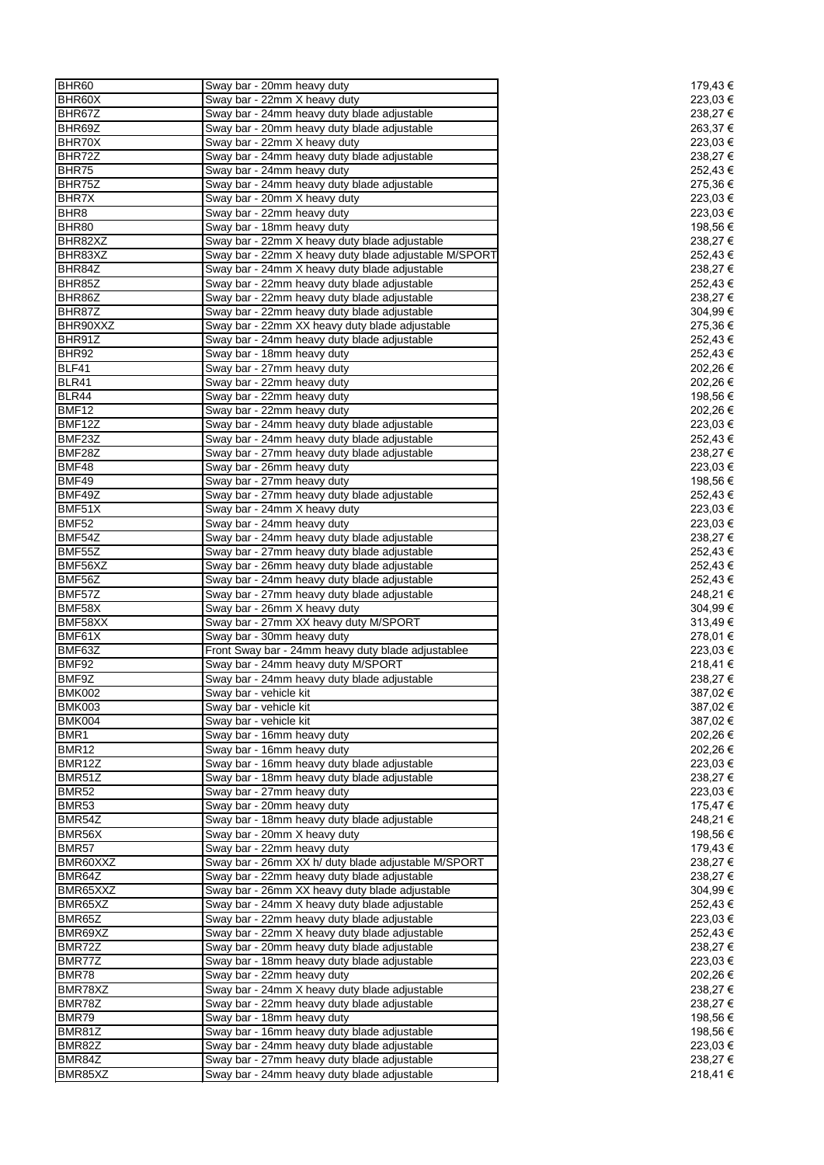| BHR60               | Sway bar - 20mm heavy duty                            | 179,43 €            |
|---------------------|-------------------------------------------------------|---------------------|
| BHR60X              | Sway bar - 22mm X heavy duty                          | 223,03 €            |
| BHR67Z              | Sway bar - 24mm heavy duty blade adjustable           | 238,27€             |
| BHR69Z              | Sway bar - 20mm heavy duty blade adjustable           | 263,37€             |
| BHR70X              | Sway bar - 22mm X heavy duty                          | 223,03 €            |
| BHR72Z              | Sway bar - 24mm heavy duty blade adjustable           | 238,27 €            |
| BHR75               | Sway bar - 24mm heavy duty                            | 252,43€             |
| BHR75Z              | Sway bar - 24mm heavy duty blade adjustable           | 275,36€             |
| BHR7X               | Sway bar - 20mm X heavy duty                          | 223,03 €            |
| BHR <sub>8</sub>    | Sway bar - 22mm heavy duty                            | 223,03 €            |
| BHR80               | Sway bar - 18mm heavy duty                            | 198,56 €            |
| BHR82XZ             | Sway bar - 22mm X heavy duty blade adjustable         | 238,27€             |
| BHR83XZ             | Sway bar - 22mm X heavy duty blade adjustable M/SPORT | 252,43€             |
| BHR84Z              | Sway bar - 24mm X heavy duty blade adjustable         | 238,27€             |
| BHR85Z              | Sway bar - 22mm heavy duty blade adjustable           | 252,43€             |
| BHR86Z              | Sway bar - 22mm heavy duty blade adjustable           | 238,27 €            |
| BHR87Z              | Sway bar - 22mm heavy duty blade adjustable           | 304,99 €            |
| BHR90XXZ            | Sway bar - 22mm XX heavy duty blade adjustable        | 275,36€             |
| BHR91Z              | Sway bar - 24mm heavy duty blade adjustable           | 252,43€             |
| BHR92               | Sway bar - 18mm heavy duty                            | 252,43€             |
| BLF41               | Sway bar - 27mm heavy duty                            | 202,26€             |
| <b>BLR41</b>        | Sway bar - 22mm heavy duty                            | 202,26€             |
| <b>BLR44</b>        | Sway bar - 22mm heavy duty                            | 198,56 €            |
| BMF12               | Sway bar - 22mm heavy duty                            | 202,26€             |
| BMF12Z              | Sway bar - 24mm heavy duty blade adjustable           | 223,03€             |
| BMF <sub>23</sub> Z | Sway bar - 24mm heavy duty blade adjustable           | 252,43€             |
| BMF28Z              | Sway bar - 27mm heavy duty blade adjustable           | 238,27€             |
| BMF48               | Sway bar - 26mm heavy duty                            | 223,03 €            |
| BMF49               | Sway bar - 27mm heavy duty                            | 198,56 €            |
| BMF49Z              |                                                       |                     |
| BMF51X              | Sway bar - 27mm heavy duty blade adjustable           | 252,43€<br>223,03 € |
|                     | Sway bar - 24mm X heavy duty                          |                     |
| <b>BMF52</b>        | Sway bar - 24mm heavy duty                            | 223,03 €            |
| BMF54Z              | Sway bar - 24mm heavy duty blade adjustable           | 238,27€             |
| BMF55Z              | Sway bar - 27mm heavy duty blade adjustable           | 252,43€             |
| BMF56XZ             | Sway bar - 26mm heavy duty blade adjustable           | 252,43€             |
| BMF56Z              | Sway bar - 24mm heavy duty blade adjustable           | 252,43€             |
| BMF57Z              | Sway bar - 27mm heavy duty blade adjustable           | 248,21€             |
| BMF58X              | Sway bar - 26mm X heavy duty                          | 304,99€             |
| BMF58XX             | Sway bar - 27mm XX heavy duty M/SPORT                 | 313,49€             |
| BMF61X              | Sway bar - 30mm heavy duty                            | 278,01 €            |
| BMF63Z              | Front Sway bar - 24mm heavy duty blade adjustablee    | 223,03 €            |
| <b>BMF92</b>        | Sway bar - 24mm heavy duty M/SPORT                    | 218,41€             |
| BMF9Z               | Sway bar - 24mm heavy duty blade adjustable           | 238,27€             |
| <b>BMK002</b>       | Sway bar - vehicle kit                                | 387,02€             |
| <b>BMK003</b>       | Sway bar - vehicle kit                                | 387,02 €            |
| <b>BMK004</b>       | Sway bar - vehicle kit                                | 387,02 €            |
| BMR1                | Sway bar - 16mm heavy duty                            | 202,26€             |
| <b>BMR12</b>        | Sway bar - 16mm heavy duty                            | 202,26€             |
| BMR12Z              | Sway bar - 16mm heavy duty blade adjustable           | 223,03 €            |
| BMR51Z              | Sway bar - 18mm heavy duty blade adjustable           | 238,27€             |
| <b>BMR52</b>        | Sway bar - 27mm heavy duty                            | 223,03 €            |
| <b>BMR53</b>        | Sway bar - 20mm heavy duty                            | 175,47€             |
| BMR54Z              | Sway bar - 18mm heavy duty blade adjustable           | 248,21€             |
| BMR56X              | Sway bar - 20mm X heavy duty                          | 198,56 €            |
| <b>BMR57</b>        | Sway bar - 22mm heavy duty                            | 179,43 €            |
| BMR60XXZ            | Sway bar - 26mm XX h/ duty blade adjustable M/SPORT   | 238,27€             |
| BMR64Z              | Sway bar - 22mm heavy duty blade adjustable           | 238,27 €            |
| BMR65XXZ            | Sway bar - 26mm XX heavy duty blade adjustable        | 304,99€             |
| BMR65XZ             | Sway bar - 24mm X heavy duty blade adjustable         | 252,43€             |
| BMR65Z              | Sway bar - 22mm heavy duty blade adjustable           | 223,03 €            |
| BMR69XZ             | Sway bar - 22mm X heavy duty blade adjustable         | 252,43€             |
| BMR72Z              | Sway bar - 20mm heavy duty blade adjustable           | 238,27 €            |
| BMR77Z              | Sway bar - 18mm heavy duty blade adjustable           | 223,03 €            |
| BMR78               | Sway bar - 22mm heavy duty                            | 202,26€             |
| BMR78XZ             | Sway bar - 24mm X heavy duty blade adjustable         | 238,27 €            |
| BMR78Z              | Sway bar - 22mm heavy duty blade adjustable           | 238,27€             |
| BMR79               | Sway bar - 18mm heavy duty                            | 198,56 €            |
| BMR81Z              | Sway bar - 16mm heavy duty blade adjustable           | 198,56 €            |
| BMR82Z              | Sway bar - 24mm heavy duty blade adjustable           | 223,03 €            |
| BMR84Z              |                                                       |                     |
|                     | Sway bar - 27mm heavy duty blade adjustable           | 238,27 €            |
| BMR85XZ             | Sway bar - 24mm heavy duty blade adjustable           | 218,41€             |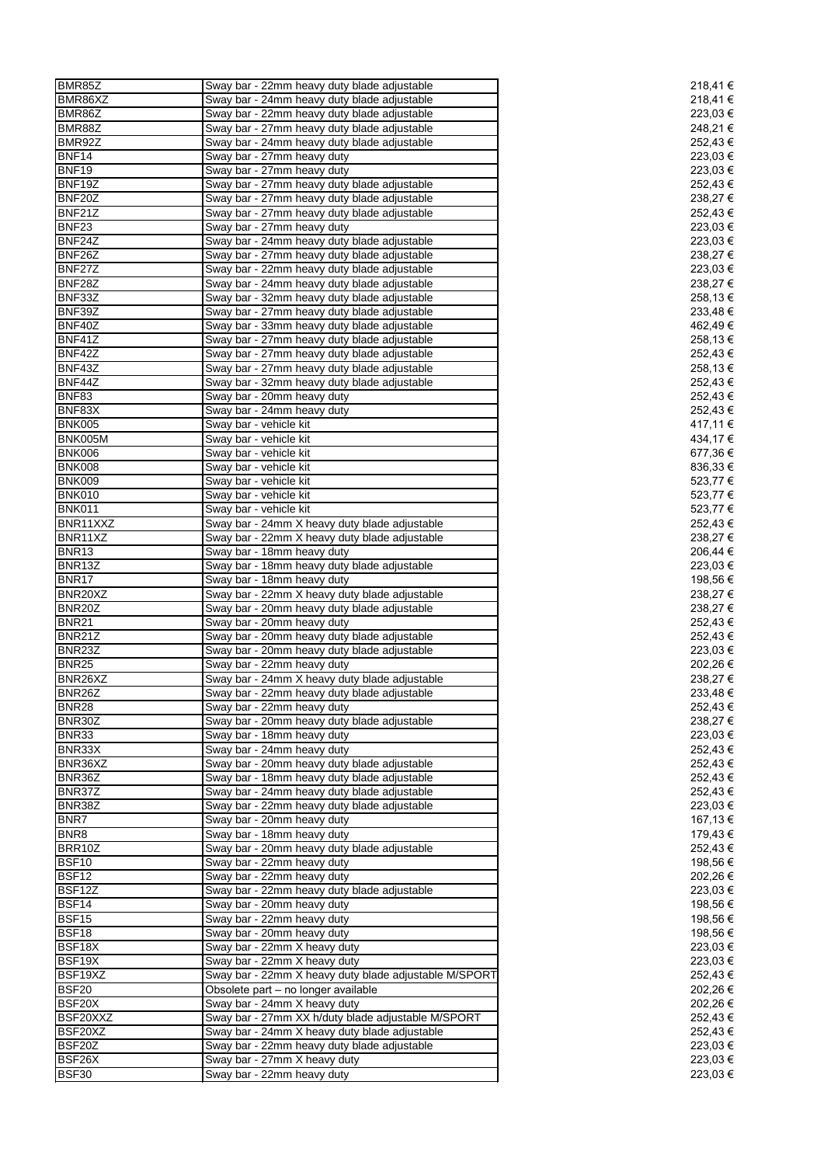| BMR85Z                 | Sway bar - 22mm heavy duty blade adjustable                | 218,41€              |
|------------------------|------------------------------------------------------------|----------------------|
| BMR86XZ                | Sway bar - 24mm heavy duty blade adjustable                | 218,41€              |
| BMR86Z                 | Sway bar - 22mm heavy duty blade adjustable                | 223,03 €             |
| BMR88Z                 | Sway bar - 27mm heavy duty blade adjustable                | 248,21 €             |
| BMR92Z                 |                                                            | 252,43€              |
|                        | Sway bar - 24mm heavy duty blade adjustable                |                      |
| <b>BNF14</b>           | Sway bar - 27mm heavy duty                                 | 223,03 €             |
| <b>BNF19</b>           | Sway bar - 27mm heavy duty                                 | 223,03 €             |
| BNF19Z                 | Sway bar - 27mm heavy duty blade adjustable                | 252,43 €             |
| BNF20Z                 | Sway bar - 27mm heavy duty blade adjustable                | 238,27 €             |
| BNF21Z                 | Sway bar - 27mm heavy duty blade adjustable                | 252,43 €             |
| BNF <sub>23</sub>      | Sway bar - 27mm heavy duty                                 | 223,03 €             |
| BNF24Z                 | Sway bar - 24mm heavy duty blade adjustable                | 223,03 €             |
|                        |                                                            |                      |
| BNF26Z                 | Sway bar - 27mm heavy duty blade adjustable                | 238,27 €             |
| BNF27Z                 | Sway bar - 22mm heavy duty blade adjustable                | 223,03 €             |
| BNF28Z                 | Sway bar - 24mm heavy duty blade adjustable                | 238,27 €             |
| BNF33Z                 | Sway bar - 32mm heavy duty blade adjustable                | 258,13€              |
| BNF39Z                 | Sway bar - 27mm heavy duty blade adjustable                | 233,48€              |
| BNF40Z                 | Sway bar - 33mm heavy duty blade adjustable                | 462,49€              |
| BNF41Z                 | Sway bar - 27mm heavy duty blade adjustable                | 258,13€              |
|                        |                                                            |                      |
| BNF42Z                 | Sway bar - 27mm heavy duty blade adjustable                | 252,43 €             |
| BNF43Z                 | Sway bar - 27mm heavy duty blade adjustable                | 258,13€              |
| BNF44Z                 | Sway bar - 32mm heavy duty blade adjustable                | 252,43 €             |
| <b>BNF83</b>           | Sway bar - 20mm heavy duty                                 | 252,43 €             |
| BNF83X                 | Sway bar - 24mm heavy duty                                 | 252,43 €             |
| <b>BNK005</b>          | Sway bar - vehicle kit                                     | 417,11 €             |
|                        |                                                            |                      |
| BNK005M                | Sway bar - vehicle kit                                     | 434,17€              |
| <b>BNK006</b>          | Sway bar - vehicle kit                                     | 677,36 €             |
| <b>BNK008</b>          | Sway bar - vehicle kit                                     | 836,33 €             |
| <b>BNK009</b>          | Sway bar - vehicle kit                                     | 523,77 €             |
| <b>BNK010</b>          | Sway bar - vehicle kit                                     | 523,77 €             |
| <b>BNK011</b>          | Sway bar - vehicle kit                                     | 523,77 €             |
| BNR11XXZ               |                                                            | 252,43 €             |
|                        | Sway bar - 24mm X heavy duty blade adjustable              |                      |
| BNR11XZ                | Sway bar - 22mm X heavy duty blade adjustable              | 238,27 €             |
| BNR <sub>13</sub>      | Sway bar - 18mm heavy duty                                 | 206,44 €             |
| BNR13Z                 | Sway bar - 18mm heavy duty blade adjustable                | 223,03 €             |
| BNR17                  | Sway bar - 18mm heavy duty                                 | 198,56 €             |
| BNR20XZ                | Sway bar - 22mm X heavy duty blade adjustable              | 238,27 €             |
| BNR20Z                 | Sway bar - 20mm heavy duty blade adjustable                | 238,27 €             |
|                        |                                                            |                      |
|                        |                                                            |                      |
| <b>BNR21</b>           | Sway bar - 20mm heavy duty                                 | 252,43 €             |
| BNR21Z                 | Sway bar - 20mm heavy duty blade adjustable                | 252,43 €             |
| BNR23Z                 | Sway bar - 20mm heavy duty blade adjustable                | 223,03 €             |
| <b>BNR25</b>           |                                                            | 202,26 €             |
|                        | Sway bar - 22mm heavy duty                                 |                      |
| BNR26XZ                | Sway bar - 24mm X heavy duty blade adjustable              | 238,27€              |
| BNR26Z                 | Sway bar - 22mm heavy duty blade adjustable                | 233,48€              |
| <b>BNR28</b>           | Sway bar - 22mm heavy duty                                 | 252,43 €             |
| BNR30Z                 | Sway bar - 20mm heavy duty blade adjustable                | 238,27 €             |
| BNR33                  | Sway bar - 18mm heavy duty                                 | 223,03€              |
| BNR33X                 | Sway bar - 24mm heavy duty                                 | 252,43€              |
|                        |                                                            | 252,43€              |
| BNR36XZ                | Sway bar - 20mm heavy duty blade adjustable                |                      |
| BNR36Z                 | Sway bar - 18mm heavy duty blade adjustable                | 252,43 €             |
| BNR37Z                 | Sway bar - 24mm heavy duty blade adjustable                | 252,43 €             |
| BNR38Z                 | Sway bar - 22mm heavy duty blade adjustable                | 223,03 €             |
| BNR7                   | Sway bar - 20mm heavy duty                                 | 167,13 €             |
| BNR8                   | Sway bar - 18mm heavy duty                                 | 179,43 €             |
| BRR10Z                 | Sway bar - 20mm heavy duty blade adjustable                | 252,43€              |
| BSF10                  | Sway bar - 22mm heavy duty                                 | 198,56 €             |
|                        |                                                            |                      |
| BSF12                  | Sway bar - 22mm heavy duty                                 | 202,26 €             |
| BSF12Z                 | Sway bar - 22mm heavy duty blade adjustable                | 223,03 €             |
| BSF14                  | Sway bar - 20mm heavy duty                                 | 198,56 €             |
| <b>BSF15</b>           | Sway bar - 22mm heavy duty                                 | 198,56 €             |
| BSF18                  | Sway bar - 20mm heavy duty                                 | 198,56 €             |
| BSF18X                 | Sway bar - 22mm X heavy duty                               | 223,03 €             |
|                        |                                                            |                      |
| BSF19X                 | Sway bar - 22mm X heavy duty                               | 223,03 €             |
| BSF19XZ                | Sway bar - 22mm X heavy duty blade adjustable M/SPORT      | 252,43 €             |
| <b>BSF20</b>           | Obsolete part - no longer available                        | 202,26 €             |
| BSF20X                 | Sway bar - 24mm X heavy duty                               | 202,26 €             |
| BSF20XXZ               | Sway bar - 27mm XX h/duty blade adjustable M/SPORT         | 252,43 €             |
| BSF20XZ                | Sway bar - 24mm X heavy duty blade adjustable              | 252,43 €             |
| BSF20Z                 |                                                            | 223,03 €             |
|                        | Sway bar - 22mm heavy duty blade adjustable                |                      |
| BSF26X<br><b>BSF30</b> | Sway bar - 27mm X heavy duty<br>Sway bar - 22mm heavy duty | 223,03 €<br>223,03 € |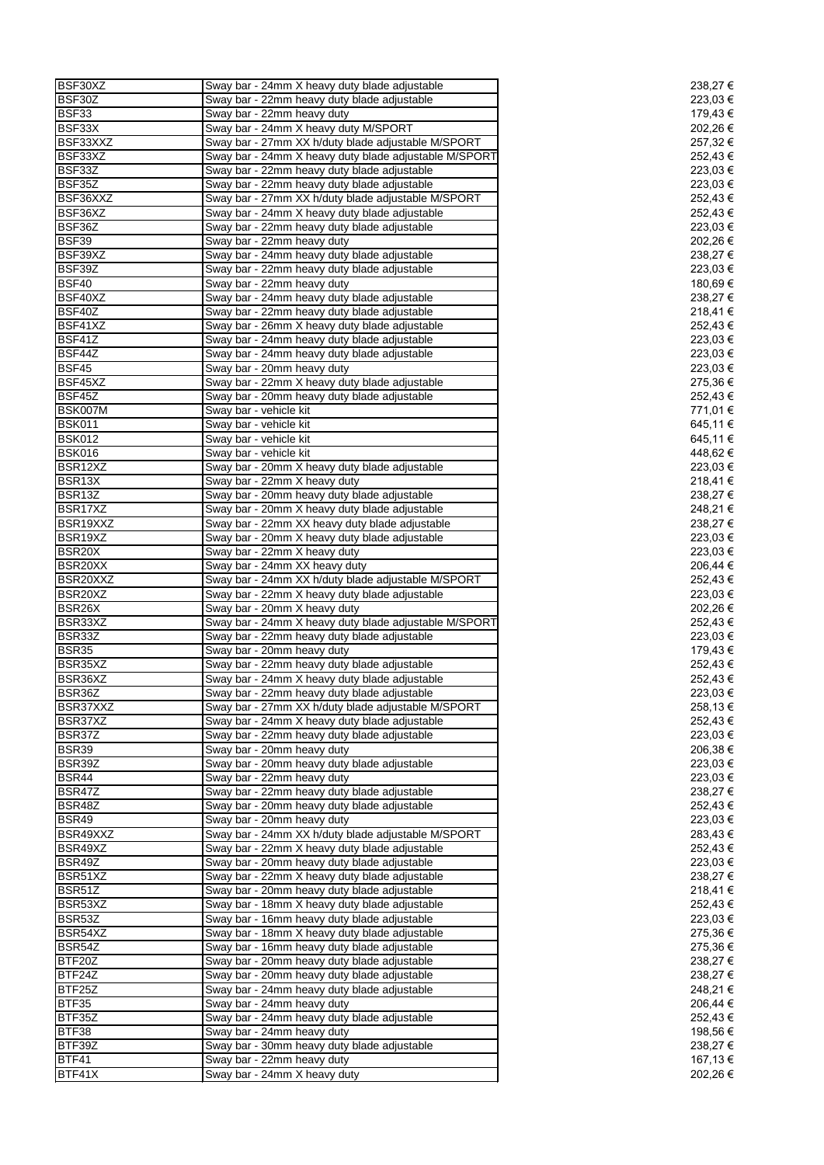| BSF30XZ             | Sway bar - 24mm X heavy duty blade adjustable         | 238,27 € |
|---------------------|-------------------------------------------------------|----------|
| BSF30Z              | Sway bar - 22mm heavy duty blade adjustable           | 223,03 € |
| BSF33               | Sway bar - 22mm heavy duty                            | 179,43 € |
| BSF33X              | Sway bar - 24mm X heavy duty M/SPORT                  | 202,26€  |
| BSF33XXZ            | Sway bar - 27mm XX h/duty blade adjustable M/SPORT    | 257,32€  |
| BSF33XZ             | Sway bar - 24mm X heavy duty blade adjustable M/SPORT | 252,43 € |
|                     |                                                       |          |
| BSF33Z              | Sway bar - 22mm heavy duty blade adjustable           | 223,03 € |
| BSF35Z              | Sway bar - 22mm heavy duty blade adjustable           | 223,03 € |
| BSF36XXZ            | Sway bar - 27mm XX h/duty blade adjustable M/SPORT    | 252,43 € |
| BSF36XZ             | Sway bar - 24mm X heavy duty blade adjustable         | 252,43€  |
| BSF36Z              | Sway bar - 22mm heavy duty blade adjustable           | 223,03 € |
| <b>BSF39</b>        | Sway bar - 22mm heavy duty                            | 202,26 € |
| BSF39XZ             | Sway bar - 24mm heavy duty blade adjustable           | 238,27 € |
| BSF39Z              | Sway bar - 22mm heavy duty blade adjustable           | 223,03 € |
| <b>BSF40</b>        | Sway bar - 22mm heavy duty                            | 180,69€  |
| BSF40XZ             | Sway bar - 24mm heavy duty blade adjustable           | 238,27 € |
|                     |                                                       |          |
| BSF40Z              | Sway bar - 22mm heavy duty blade adjustable           | 218,41 € |
| BSF41XZ             | Sway bar - 26mm X heavy duty blade adjustable         | 252,43 € |
| BSF41Z              | Sway bar - 24mm heavy duty blade adjustable           | 223,03 € |
| BSF44Z              | Sway bar - 24mm heavy duty blade adjustable           | 223,03 € |
| <b>BSF45</b>        | Sway bar - 20mm heavy duty                            | 223,03 € |
| BSF45XZ             | Sway bar - 22mm X heavy duty blade adjustable         | 275,36€  |
| BSF45Z              | Sway bar - 20mm heavy duty blade adjustable           | 252,43 € |
| BSK007M             | Sway bar - vehicle kit                                | 771,01 € |
| <b>BSK011</b>       | Sway bar - vehicle kit                                | 645,11€  |
| <b>BSK012</b>       | Sway bar - vehicle kit                                | 645,11 € |
|                     |                                                       |          |
| <b>BSK016</b>       | Sway bar - vehicle kit                                | 448,62€  |
| BSR12XZ             | Sway bar - 20mm X heavy duty blade adjustable         | 223,03 € |
| BSR13X              | Sway bar - 22mm X heavy duty                          | 218,41€  |
| BSR13Z              | Sway bar - 20mm heavy duty blade adjustable           | 238,27 € |
| BSR17XZ             | Sway bar - 20mm X heavy duty blade adjustable         | 248,21 € |
| BSR19XXZ            | Sway bar - 22mm XX heavy duty blade adjustable        | 238,27 € |
| BSR19XZ             | Sway bar - 20mm X heavy duty blade adjustable         | 223,03 € |
| BSR <sub>20</sub> X | Sway bar - 22mm X heavy duty                          | 223,03 € |
| BSR20XX             | Sway bar - 24mm XX heavy duty                         | 206,44 € |
|                     | Sway bar - 24mm XX h/duty blade adjustable M/SPORT    |          |
| BSR20XXZ            |                                                       | 252,43 € |
| BSR20XZ             | Sway bar - 22mm X heavy duty blade adjustable         | 223,03 € |
| BSR <sub>26</sub> X | Sway bar - 20mm X heavy duty                          | 202,26 € |
| BSR33XZ             | Sway bar - 24mm X heavy duty blade adjustable M/SPORT | 252,43€  |
| BSR33Z              | Sway bar - 22mm heavy duty blade adjustable           | 223,03 € |
| <b>BSR35</b>        | Sway bar - 20mm heavy duty                            | 179,43 € |
| BSR35XZ             | Sway bar - 22mm heavy duty blade adjustable           | 252,43 € |
| BSR36XZ             | Sway bar - 24mm X heavy duty blade adjustable         | 252,43 € |
| BSR36Z              | Sway bar - 22mm heavy duty blade adjustable           | 223,03€  |
| BSR37XXZ            | Sway bar - 27mm XX h/duty blade adjustable M/SPORT    | 258,13 € |
| BSR37XZ             | Sway bar - 24mm X heavy duty blade adjustable         | 252,43 € |
|                     |                                                       |          |
| BSR37Z              | Sway bar - 22mm heavy duty blade adjustable           | 223,03 € |
| <b>BSR39</b>        | Sway bar - 20mm heavy duty                            | 206,38 € |
| BSR39Z              | Sway bar - 20mm heavy duty blade adjustable           | 223,03 € |
| BSR44               | Sway bar - 22mm heavy duty                            | 223,03 € |
| BSR47Z              | Sway bar - 22mm heavy duty blade adjustable           | 238,27 € |
| BSR48Z              | Sway bar - 20mm heavy duty blade adjustable           | 252,43€  |
| <b>BSR49</b>        | Sway bar - 20mm heavy duty                            | 223,03 € |
| BSR49XXZ            | Sway bar - 24mm XX h/duty blade adjustable M/SPORT    | 283,43 € |
| BSR49XZ             | Sway bar - 22mm X heavy duty blade adjustable         | 252,43€  |
|                     | Sway bar - 20mm heavy duty blade adjustable           |          |
| BSR49Z              |                                                       | 223,03 € |
| BSR51XZ             | Sway bar - 22mm X heavy duty blade adjustable         | 238,27 € |
| BSR51Z              | Sway bar - 20mm heavy duty blade adjustable           | 218,41€  |
| BSR53XZ             | Sway bar - 18mm X heavy duty blade adjustable         | 252,43 € |
| BSR53Z              | Sway bar - 16mm heavy duty blade adjustable           | 223,03 € |
| BSR54XZ             | Sway bar - 18mm X heavy duty blade adjustable         | 275,36€  |
| BSR54Z              | Sway bar - 16mm heavy duty blade adjustable           | 275,36€  |
| BTF20Z              | Sway bar - 20mm heavy duty blade adjustable           | 238,27 € |
| BTF24Z              | Sway bar - 20mm heavy duty blade adjustable           | 238,27 € |
| BTF25Z              |                                                       | 248,21 € |
|                     | Sway bar - 24mm heavy duty blade adjustable           |          |
| BTF35               | Sway bar - 24mm heavy duty                            | 206,44 € |
| BTF35Z              | Sway bar - 24mm heavy duty blade adjustable           | 252,43 € |
| BTF38               | Sway bar - 24mm heavy duty                            | 198,56 € |
| BTF39Z              | Sway bar - 30mm heavy duty blade adjustable           | 238,27 € |
| BTF41               | Sway bar - 22mm heavy duty                            | 167,13 € |
| BTF41X              | Sway bar - 24mm X heavy duty                          | 202,26 € |
|                     |                                                       |          |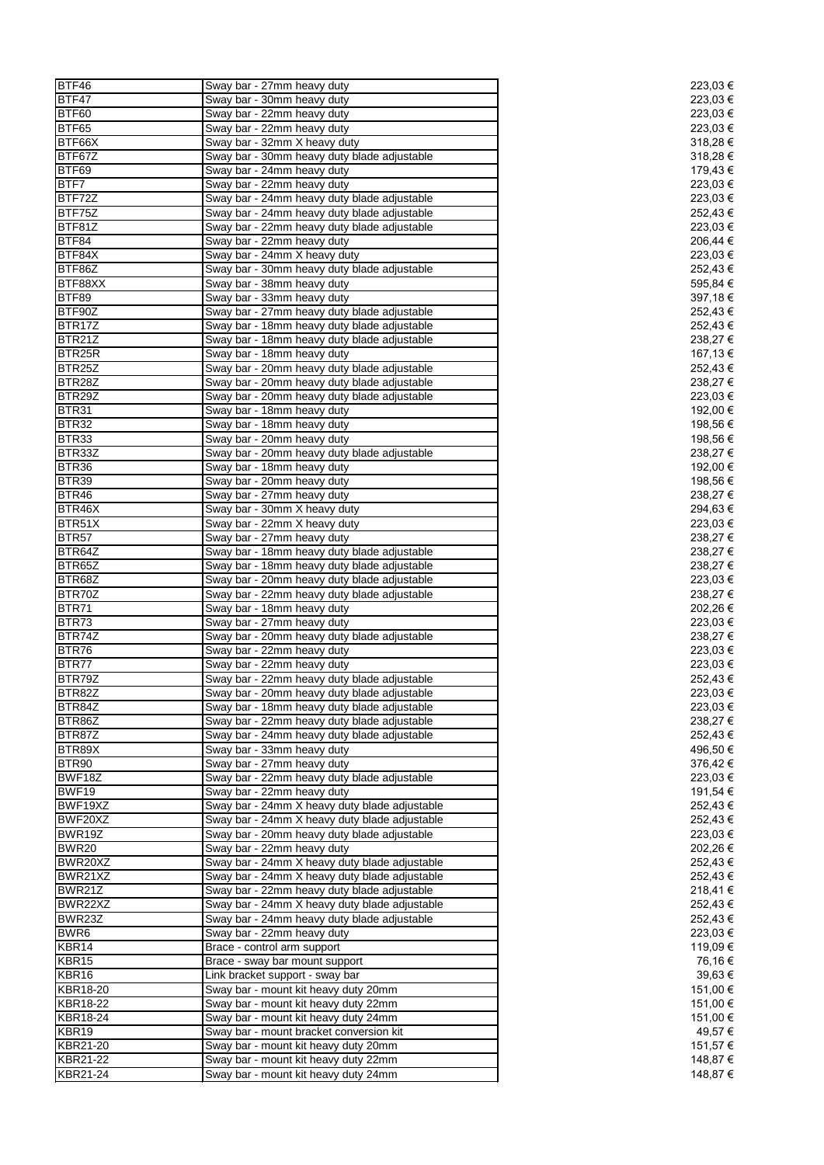| BTF46             | Sway bar - 27mm heavy duty                    | 223,03 € |
|-------------------|-----------------------------------------------|----------|
| BTF47             | Sway bar - 30mm heavy duty                    | 223,03 € |
| BTF60             | Sway bar - 22mm heavy duty                    | 223,03 € |
| BTF65             | Sway bar - 22mm heavy duty                    | 223,03 € |
| BTF66X            | Sway bar - 32mm X heavy duty                  | 318,28€  |
| BTF67Z            | Sway bar - 30mm heavy duty blade adjustable   | 318,28 € |
| BTF69             | Sway bar - 24mm heavy duty                    | 179,43€  |
| BTF7              | Sway bar - 22mm heavy duty                    | 223,03€  |
| BTF72Z            | Sway bar - 24mm heavy duty blade adjustable   | 223,03 € |
| BTF75Z            | Sway bar - 24mm heavy duty blade adjustable   | 252,43€  |
| BTF81Z            | Sway bar - 22mm heavy duty blade adjustable   | 223,03 € |
| BTF84             | Sway bar - 22mm heavy duty                    | 206,44 € |
| BTF84X            | Sway bar - 24mm X heavy duty                  | 223,03 € |
| BTF86Z            | Sway bar - 30mm heavy duty blade adjustable   | 252,43€  |
| BTF88XX           | Sway bar - 38mm heavy duty                    | 595,84 € |
| BTF89             | Sway bar - 33mm heavy duty                    | 397,18€  |
| BTF90Z            | Sway bar - 27mm heavy duty blade adjustable   | 252,43 € |
| BTR17Z            | Sway bar - 18mm heavy duty blade adjustable   | 252,43€  |
| BTR21Z            | Sway bar - 18mm heavy duty blade adjustable   | 238,27 € |
| BTR25R            | Sway bar - 18mm heavy duty                    | 167,13 € |
| BTR25Z            | Sway bar - 20mm heavy duty blade adjustable   | 252,43€  |
| BTR28Z            | Sway bar - 20mm heavy duty blade adjustable   | 238,27€  |
| BTR29Z            | Sway bar - 20mm heavy duty blade adjustable   | 223,03€  |
| BTR31             |                                               | 192,00 € |
| BTR32             | Sway bar - 18mm heavy duty                    |          |
|                   | Sway bar - 18mm heavy duty                    | 198,56 € |
| BTR33             | Sway bar - 20mm heavy duty                    | 198,56 € |
| BTR33Z            | Sway bar - 20mm heavy duty blade adjustable   | 238,27€  |
| BTR36             | Sway bar - 18mm heavy duty                    | 192,00 € |
| BTR39             | Sway bar - 20mm heavy duty                    | 198,56 € |
| BTR46             | Sway bar - 27mm heavy duty                    | 238,27 € |
| BTR46X            | Sway bar - 30mm X heavy duty                  | 294,63 € |
| BTR51X            | Sway bar - 22mm X heavy duty                  | 223,03 € |
| BTR <sub>57</sub> | Sway bar - 27mm heavy duty                    | 238,27 € |
| BTR64Z            | Sway bar - 18mm heavy duty blade adjustable   | 238,27€  |
| BTR65Z            | Sway bar - 18mm heavy duty blade adjustable   | 238,27 € |
| BTR68Z            | Sway bar - 20mm heavy duty blade adjustable   | 223,03 € |
| BTR70Z            | Sway bar - 22mm heavy duty blade adjustable   | 238,27€  |
| BTR71             | Sway bar - 18mm heavy duty                    | 202,26 € |
| BTR73             | Sway bar - 27mm heavy duty                    | 223,03€  |
| BTR74Z            | Sway bar - 20mm heavy duty blade adjustable   | 238,27€  |
| BTR76             | Sway bar - 22mm heavy duty                    | 223,03€  |
| BTR77             | Sway bar - 22mm heavy duty                    | 223,03 € |
| BTR79Z            | Sway bar - 22mm heavy duty blade adjustable   | 252,43€  |
| BTR82Z            | Sway bar - 20mm heavy duty blade adjustable   | 223,03 € |
| BTR84Z            | Sway bar - 18mm heavy duty blade adjustable   | 223,03 € |
| BTR86Z            | Sway bar - 22mm heavy duty blade adjustable   | 238,27€  |
| BTR87Z            | Sway bar - 24mm heavy duty blade adjustable   | 252,43€  |
| BTR89X            | Sway bar - 33mm heavy duty                    | 496,50 € |
| BTR90             | Sway bar - 27mm heavy duty                    | 376,42€  |
| BWF18Z            | Sway bar - 22mm heavy duty blade adjustable   | 223,03€  |
| BWF19             | Sway bar - 22mm heavy duty                    | 191,54 € |
| BWF19XZ           | Sway bar - 24mm X heavy duty blade adjustable | 252,43€  |
| BWF20XZ           | Sway bar - 24mm X heavy duty blade adjustable | 252,43€  |
| BWR19Z            | Sway bar - 20mm heavy duty blade adjustable   | 223,03 € |
| <b>BWR20</b>      | Sway bar - 22mm heavy duty                    | 202,26€  |
| BWR20XZ           | Sway bar - 24mm X heavy duty blade adjustable | 252,43€  |
| BWR21XZ           | Sway bar - 24mm X heavy duty blade adjustable | 252,43€  |
| BWR21Z            | Sway bar - 22mm heavy duty blade adjustable   | 218,41€  |
| BWR22XZ           | Sway bar - 24mm X heavy duty blade adjustable | 252,43 € |
| BWR23Z            | Sway bar - 24mm heavy duty blade adjustable   | 252,43 € |
| BWR <sub>6</sub>  | Sway bar - 22mm heavy duty                    | 223,03 € |
| KBR14             | Brace - control arm support                   | 119,09 € |
| KBR15             | Brace - sway bar mount support                | 76,16 €  |
| KBR16             |                                               | 39,63 €  |
| KBR18-20          | Link bracket support - sway bar               |          |
|                   | Sway bar - mount kit heavy duty 20mm          | 151,00 € |
| KBR18-22          | Sway bar - mount kit heavy duty 22mm          | 151,00 € |
| <b>KBR18-24</b>   | Sway bar - mount kit heavy duty 24mm          | 151,00 € |
| KBR19             | Sway bar - mount bracket conversion kit       | 49,57 €  |
| KBR21-20          | Sway bar - mount kit heavy duty 20mm          | 151,57 € |
| KBR21-22          | Sway bar - mount kit heavy duty 22mm          | 148,87 € |
| KBR21-24          | Sway bar - mount kit heavy duty 24mm          | 148,87 € |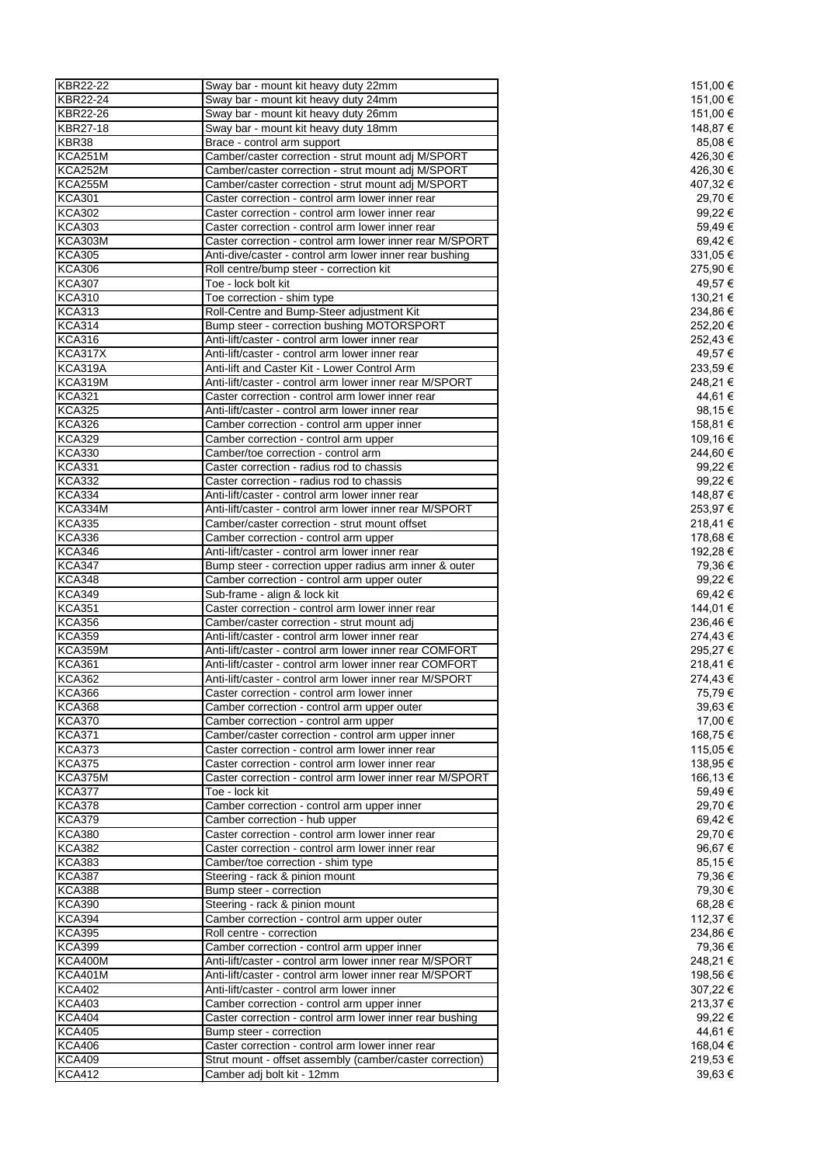| KBR22-22        | Sway bar - mount kit heavy duty 22mm                     | 151,00 € |
|-----------------|----------------------------------------------------------|----------|
| <b>KBR22-24</b> |                                                          |          |
|                 | Sway bar - mount kit heavy duty 24mm                     | 151,00 € |
| <b>KBR22-26</b> | Sway bar - mount kit heavy duty 26mm                     | 151,00 € |
| KBR27-18        | Sway bar - mount kit heavy duty 18mm                     | 148,87 € |
| KBR38           | Brace - control arm support                              | 85,08€   |
| KCA251M         | Camber/caster correction - strut mount adj M/SPORT       | 426,30 € |
| KCA252M         | Camber/caster correction - strut mount adj M/SPORT       | 426,30 € |
|                 |                                                          |          |
| KCA255M         | Camber/caster correction - strut mount adj M/SPORT       | 407,32 € |
| <b>KCA301</b>   | Caster correction - control arm lower inner rear         | 29,70 €  |
| <b>KCA302</b>   | Caster correction - control arm lower inner rear         | 99,22 €  |
| <b>KCA303</b>   | Caster correction - control arm lower inner rear         | 59,49€   |
| <b>KCA303M</b>  | Caster correction - control arm lower inner rear M/SPORT | 69,42 €  |
| <b>KCA305</b>   | Anti-dive/caster - control arm lower inner rear bushing  |          |
|                 |                                                          | 331,05 € |
| <b>KCA306</b>   | Roll centre/bump steer - correction kit                  | 275,90 € |
| <b>KCA307</b>   | Toe - lock bolt kit                                      | 49,57€   |
| <b>KCA310</b>   | Toe correction - shim type                               | 130,21 € |
| <b>KCA313</b>   | Roll-Centre and Bump-Steer adjustment Kit                | 234,86€  |
| <b>KCA314</b>   | Bump steer - correction bushing MOTORSPORT               | 252,20 € |
|                 |                                                          |          |
| <b>KCA316</b>   | Anti-lift/caster - control arm lower inner rear          | 252,43 € |
| <b>KCA317X</b>  | Anti-lift/caster - control arm lower inner rear          | 49,57 €  |
| KCA319A         | Anti-lift and Caster Kit - Lower Control Arm             | 233,59€  |
| KCA319M         | Anti-lift/caster - control arm lower inner rear M/SPORT  | 248,21 € |
| <b>KCA321</b>   | Caster correction - control arm lower inner rear         | 44,61 €  |
|                 |                                                          |          |
| <b>KCA325</b>   | Anti-lift/caster - control arm lower inner rear          | 98,15 €  |
| <b>KCA326</b>   | Camber correction - control arm upper inner              | 158,81 € |
| <b>KCA329</b>   | Camber correction - control arm upper                    | 109,16 € |
| <b>KCA330</b>   | Camber/toe correction - control arm                      | 244,60 € |
| <b>KCA331</b>   | Caster correction - radius rod to chassis                | 99,22 €  |
| <b>KCA332</b>   | Caster correction - radius rod to chassis                | 99,22 €  |
|                 |                                                          |          |
| <b>KCA334</b>   | Anti-lift/caster - control arm lower inner rear          | 148,87 € |
| KCA334M         | Anti-lift/caster - control arm lower inner rear M/SPORT  | 253,97 € |
| <b>KCA335</b>   | Camber/caster correction - strut mount offset            | 218,41 € |
| <b>KCA336</b>   | Camber correction - control arm upper                    | 178,68 € |
| <b>KCA346</b>   | Anti-lift/caster - control arm lower inner rear          | 192,28 € |
|                 |                                                          |          |
| <b>KCA347</b>   | Bump steer - correction upper radius arm inner & outer   | 79,36 €  |
| <b>KCA348</b>   | Camber correction - control arm upper outer              | 99,22 €  |
| <b>KCA349</b>   | Sub-frame - align & lock kit                             | 69,42€   |
| <b>KCA351</b>   | Caster correction - control arm lower inner rear         | 144,01 € |
| <b>KCA356</b>   | Camber/caster correction - strut mount adj               | 236,46€  |
|                 |                                                          |          |
| <b>KCA359</b>   | Anti-lift/caster - control arm lower inner rear          | 274,43€  |
| KCA359M         | Anti-lift/caster - control arm lower inner rear COMFORT  | 295,27€  |
| <b>KCA361</b>   | Anti-lift/caster - control arm lower inner rear COMFORT  | 218,41€  |
| <b>KCA362</b>   | Anti-lift/caster - control arm lower inner rear M/SPORT  | 274,43€  |
| <b>KCA366</b>   | Caster correction - control arm lower inner              | 75,79€   |
|                 |                                                          |          |
| <b>KCA368</b>   | Camber correction - control arm upper outer              | 39,63€   |
| <b>KCA370</b>   | Camber correction - control arm upper                    | 17,00 €  |
| <b>KCA371</b>   | Camber/caster correction - control arm upper inner       | 168,75 € |
| <b>KCA373</b>   | Caster correction - control arm lower inner rear         | 115,05 € |
| <b>KCA375</b>   | Caster correction - control arm lower inner rear         | 138,95 € |
|                 |                                                          |          |
| KCA375M         | Caster correction - control arm lower inner rear M/SPORT | 166,13 € |
| <b>KCA377</b>   | Toe - lock kit                                           | 59,49 €  |
| <b>KCA378</b>   | Camber correction - control arm upper inner              | 29,70 €  |
| <b>KCA379</b>   | Camber correction - hub upper                            | 69,42€   |
| <b>KCA380</b>   | Caster correction - control arm lower inner rear         | 29,70 €  |
| <b>KCA382</b>   | Caster correction - control arm lower inner rear         | 96,67 €  |
|                 |                                                          | 85,15€   |
| <b>KCA383</b>   | Camber/toe correction - shim type                        |          |
| <b>KCA387</b>   | Steering - rack & pinion mount                           | 79,36€   |
| <b>KCA388</b>   | Bump steer - correction                                  | 79,30 €  |
| <b>KCA390</b>   | Steering - rack & pinion mount                           | 68,28€   |
| <b>KCA394</b>   | Camber correction - control arm upper outer              | 112,37 € |
| <b>KCA395</b>   | Roll centre - correction                                 | 234,86€  |
|                 |                                                          |          |
| <b>KCA399</b>   | Camber correction - control arm upper inner              | 79,36 €  |
| KCA400M         | Anti-lift/caster - control arm lower inner rear M/SPORT  | 248,21 € |
| <b>KCA401M</b>  | Anti-lift/caster - control arm lower inner rear M/SPORT  | 198,56 € |
| <b>KCA402</b>   | Anti-lift/caster - control arm lower inner               | 307,22 € |
| <b>KCA403</b>   | Camber correction - control arm upper inner              | 213,37 € |
|                 |                                                          |          |
| <b>KCA404</b>   | Caster correction - control arm lower inner rear bushing | 99,22 €  |
| <b>KCA405</b>   | Bump steer - correction                                  | 44,61 €  |
| <b>KCA406</b>   | Caster correction - control arm lower inner rear         | 168,04 € |
| <b>KCA409</b>   | Strut mount - offset assembly (camber/caster correction) | 219,53 € |
| <b>KCA412</b>   | Camber adj bolt kit - 12mm                               | 39,63€   |
|                 |                                                          |          |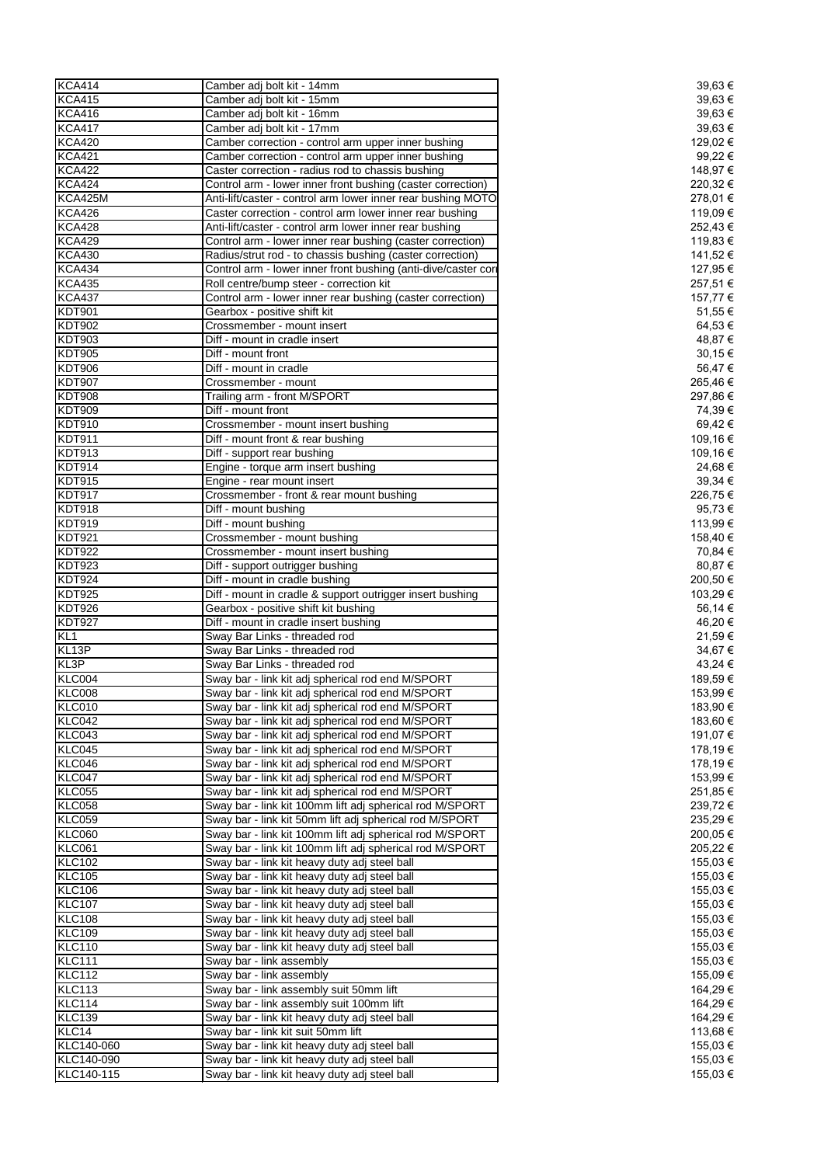| <b>KCA414</b>   | Camber adj bolt kit - 14mm                                     | 39,63€   |
|-----------------|----------------------------------------------------------------|----------|
| <b>KCA415</b>   | Camber adj bolt kit - 15mm                                     | 39,63 €  |
| <b>KCA416</b>   | Camber adj bolt kit - 16mm                                     | 39,63 €  |
| <b>KCA417</b>   | Camber adi bolt kit - 17mm                                     | 39,63€   |
| <b>KCA420</b>   | Camber correction - control arm upper inner bushing            | 129,02 € |
| <b>KCA421</b>   | Camber correction - control arm upper inner bushing            | 99,22 €  |
| <b>KCA422</b>   | Caster correction - radius rod to chassis bushing              |          |
|                 |                                                                | 148,97 € |
| <b>KCA424</b>   | Control arm - lower inner front bushing (caster correction)    | 220,32€  |
| KCA425M         | Anti-lift/caster - control arm lower inner rear bushing MOTO   | 278,01 € |
| <b>KCA426</b>   | Caster correction - control arm lower inner rear bushing       | 119,09€  |
| <b>KCA428</b>   | Anti-lift/caster - control arm lower inner rear bushing        | 252,43 € |
| <b>KCA429</b>   | Control arm - lower inner rear bushing (caster correction)     | 119,83 € |
| <b>KCA430</b>   | Radius/strut rod - to chassis bushing (caster correction)      | 141,52 € |
| <b>KCA434</b>   | Control arm - lower inner front bushing (anti-dive/caster cori | 127,95 € |
| <b>KCA435</b>   | Roll centre/bump steer - correction kit                        | 257,51 € |
| <b>KCA437</b>   | Control arm - lower inner rear bushing (caster correction)     | 157,77 € |
| <b>KDT901</b>   | Gearbox - positive shift kit                                   | 51,55 €  |
| <b>KDT902</b>   | Crossmember - mount insert                                     | 64,53 €  |
| <b>KDT903</b>   | Diff - mount in cradle insert                                  | 48,87 €  |
| <b>KDT905</b>   | Diff - mount front                                             | 30,15€   |
|                 | Diff - mount in cradle                                         |          |
| <b>KDT906</b>   |                                                                | 56,47€   |
| <b>KDT907</b>   | Crossmember - mount                                            | 265,46€  |
| <b>KDT908</b>   | Trailing arm - front M/SPORT                                   | 297,86 € |
| <b>KDT909</b>   | Diff - mount front                                             | 74,39€   |
| <b>KDT910</b>   | Crossmember - mount insert bushing                             | 69,42 €  |
| <b>KDT911</b>   | Diff - mount front & rear bushing                              | 109,16 € |
| <b>KDT913</b>   | Diff - support rear bushing                                    | 109,16 € |
| <b>KDT914</b>   | Engine - torque arm insert bushing                             | 24,68 €  |
| <b>KDT915</b>   | Engine - rear mount insert                                     | 39,34 €  |
| <b>KDT917</b>   | Crossmember - front & rear mount bushing                       | 226,75€  |
| <b>KDT918</b>   | Diff - mount bushing                                           | 95,73 €  |
| <b>KDT919</b>   | Diff - mount bushing                                           | 113,99 € |
|                 |                                                                |          |
| <b>KDT921</b>   | Crossmember - mount bushing                                    | 158,40 € |
| <b>KDT922</b>   | Crossmember - mount insert bushing                             | 70,84 €  |
| <b>KDT923</b>   | Diff - support outrigger bushing                               | 80,87 €  |
| <b>KDT924</b>   | Diff - mount in cradle bushing                                 | 200,50 € |
| <b>KDT925</b>   | Diff - mount in cradle & support outrigger insert bushing      | 103,29€  |
| KDT926          | Gearbox - positive shift kit bushing                           | 56,14 €  |
| <b>KDT927</b>   | Diff - mount in cradle insert bushing                          | 46,20 €  |
| KL <sub>1</sub> | Sway Bar Links - threaded rod                                  | 21,59€   |
| KL13P           | Sway Bar Links - threaded rod                                  | 34,67€   |
| KL3P            | Sway Bar Links - threaded rod                                  | 43,24 €  |
| KLC004          | Sway bar - link kit adj spherical rod end M/SPORT              | 189,59€  |
| <b>KLC008</b>   | Sway bar - link kit adj spherical rod end M/SPORT              | 153,99€  |
| <b>KLC010</b>   |                                                                | 183,90 € |
|                 | Sway bar - link kit adj spherical rod end M/SPORT              |          |
| KLC042          | Sway bar - link kit adj spherical rod end M/SPORT              | 183,60 € |
| KLC043          | Sway bar - link kit adj spherical rod end M/SPORT              | 191,07 € |
| KLC045          | Sway bar - link kit adj spherical rod end M/SPORT              | 178,19€  |
| KLC046          | Sway bar - link kit adj spherical rod end M/SPORT              | 178,19€  |
| KLC047          | Sway bar - link kit adj spherical rod end M/SPORT              | 153,99€  |
| <b>KLC055</b>   | Sway bar - link kit adj spherical rod end M/SPORT              | 251,85 € |
| <b>KLC058</b>   | Sway bar - link kit 100mm lift adj spherical rod M/SPORT       | 239,72€  |
| <b>KLC059</b>   | Sway bar - link kit 50mm lift adj spherical rod M/SPORT        | 235,29€  |
| <b>KLC060</b>   | Sway bar - link kit 100mm lift adj spherical rod M/SPORT       | 200,05 € |
| <b>KLC061</b>   | Sway bar - link kit 100mm lift adj spherical rod M/SPORT       | 205,22 € |
| <b>KLC102</b>   | Sway bar - link kit heavy duty adj steel ball                  | 155,03€  |
| <b>KLC105</b>   | Sway bar - link kit heavy duty adj steel ball                  | 155,03 € |
| <b>KLC106</b>   | Sway bar - link kit heavy duty adj steel ball                  | 155,03 € |
| <b>KLC107</b>   |                                                                | 155,03 € |
|                 | Sway bar - link kit heavy duty adj steel ball                  |          |
| <b>KLC108</b>   | Sway bar - link kit heavy duty adj steel ball                  | 155,03 € |
| <b>KLC109</b>   | Sway bar - link kit heavy duty adj steel ball                  | 155,03 € |
| <b>KLC110</b>   | Sway bar - link kit heavy duty adj steel ball                  | 155,03 € |
| <b>KLC111</b>   | Sway bar - link assembly                                       | 155,03 € |
| <b>KLC112</b>   | Sway bar - link assembly                                       | 155,09 € |
| <b>KLC113</b>   | Sway bar - link assembly suit 50mm lift                        | 164,29 € |
| <b>KLC114</b>   | Sway bar - link assembly suit 100mm lift                       | 164,29 € |
| <b>KLC139</b>   | Sway bar - link kit heavy duty adj steel ball                  | 164,29 € |
| KLC14           | Sway bar - link kit suit 50mm lift                             | 113,68 € |
| KLC140-060      | Sway bar - link kit heavy duty adj steel ball                  | 155,03 € |
| KLC140-090      | Sway bar - link kit heavy duty adj steel ball                  | 155,03 € |
| KLC140-115      | Sway bar - link kit heavy duty adj steel ball                  | 155,03 € |
|                 |                                                                |          |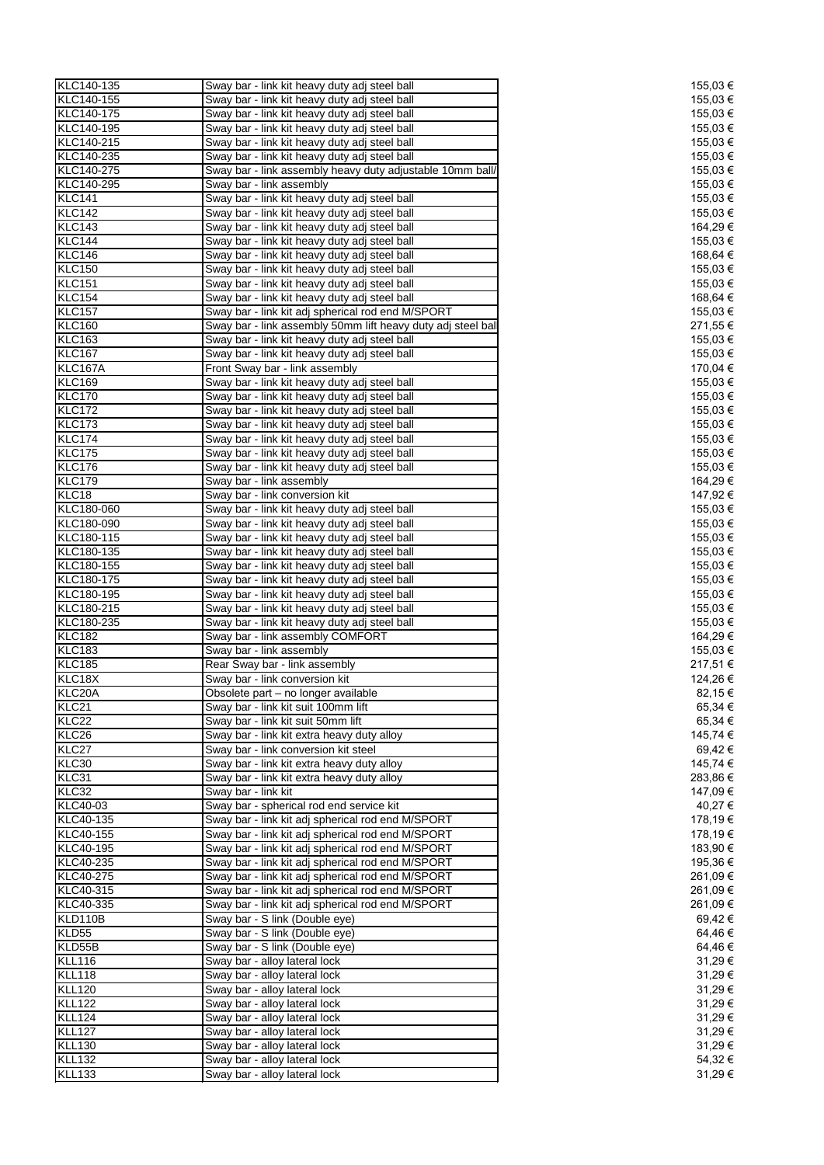| KLC140-135      | Sway bar - link kit heavy duty adj steel ball                | 155,03 € |
|-----------------|--------------------------------------------------------------|----------|
| KLC140-155      | Sway bar - link kit heavy duty adj steel ball                | 155,03 € |
|                 |                                                              |          |
| KLC140-175      | Sway bar - link kit heavy duty adj steel ball                | 155,03 € |
| KLC140-195      | Sway bar - link kit heavy duty adj steel ball                | 155,03 € |
| KLC140-215      | Sway bar - link kit heavy duty adj steel ball                | 155,03 € |
| KLC140-235      | Sway bar - link kit heavy duty adj steel ball                | 155,03 € |
| KLC140-275      | Sway bar - link assembly heavy duty adjustable 10mm ball/    | 155,03 € |
| KLC140-295      | Sway bar - link assembly                                     | 155,03 € |
| <b>KLC141</b>   |                                                              | 155,03 € |
|                 | Sway bar - link kit heavy duty adj steel ball                |          |
| <b>KLC142</b>   | Sway bar - link kit heavy duty adj steel ball                | 155,03 € |
| KLC143          | Sway bar - link kit heavy duty adj steel ball                | 164,29€  |
| <b>KLC144</b>   | Sway bar - link kit heavy duty adj steel ball                | 155,03 € |
| <b>KLC146</b>   | Sway bar - link kit heavy duty adj steel ball                | 168,64 € |
| <b>KLC150</b>   | Sway bar - link kit heavy duty adj steel ball                | 155,03 € |
| <b>KLC151</b>   | Sway bar - link kit heavy duty adj steel ball                | 155,03 € |
|                 |                                                              |          |
| <b>KLC154</b>   | Sway bar - link kit heavy duty adj steel ball                | 168,64 € |
| <b>KLC157</b>   | Sway bar - link kit adj spherical rod end M/SPORT            | 155,03 € |
| <b>KLC160</b>   | Sway bar - link assembly 50mm lift heavy duty adj steel ball | 271,55 € |
| <b>KLC163</b>   | Sway bar - link kit heavy duty adj steel ball                | 155,03 € |
| <b>KLC167</b>   | Sway bar - link kit heavy duty adj steel ball                | 155,03 € |
| KLC167A         | Front Sway bar - link assembly                               | 170,04 € |
| <b>KLC169</b>   | Sway bar - link kit heavy duty adj steel ball                | 155,03 € |
|                 |                                                              |          |
| <b>KLC170</b>   | Sway bar - link kit heavy duty adj steel ball                | 155,03 € |
| <b>KLC172</b>   | Sway bar - link kit heavy duty adj steel ball                | 155,03 € |
| <b>KLC173</b>   | Sway bar - link kit heavy duty adj steel ball                | 155,03 € |
| <b>KLC174</b>   | Sway bar - link kit heavy duty adj steel ball                | 155,03 € |
| <b>KLC175</b>   | Sway bar - link kit heavy duty adj steel ball                | 155,03 € |
| <b>KLC176</b>   |                                                              |          |
|                 | Sway bar - link kit heavy duty adj steel ball                | 155,03 € |
| <b>KLC179</b>   | Sway bar - link assembly                                     | 164,29€  |
| KLC18           | Sway bar - link conversion kit                               | 147,92 € |
| KLC180-060      | Sway bar - link kit heavy duty adj steel ball                | 155,03 € |
| KLC180-090      | Sway bar - link kit heavy duty adj steel ball                | 155,03 € |
| KLC180-115      | Sway bar - link kit heavy duty adj steel ball                | 155,03 € |
| KLC180-135      |                                                              | 155,03 € |
|                 | Sway bar - link kit heavy duty adj steel ball                |          |
| KLC180-155      | Sway bar - link kit heavy duty adj steel ball                | 155,03 € |
| KLC180-175      | Sway bar - link kit heavy duty adj steel ball                | 155,03 € |
| KLC180-195      | Sway bar - link kit heavy duty adj steel ball                | 155,03 € |
| KLC180-215      | Sway bar - link kit heavy duty adj steel ball                | 155,03 € |
| KLC180-235      | Sway bar - link kit heavy duty adj steel ball                | 155,03 € |
| <b>KLC182</b>   | Sway bar - link assembly COMFORT                             | 164,29 € |
|                 |                                                              |          |
| <b>KLC183</b>   | Sway bar - link assembly                                     | 155,03 € |
| <b>KLC185</b>   | Rear Sway bar - link assembly                                | 217,51 € |
| KLC18X          | Sway bar - link conversion kit                               | 124,26 € |
| KLC20A          | Obsolete part – no longer available                          | 82,15€   |
| KLC21           | Sway bar - link kit suit 100mm lift                          | 65,34 €  |
| KLC22           | Sway bar - link kit suit 50mm lift                           | 65,34 €  |
| KLC26           |                                                              | 145,74 € |
|                 | Sway bar - link kit extra heavy duty alloy                   |          |
| KLC27           | Sway bar - link conversion kit steel                         | 69,42 €  |
| KLC30           | Sway bar - link kit extra heavy duty alloy                   | 145,74 € |
| KLC31           | Sway bar - link kit extra heavy duty alloy                   | 283,86€  |
| KLC32           | Sway bar - link kit                                          | 147,09 € |
| <b>KLC40-03</b> | Sway bar - spherical rod end service kit                     | 40,27 €  |
| KLC40-135       | Sway bar - link kit adj spherical rod end M/SPORT            | 178,19€  |
| KLC40-155       | Sway bar - link kit adj spherical rod end M/SPORT            | 178,19€  |
|                 |                                                              |          |
| KLC40-195       | Sway bar - link kit adj spherical rod end M/SPORT            | 183,90 € |
| KLC40-235       | Sway bar - link kit adj spherical rod end M/SPORT            | 195,36 € |
| KLC40-275       | Sway bar - link kit adj spherical rod end M/SPORT            | 261,09 € |
| KLC40-315       | Sway bar - link kit adj spherical rod end M/SPORT            | 261,09€  |
| KLC40-335       | Sway bar - link kit adj spherical rod end M/SPORT            | 261,09€  |
| KLD110B         | Sway bar - S link (Double eye)                               | 69,42€   |
|                 |                                                              |          |
| KLD55           | Sway bar - S link (Double eye)                               | 64,46€   |
| KLD55B          | Sway bar - S link (Double eye)                               | 64,46€   |
| <b>KLL116</b>   | Sway bar - alloy lateral lock                                | 31,29€   |
| <b>KLL118</b>   | Sway bar - alloy lateral lock                                | 31,29€   |
| <b>KLL120</b>   | Sway bar - alloy lateral lock                                | 31,29€   |
| <b>KLL122</b>   | Sway bar - alloy lateral lock                                | 31,29€   |
|                 |                                                              |          |
| <b>KLL124</b>   | Sway bar - alloy lateral lock                                | 31,29 €  |
| <b>KLL127</b>   | Sway bar - alloy lateral lock                                | 31,29€   |
| <b>KLL130</b>   | Sway bar - alloy lateral lock                                | 31,29 €  |
| <b>KLL132</b>   | Sway bar - alloy lateral lock                                | 54,32€   |
| <b>KLL133</b>   | Sway bar - alloy lateral lock                                | 31,29€   |
|                 |                                                              |          |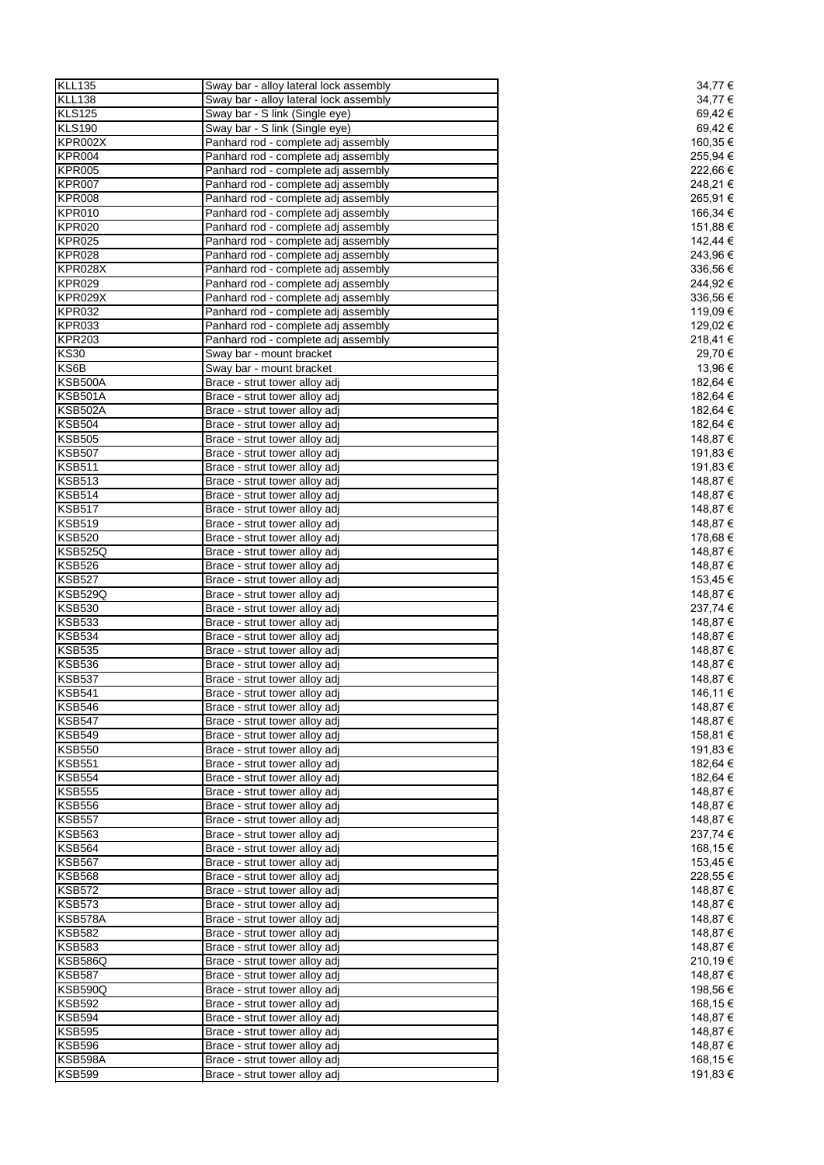| <b>KLL135</b>  | Sway bar - alloy lateral lock assembly | 34,77 €  |
|----------------|----------------------------------------|----------|
| <b>KLL138</b>  | Sway bar - alloy lateral lock assembly | 34,77 €  |
| <b>KLS125</b>  | Sway bar - S link (Single eye)         | 69,42€   |
| <b>KLS190</b>  | Sway bar - S link (Single eye)         | 69,42€   |
| KPR002X        | Panhard rod - complete adj assembly    | 160,35€  |
| <b>KPR004</b>  | Panhard rod - complete adj assembly    | 255,94 € |
| <b>KPR005</b>  | Panhard rod - complete adj assembly    | 222,66€  |
| KPR007         | Panhard rod - complete adj assembly    | 248,21€  |
|                |                                        |          |
| <b>KPR008</b>  | Panhard rod - complete adj assembly    | 265,91€  |
| <b>KPR010</b>  | Panhard rod - complete adj assembly    | 166,34 € |
| <b>KPR020</b>  | Panhard rod - complete adj assembly    | 151,88 € |
| <b>KPR025</b>  | Panhard rod - complete adj assembly    | 142,44 € |
| <b>KPR028</b>  | Panhard rod - complete adj assembly    | 243,96€  |
| KPR028X        | Panhard rod - complete adj assembly    | 336,56€  |
| <b>KPR029</b>  | Panhard rod - complete adj assembly    | 244,92 € |
| KPR029X        | Panhard rod - complete adj assembly    | 336,56€  |
| <b>KPR032</b>  | Panhard rod - complete adj assembly    | 119,09 € |
| <b>KPR033</b>  | Panhard rod - complete adj assembly    | 129,02 € |
| <b>KPR203</b>  | Panhard rod - complete adj assembly    | 218,41€  |
| <b>KS30</b>    | Sway bar - mount bracket               | 29,70 €  |
|                |                                        |          |
| KS6B           | Sway bar - mount bracket               | 13,96 €  |
| <b>KSB500A</b> | Brace - strut tower alloy adj          | 182,64 € |
| <b>KSB501A</b> | Brace - strut tower alloy adj          | 182,64 € |
| <b>KSB502A</b> | Brace - strut tower alloy adj          | 182,64 € |
| <b>KSB504</b>  | Brace - strut tower alloy adj          | 182,64 € |
| <b>KSB505</b>  | Brace - strut tower alloy adj          | 148,87 € |
| <b>KSB507</b>  | Brace - strut tower alloy adj          | 191,83 € |
| <b>KSB511</b>  | Brace - strut tower alloy adj          | 191,83€  |
| <b>KSB513</b>  | Brace - strut tower alloy adj          | 148,87 € |
| <b>KSB514</b>  | Brace - strut tower alloy adj          | 148,87 € |
| <b>KSB517</b>  | Brace - strut tower alloy adj          | 148,87 € |
| <b>KSB519</b>  |                                        |          |
|                | Brace - strut tower alloy adj          | 148,87 € |
| <b>KSB520</b>  | Brace - strut tower alloy adj          | 178,68 € |
| <b>KSB525Q</b> | Brace - strut tower alloy adj          | 148,87 € |
| <b>KSB526</b>  | Brace - strut tower alloy adj          | 148,87 € |
| <b>KSB527</b>  | Brace - strut tower alloy adj          | 153,45 € |
| <b>KSB529Q</b> | Brace - strut tower alloy adj          | 148,87 € |
| <b>KSB530</b>  | Brace - strut tower alloy adj          | 237,74 € |
| <b>KSB533</b>  | Brace - strut tower alloy adj          | 148,87 € |
| <b>KSB534</b>  | Brace - strut tower alloy adj          | 148,87 € |
| <b>KSB535</b>  | Brace - strut tower alloy adj          | 148,87 € |
| <b>KSB536</b>  | Brace - strut tower alloy adj          | 148,87 € |
| <b>KSB537</b>  | Brace - strut tower alloy adj          | 148,87 € |
|                |                                        |          |
| <b>KSB541</b>  | Brace - strut tower alloy adj          | 146,11 € |
| <b>KSB546</b>  | Brace - strut tower alloy adj          | 148,87 € |
| <b>KSB547</b>  | Brace - strut tower alloy adj          | 148,87 € |
| <b>KSB549</b>  | Brace - strut tower alloy adj          | 158,81 € |
| <b>KSB550</b>  | Brace - strut tower alloy adj          | 191,83 € |
| <b>KSB551</b>  | Brace - strut tower alloy adj          | 182,64 € |
| <b>KSB554</b>  | Brace - strut tower alloy adj          | 182,64 € |
| <b>KSB555</b>  | Brace - strut tower alloy adj          | 148,87 € |
| <b>KSB556</b>  | Brace - strut tower alloy adj          | 148,87 € |
| <b>KSB557</b>  | Brace - strut tower alloy adj          | 148,87 € |
| <b>KSB563</b>  | Brace - strut tower alloy adj          | 237,74 € |
| <b>KSB564</b>  | Brace - strut tower alloy adj          | 168,15€  |
| <b>KSB567</b>  | Brace - strut tower alloy adj          |          |
|                |                                        | 153,45 € |
| <b>KSB568</b>  | Brace - strut tower alloy adj          | 228,55 € |
| <b>KSB572</b>  | Brace - strut tower alloy adj          | 148,87 € |
| <b>KSB573</b>  | Brace - strut tower alloy adj          | 148,87 € |
| KSB578A        | Brace - strut tower alloy adj          | 148,87 € |
| <b>KSB582</b>  | Brace - strut tower alloy adj          | 148,87 € |
| <b>KSB583</b>  | Brace - strut tower alloy adj          | 148,87 € |
| <b>KSB586Q</b> | Brace - strut tower alloy adj          | 210,19€  |
| <b>KSB587</b>  | Brace - strut tower alloy adj          | 148,87 € |
| <b>KSB590Q</b> | Brace - strut tower alloy adj          | 198,56 € |
|                |                                        |          |
| <b>KSB592</b>  | Brace - strut tower alloy adj          | 168,15 € |
| KSB594         | Brace - strut tower alloy adj          | 148,87 € |
| <b>KSB595</b>  | Brace - strut tower alloy adj          | 148,87 € |
| <b>KSB596</b>  | Brace - strut tower alloy adj          | 148,87 € |
| KSB598A        | Brace - strut tower alloy adj          | 168,15€  |
| <b>KSB599</b>  | Brace - strut tower alloy adj          | 191,83 € |
|                |                                        |          |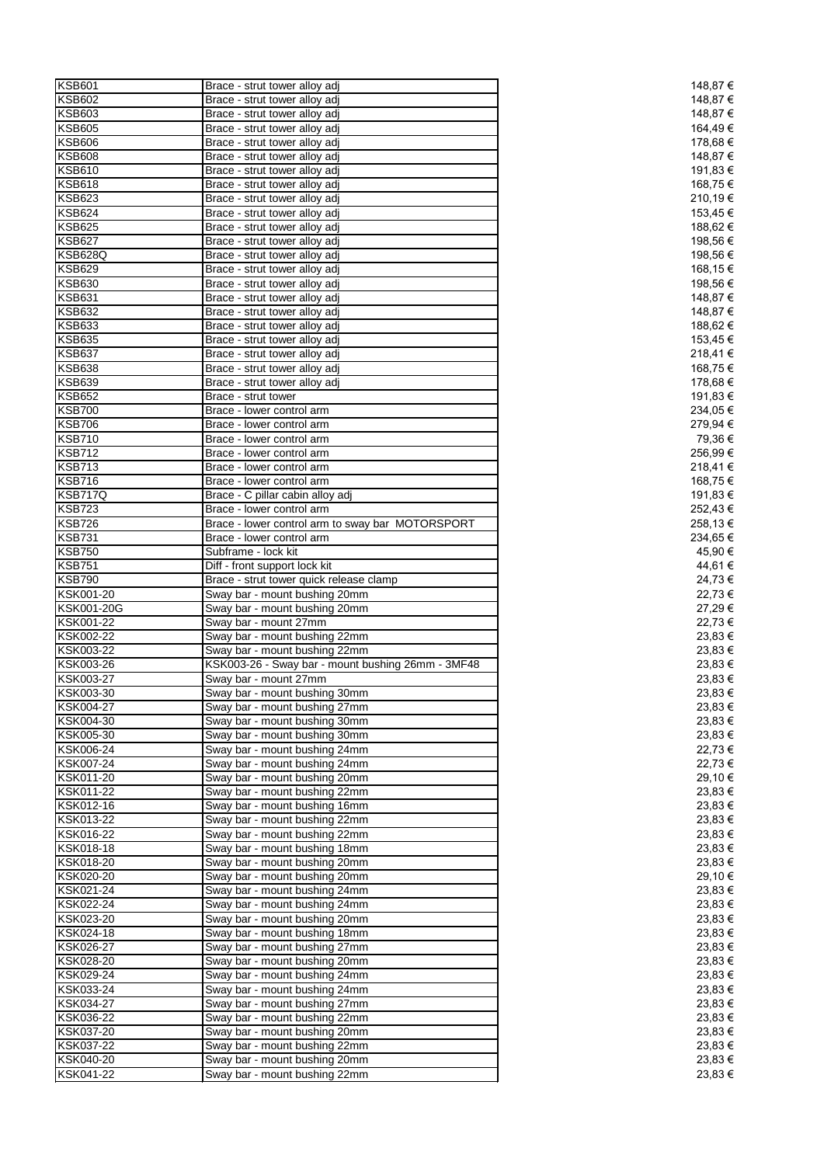| <b>KSB601</b>                 | Brace - strut tower alloy adj                                  | 148,87 €           |
|-------------------------------|----------------------------------------------------------------|--------------------|
| <b>KSB602</b>                 | Brace - strut tower alloy adj                                  | 148,87 €           |
| <b>KSB603</b>                 | Brace - strut tower alloy adj                                  | 148,87 €           |
| <b>KSB605</b>                 | Brace - strut tower alloy adj                                  | 164,49€            |
| <b>KSB606</b>                 | Brace - strut tower alloy adj                                  | 178,68 €           |
| <b>KSB608</b>                 | Brace - strut tower alloy adj                                  | 148,87 €           |
| <b>KSB610</b>                 | Brace - strut tower alloy adj                                  | 191,83 €           |
| <b>KSB618</b>                 | Brace - strut tower alloy adj                                  | 168,75 €           |
| <b>KSB623</b>                 | Brace - strut tower alloy adj                                  | 210,19€            |
| <b>KSB624</b>                 | Brace - strut tower alloy adj                                  | 153,45 €           |
| <b>KSB625</b>                 | Brace - strut tower alloy adj                                  | 188,62 €           |
| <b>KSB627</b>                 | Brace - strut tower alloy adj                                  | 198,56€            |
| <b>KSB628Q</b>                | Brace - strut tower alloy adj                                  | 198,56 €           |
| <b>KSB629</b>                 | Brace - strut tower alloy adj                                  | 168,15€            |
| <b>KSB630</b>                 | Brace - strut tower alloy adj                                  | 198,56 €           |
|                               |                                                                |                    |
| <b>KSB631</b>                 | Brace - strut tower alloy adj                                  | 148,87 €           |
| <b>KSB632</b>                 | Brace - strut tower alloy adj                                  | 148,87 €           |
| <b>KSB633</b>                 | Brace - strut tower alloy adj                                  | 188,62 €           |
| <b>KSB635</b>                 | Brace - strut tower alloy adj                                  | 153,45 €           |
| <b>KSB637</b>                 | Brace - strut tower alloy adj                                  | 218,41€            |
| <b>KSB638</b>                 | Brace - strut tower alloy adj                                  | 168,75 €           |
| <b>KSB639</b>                 | Brace - strut tower alloy adj                                  | 178,68 €           |
| <b>KSB652</b>                 | Brace - strut tower                                            | 191,83 €           |
| <b>KSB700</b>                 | Brace - lower control arm                                      | 234,05 €           |
| <b>KSB706</b>                 | Brace - lower control arm                                      | 279,94 €           |
| <b>KSB710</b>                 | Brace - lower control arm                                      | 79,36 €            |
| <b>KSB712</b>                 | Brace - lower control arm                                      | 256,99€            |
| <b>KSB713</b>                 | Brace - lower control arm                                      | 218,41€            |
| <b>KSB716</b>                 | Brace - lower control arm                                      | 168,75 €           |
| <b>KSB717Q</b>                | Brace - C pillar cabin alloy adj                               | 191,83 €           |
| <b>KSB723</b>                 | Brace - lower control arm                                      | 252,43€            |
| <b>KSB726</b>                 | Brace - lower control arm to sway bar MOTORSPORT               | 258,13€            |
|                               |                                                                |                    |
| <b>KSB731</b>                 | Brace - lower control arm                                      | 234,65 €           |
| <b>KSB750</b>                 | Subframe - lock kit                                            | 45,90 €            |
| <b>KSB751</b>                 | Diff - front support lock kit                                  | 44,61 €            |
|                               |                                                                |                    |
| <b>KSB790</b>                 | Brace - strut tower quick release clamp                        | 24,73 €            |
| KSK001-20                     | Sway bar - mount bushing 20mm                                  | 22,73 €            |
| KSK001-20G                    | Sway bar - mount bushing 20mm                                  | 27,29 €            |
| KSK001-22                     | Sway bar - mount 27mm                                          | 22,73€             |
| KSK002-22                     | Sway bar - mount bushing 22mm                                  | 23,83 €            |
| KSK003-22                     | Sway bar - mount bushing 22mm                                  | 23,83 €            |
| KSK003-26                     | KSK003-26 - Sway bar - mount bushing 26mm - 3MF48              | 23,83 €            |
| KSK003-27                     | Sway bar - mount 27mm                                          | 23,83 €            |
|                               | Sway bar - mount bushing 30mm                                  | 23,83 €            |
| KSK003-30<br><b>KSK004-27</b> | Sway bar - mount bushing 27mm                                  | 23,83 €            |
| KSK004-30                     | Sway bar - mount bushing 30mm                                  |                    |
|                               |                                                                | 23,83 €            |
| KSK005-30                     | Sway bar - mount bushing 30mm                                  | 23,83 €            |
| KSK006-24                     | Sway bar - mount bushing 24mm                                  | 22,73 €            |
| KSK007-24                     | Sway bar - mount bushing 24mm                                  | 22,73 €            |
| KSK011-20                     | Sway bar - mount bushing 20mm                                  | 29,10 €            |
| KSK011-22                     | Sway bar - mount bushing 22mm                                  | 23,83 €            |
| KSK012-16                     | Sway bar - mount bushing 16mm                                  | 23,83 €            |
| KSK013-22                     | Sway bar - mount bushing 22mm                                  | 23,83 €            |
| KSK016-22                     | Sway bar - mount bushing 22mm                                  | 23,83 €            |
| KSK018-18                     | Sway bar - mount bushing 18mm                                  | 23,83 €            |
| KSK018-20                     | Sway bar - mount bushing 20mm                                  | 23,83 €            |
| KSK020-20                     | Sway bar - mount bushing 20mm                                  | 29,10 €            |
| KSK021-24                     | Sway bar - mount bushing 24mm                                  | 23,83 €            |
| KSK022-24                     | Sway bar - mount bushing 24mm                                  | 23,83 €            |
| KSK023-20                     | Sway bar - mount bushing 20mm                                  | 23,83 €            |
| KSK024-18                     | Sway bar - mount bushing 18mm                                  | 23,83 €            |
| KSK026-27                     | Sway bar - mount bushing 27mm                                  | 23,83 €            |
| KSK028-20                     | Sway bar - mount bushing 20mm                                  | 23,83 €            |
| KSK029-24                     | Sway bar - mount bushing 24mm                                  | 23,83 €            |
| KSK033-24                     | Sway bar - mount bushing 24mm                                  | 23,83 €            |
|                               |                                                                |                    |
| KSK034-27                     | Sway bar - mount bushing 27mm                                  | 23,83 €            |
| KSK036-22                     | Sway bar - mount bushing 22mm                                  | 23,83 €            |
| KSK037-20                     | Sway bar - mount bushing 20mm                                  | 23,83 €            |
| KSK037-22                     | Sway bar - mount bushing 22mm                                  | 23,83 €            |
| KSK040-20<br>KSK041-22        | Sway bar - mount bushing 20mm<br>Sway bar - mount bushing 22mm | 23,83 €<br>23,83 € |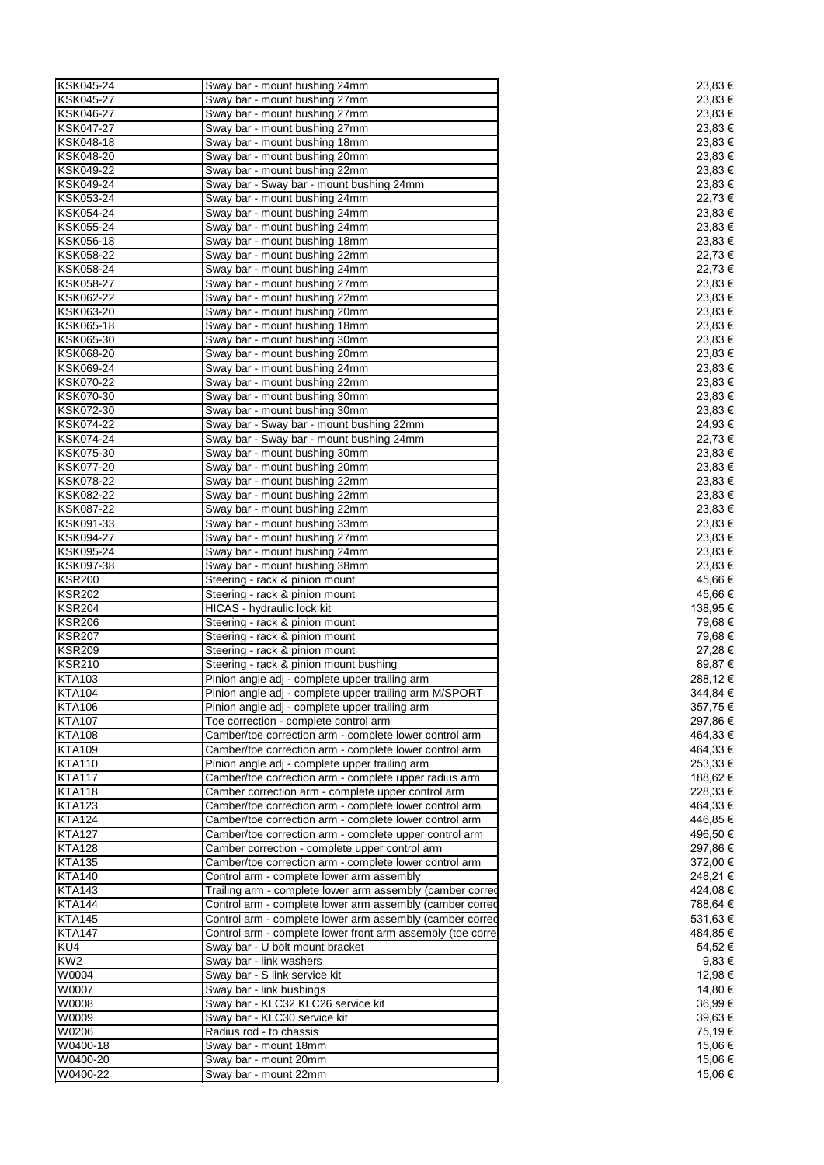| KSK045-24        | Sway bar - mount bushing 24mm                              | 23,83 €  |
|------------------|------------------------------------------------------------|----------|
| KSK045-27        | Sway bar - mount bushing 27mm                              | 23,83€   |
| KSK046-27        | Sway bar - mount bushing 27mm                              | 23,83 €  |
| <b>KSK047-27</b> | Sway bar - mount bushing 27mm                              | 23,83 €  |
| KSK048-18        | Sway bar - mount bushing 18mm                              | 23,83 €  |
| KSK048-20        | Sway bar - mount bushing 20mm                              | 23,83 €  |
|                  |                                                            |          |
| KSK049-22        | Sway bar - mount bushing 22mm                              | 23,83 €  |
| KSK049-24        | Sway bar - Sway bar - mount bushing 24mm                   | 23,83€   |
| KSK053-24        | Sway bar - mount bushing 24mm                              | 22,73 €  |
| KSK054-24        | Sway bar - mount bushing 24mm                              | 23,83 €  |
| KSK055-24        | Sway bar - mount bushing 24mm                              | 23,83 €  |
| KSK056-18        | Sway bar - mount bushing 18mm                              | 23,83 €  |
| KSK058-22        | Sway bar - mount bushing 22mm                              | 22,73 €  |
| KSK058-24        | Sway bar - mount bushing 24mm                              | 22,73 €  |
| <b>KSK058-27</b> | Sway bar - mount bushing 27mm                              | 23,83 €  |
| KSK062-22        | Sway bar - mount bushing 22mm                              | 23,83 €  |
| KSK063-20        | Sway bar - mount bushing 20mm                              | 23,83 €  |
| KSK065-18        | Sway bar - mount bushing 18mm                              | 23,83 €  |
| KSK065-30        | Sway bar - mount bushing 30mm                              | 23,83 €  |
| KSK068-20        | Sway bar - mount bushing 20mm                              | 23,83 €  |
| KSK069-24        | Sway bar - mount bushing 24mm                              | 23,83 €  |
| <b>KSK070-22</b> | Sway bar - mount bushing 22mm                              | 23,83 €  |
| KSK070-30        | Sway bar - mount bushing 30mm                              |          |
|                  |                                                            | 23,83 €  |
| KSK072-30        | Sway bar - mount bushing 30mm                              | 23,83€   |
| KSK074-22        | Sway bar - Sway bar - mount bushing 22mm                   | 24,93 €  |
| KSK074-24        | Sway bar - Sway bar - mount bushing 24mm                   | 22,73 €  |
| KSK075-30        | Sway bar - mount bushing 30mm                              | 23,83 €  |
| KSK077-20        | Sway bar - mount bushing 20mm                              | 23,83 €  |
| <b>KSK078-22</b> | Sway bar - mount bushing 22mm                              | 23,83€   |
| KSK082-22        | Sway bar - mount bushing 22mm                              | 23,83 €  |
| KSK087-22        | Sway bar - mount bushing 22mm                              | 23,83 €  |
| KSK091-33        | Sway bar - mount bushing 33mm                              | 23,83 €  |
| <b>KSK094-27</b> | Sway bar - mount bushing 27mm                              | 23,83 €  |
| KSK095-24        | Sway bar - mount bushing 24mm                              | 23,83 €  |
| KSK097-38        | Sway bar - mount bushing 38mm                              | 23,83 €  |
| <b>KSR200</b>    | Steering - rack & pinion mount                             | 45,66 €  |
| <b>KSR202</b>    | Steering - rack & pinion mount                             | 45,66 €  |
| <b>KSR204</b>    | HICAS - hydraulic lock kit                                 | 138,95 € |
| <b>KSR206</b>    | Steering - rack & pinion mount                             | 79,68 €  |
| <b>KSR207</b>    |                                                            |          |
|                  | Steering - rack & pinion mount                             | 79,68 €  |
| <b>KSR209</b>    | Steering - rack & pinion mount                             | 27,28 €  |
| <b>KSR210</b>    | Steering - rack & pinion mount bushing                     | 89,87 €  |
| <b>KTA103</b>    | Pinion angle adj - complete upper trailing arm             | 288,12€  |
| <b>KTA104</b>    | Pinion angle adj - complete upper trailing arm M/SPORT     | 344,84 € |
| <b>KTA106</b>    | Pinion angle adj - complete upper trailing arm             | 357,75 € |
| <b>KTA107</b>    | Toe correction - complete control arm                      | 297,86 € |
| <b>KTA108</b>    | Camber/toe correction arm - complete lower control arm     | 464,33 € |
| <b>KTA109</b>    | Camber/toe correction arm - complete lower control arm     | 464,33 € |
| <b>KTA110</b>    | Pinion angle adj - complete upper trailing arm             | 253,33 € |
| <b>KTA117</b>    | Camber/toe correction arm - complete upper radius arm      | 188,62 € |
| <b>KTA118</b>    | Camber correction arm - complete upper control arm         | 228,33 € |
| <b>KTA123</b>    | Camber/toe correction arm - complete lower control arm     | 464,33 € |
| <b>KTA124</b>    | Camber/toe correction arm - complete lower control arm     | 446,85 € |
| <b>KTA127</b>    | Camber/toe correction arm - complete upper control arm     | 496,50 € |
| <b>KTA128</b>    | Camber correction - complete upper control arm             | 297,86 € |
| <b>KTA135</b>    | Camber/toe correction arm - complete lower control arm     | 372,00 € |
| <b>KTA140</b>    | Control arm - complete lower arm assembly                  | 248,21€  |
| <b>KTA143</b>    | Trailing arm - complete lower arm assembly (camber corred  | 424,08€  |
| <b>KTA144</b>    | Control arm - complete lower arm assembly (camber corred   | 788,64 € |
| <b>KTA145</b>    | Control arm - complete lower arm assembly (camber corred   | 531,63 € |
| <b>KTA147</b>    |                                                            | 484,85 € |
|                  | Control arm - complete lower front arm assembly (toe corre |          |
| KU4              | Sway bar - U bolt mount bracket                            | 54,52€   |
| KW2              | Sway bar - link washers                                    | 9,83€    |
| W0004            | Sway bar - S link service kit                              | 12,98 €  |
| W0007            | Sway bar - link bushings                                   | 14,80 €  |
| W0008            | Sway bar - KLC32 KLC26 service kit                         | 36,99€   |
| W0009            | Sway bar - KLC30 service kit                               | 39,63 €  |
| W0206            | Radius rod - to chassis                                    | 75,19 €  |
| W0400-18         | Sway bar - mount 18mm                                      | 15,06 €  |
|                  |                                                            |          |
| W0400-20         | Sway bar - mount 20mm                                      | 15,06 €  |
| W0400-22         | Sway bar - mount 22mm                                      | 15,06 €  |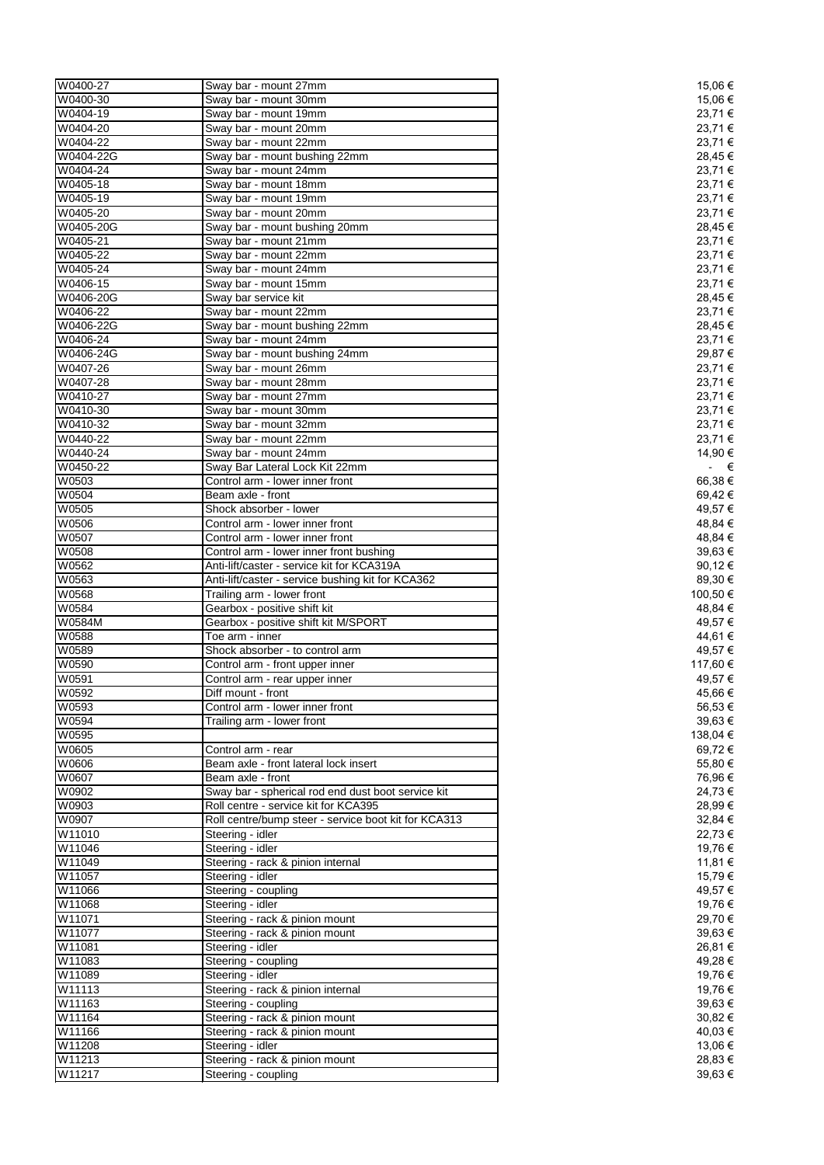| W0400-27  | Sway bar - mount 27mm                                | 15,06 €     |
|-----------|------------------------------------------------------|-------------|
| W0400-30  | Sway bar - mount 30mm                                | 15,06 €     |
| W0404-19  | Sway bar - mount 19mm                                | 23,71 €     |
| W0404-20  | Sway bar - mount 20mm                                | 23,71 €     |
| W0404-22  | Sway bar - mount 22mm                                | 23,71 €     |
| W0404-22G | Sway bar - mount bushing 22mm                        | 28,45 €     |
| W0404-24  | Sway bar - mount 24mm                                | 23,71 €     |
| W0405-18  | Sway bar - mount 18mm                                | 23,71€      |
| W0405-19  | Sway bar - mount 19mm                                | 23,71€      |
| W0405-20  | Sway bar - mount 20mm                                | 23,71 €     |
| W0405-20G | Sway bar - mount bushing 20mm                        | 28,45€      |
| W0405-21  | Sway bar - mount 21mm                                | 23,71 €     |
| W0405-22  | Sway bar - mount 22mm                                | 23,71 €     |
|           |                                                      | 23,71 €     |
| W0405-24  | Sway bar - mount 24mm                                |             |
| W0406-15  | Sway bar - mount 15mm                                | 23,71€      |
| W0406-20G | Sway bar service kit                                 | 28,45 €     |
| W0406-22  | Sway bar - mount 22mm                                | 23,71 €     |
| W0406-22G | Sway bar - mount bushing 22mm                        | 28,45€      |
| W0406-24  | Sway bar - mount 24mm                                | 23,71€      |
| W0406-24G | Sway bar - mount bushing 24mm                        | 29,87 €     |
| W0407-26  | Sway bar - mount 26mm                                | 23,71 €     |
| W0407-28  | Sway bar - mount 28mm                                | 23,71 €     |
| W0410-27  | Sway bar - mount 27mm                                | 23,71€      |
| W0410-30  | Sway bar - mount 30mm                                | 23,71€      |
| W0410-32  | Sway bar - mount 32mm                                | 23,71 €     |
| W0440-22  | Sway bar - mount 22mm                                | 23,71€      |
| W0440-24  | Sway bar - mount 24mm                                | 14,90 €     |
| W0450-22  | Sway Bar Lateral Lock Kit 22mm                       | $ \epsilon$ |
| W0503     | Control arm - lower inner front                      | 66,38€      |
| W0504     | Beam axle - front                                    | 69,42€      |
| W0505     | Shock absorber - lower                               | 49,57 €     |
|           |                                                      |             |
| W0506     | Control arm - lower inner front                      | 48,84 €     |
| W0507     | Control arm - lower inner front                      | 48,84 €     |
| W0508     | Control arm - lower inner front bushing              | 39,63 €     |
| W0562     | Anti-lift/caster - service kit for KCA319A           | 90,12€      |
| W0563     | Anti-lift/caster - service bushing kit for KCA362    | 89,30€      |
| W0568     | Trailing arm - lower front                           | 100,50 €    |
| W0584     | Gearbox - positive shift kit                         | 48,84 €     |
| W0584M    | Gearbox - positive shift kit M/SPORT                 | 49,57 €     |
| W0588     | Toe arm - inner                                      | 44,61 €     |
| W0589     | Shock absorber - to control arm                      | 49,57 €     |
| W0590     | Control arm - front upper inner                      | 117,60 €    |
| W0591     | Control arm - rear upper inner                       | 49,57 €     |
| W0592     | Diff mount - front                                   | 45,66€      |
| W0593     | Control arm - lower inner front                      | 56,53€      |
| W0594     | Trailing arm - lower front                           | 39,63 €     |
| W0595     |                                                      | 138,04 €    |
| W0605     | Control arm - rear                                   | 69,72 €     |
| W0606     | Beam axle - front lateral lock insert                | 55,80€      |
| W0607     | Beam axle - front                                    | 76,96€      |
|           |                                                      |             |
| W0902     | Sway bar - spherical rod end dust boot service kit   | 24,73 €     |
| W0903     | Roll centre - service kit for KCA395                 | 28,99€      |
| W0907     | Roll centre/bump steer - service boot kit for KCA313 | 32,84 €     |
| W11010    | Steering - idler                                     | 22,73 €     |
| W11046    | Steering - idler                                     | 19,76€      |
| W11049    | Steering - rack & pinion internal                    | 11,81 €     |
| W11057    | Steering - idler                                     | 15,79€      |
| W11066    | Steering - coupling                                  | 49,57 €     |
| W11068    | Steering - idler                                     | 19,76€      |
| W11071    | Steering - rack & pinion mount                       | 29,70 €     |
| W11077    | Steering - rack & pinion mount                       | 39,63 €     |
| W11081    | Steering - idler                                     | 26,81 €     |
| W11083    | Steering - coupling                                  | 49,28 €     |
| W11089    | Steering - idler                                     | 19,76€      |
| W11113    | Steering - rack & pinion internal                    | 19,76€      |
| W11163    | Steering - coupling                                  | 39,63€      |
| W11164    | Steering - rack & pinion mount                       | 30,82 €     |
|           |                                                      |             |
| W11166    | Steering - rack & pinion mount                       | 40,03 €     |
| W11208    | Steering - idler                                     | 13,06 €     |
| W11213    | Steering - rack & pinion mount                       | 28,83 €     |
| W11217    | Steering - coupling                                  | 39,63€      |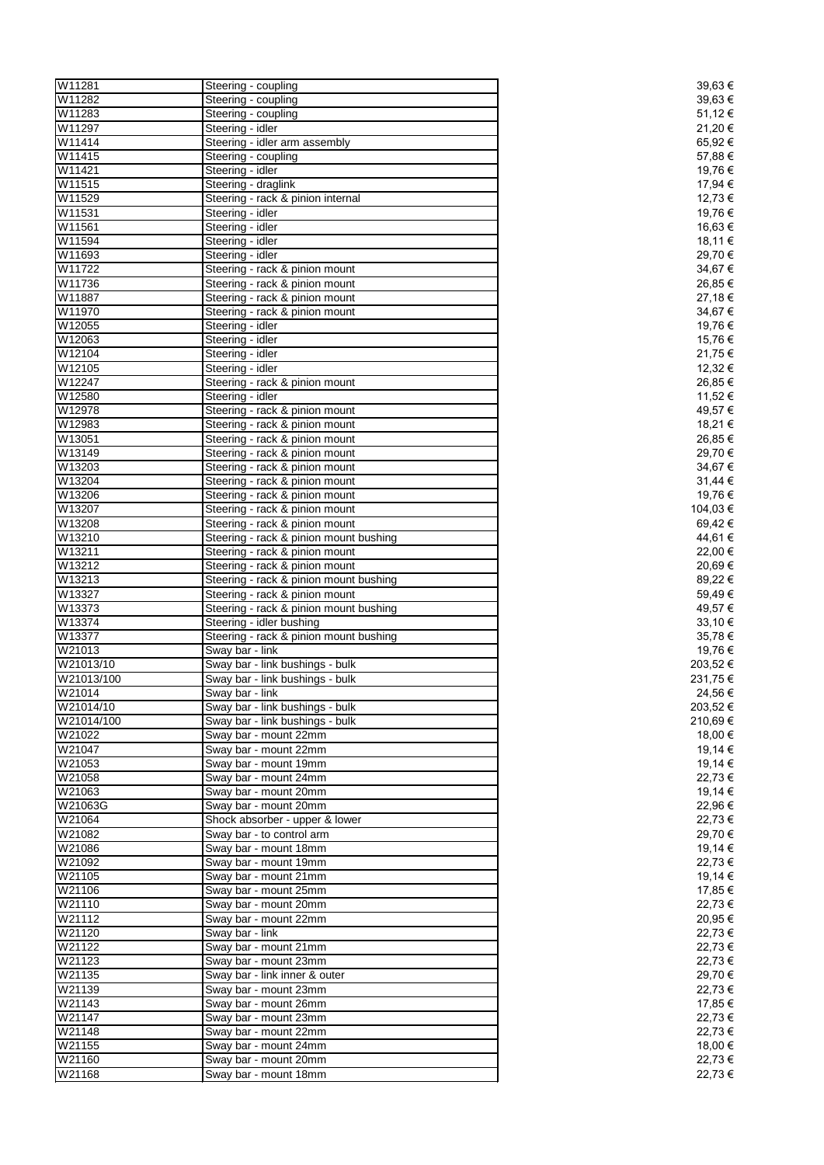| W11281           | Steering - coupling                    | 39,63€   |
|------------------|----------------------------------------|----------|
| W11282           | Steering - coupling                    | 39,63€   |
| W11283           | Steering - coupling                    | 51,12€   |
| W11297           | Steering - idler                       | 21,20€   |
| W11414           | Steering - idler arm assembly          | 65,92€   |
| W11415           | Steering - coupling                    | 57,88€   |
| W11421           | Steering - idler                       | 19,76€   |
| W11515           | Steering - draglink                    | 17,94 €  |
| W11529           | Steering - rack & pinion internal      | 12,73 €  |
| W11531           | Steering - idler                       | 19,76€   |
| W11561           | Steering - idler                       | 16,63 €  |
| W11594           | Steering - idler                       | 18,11 €  |
| W11693           | Steering - idler                       | 29,70€   |
| W11722           | Steering - rack & pinion mount         | 34,67€   |
| W11736           | Steering - rack & pinion mount         | 26,85€   |
| W11887           | Steering - rack & pinion mount         | 27,18€   |
| W11970           | Steering - rack & pinion mount         | 34,67€   |
| W12055           | Steering - idler                       | 19,76€   |
| W12063           | Steering - idler                       | 15,76€   |
| W12104           | Steering - idler                       | 21,75 €  |
| W12105           | Steering - idler                       | 12,32 €  |
| W12247           | Steering - rack & pinion mount         | 26,85€   |
| W12580           | Steering - idler                       | 11,52 €  |
| W12978           | Steering - rack & pinion mount         | 49,57 €  |
| W12983           | Steering - rack & pinion mount         | 18,21 €  |
| W13051           | Steering - rack & pinion mount         | 26,85€   |
| W13149           | Steering - rack & pinion mount         | 29,70 €  |
| W13203           | Steering - rack & pinion mount         | 34,67€   |
| W13204           | Steering - rack & pinion mount         | 31,44 €  |
| W13206           | Steering - rack & pinion mount         | 19,76€   |
| W13207           | Steering - rack & pinion mount         | 104,03 € |
| W13208           | Steering - rack & pinion mount         | 69,42€   |
| W13210           |                                        | 44,61 €  |
|                  | Steering - rack & pinion mount bushing |          |
| W13211<br>W13212 | Steering - rack & pinion mount         | 22,00 €  |
|                  | Steering - rack & pinion mount         | 20,69€   |
| W13213           | Steering - rack & pinion mount bushing | 89,22 €  |
| W13327           | Steering - rack & pinion mount         | 59,49€   |
| W13373           | Steering - rack & pinion mount bushing | 49,57 €  |
| W13374           | Steering - idler bushing               | 33,10 €  |
| W13377           | Steering - rack & pinion mount bushing | 35,78€   |
| W21013           | Sway bar - link                        | 19,76€   |
| W21013/10        | Sway bar - link bushings - bulk        | 203,52€  |
| W21013/100       | Sway bar - link bushings - bulk        | 231,75€  |
| W21014           | Sway bar - link                        | 24,56 €  |
| W21014/10        | Sway bar - link bushings - bulk        | 203,52 € |
| W21014/100       | Sway bar - link bushings - bulk        | 210,69€  |
| W21022           | Sway bar - mount 22mm                  | 18,00 €  |
| W21047           | Sway bar - mount 22mm                  | 19,14 €  |
| W21053           | Sway bar - mount 19mm                  | 19,14 €  |
| W21058           | Sway bar - mount 24mm                  | 22,73 €  |
| W21063           | Sway bar - mount 20mm                  | 19,14 €  |
| W21063G          | Sway bar - mount 20mm                  | 22,96€   |
| W21064           | Shock absorber - upper & lower         | 22,73€   |
| W21082           | Sway bar - to control arm              | 29,70 €  |
| W21086           | Sway bar - mount 18mm                  | 19,14 €  |
| W21092           | Sway bar - mount 19mm                  | 22,73 €  |
| W21105           | Sway bar - mount 21mm                  | 19,14 €  |
| W21106           | Sway bar - mount 25mm                  | 17,85€   |
| W21110           | Sway bar - mount 20mm                  | 22,73€   |
| W21112           | Sway bar - mount 22mm                  | 20,95€   |
| W21120           | Sway bar - link                        | 22,73 €  |
| W21122           | Sway bar - mount 21mm                  | 22,73 €  |
| W21123           | Sway bar - mount 23mm                  | 22,73 €  |
| W21135           | Sway bar - link inner & outer          | 29,70 €  |
| W21139           | Sway bar - mount 23mm                  | 22,73 €  |
| W21143           | Sway bar - mount 26mm                  | 17,85 €  |
| W21147           | Sway bar - mount 23mm                  | 22,73 €  |
| W21148           | Sway bar - mount 22mm                  | 22,73 €  |
| W21155           | Sway bar - mount 24mm                  | 18,00 €  |
| W21160           | Sway bar - mount 20mm                  | 22,73 €  |
| W21168           | Sway bar - mount 18mm                  | 22,73€   |
|                  |                                        |          |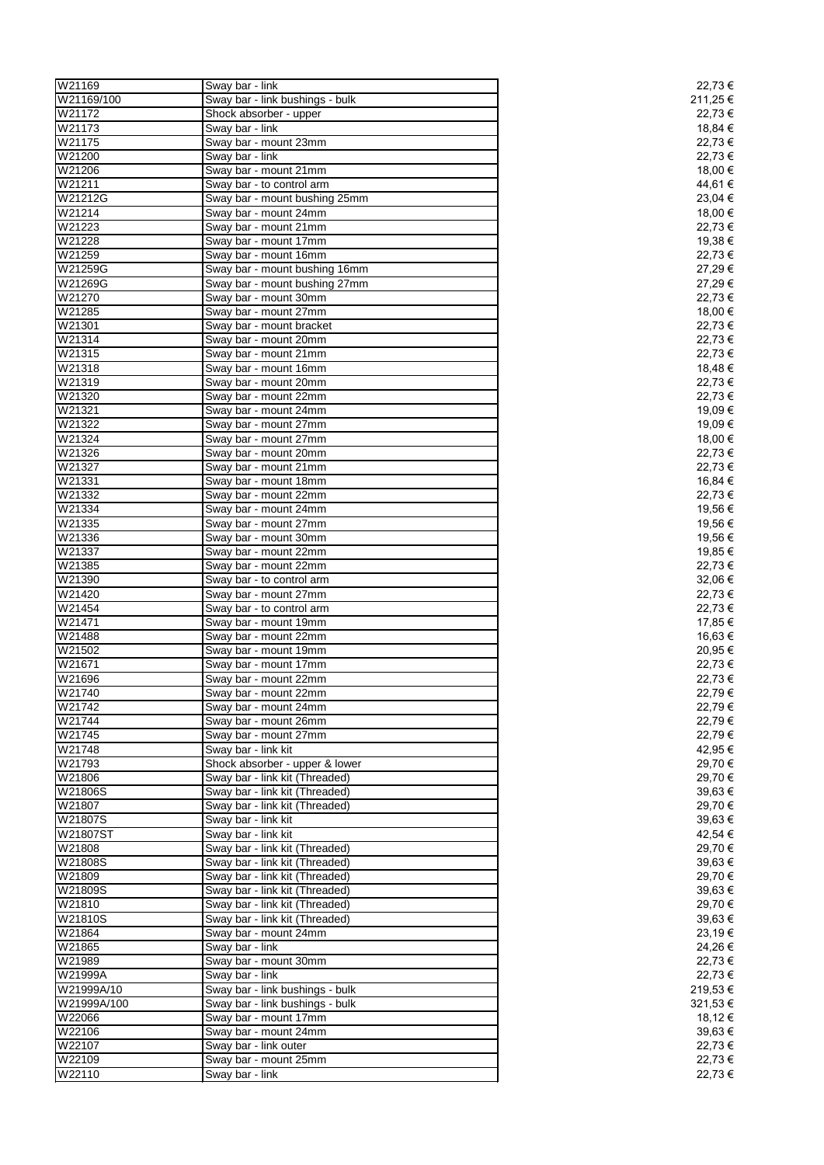| W21169      | Sway bar - link                 | 22,73 €  |
|-------------|---------------------------------|----------|
| W21169/100  | Sway bar - link bushings - bulk | 211,25 € |
| W21172      | Shock absorber - upper          | 22,73 €  |
| W21173      | Sway bar - link                 | 18,84 €  |
| W21175      | Sway bar - mount 23mm           | 22,73 €  |
| W21200      | Sway bar - link                 | 22,73 €  |
| W21206      | Sway bar - mount 21mm           | 18,00 €  |
|             |                                 |          |
| W21211      | Sway bar - to control arm       | 44,61 €  |
| W21212G     | Sway bar - mount bushing 25mm   | 23,04 €  |
| W21214      | Sway bar - mount 24mm           | 18,00 €  |
| W21223      | Sway bar - mount 21mm           | 22,73 €  |
| W21228      | Sway bar - mount 17mm           | 19,38 €  |
| W21259      | Sway bar - mount 16mm           | 22,73€   |
| W21259G     | Sway bar - mount bushing 16mm   | 27,29€   |
| W21269G     | Sway bar - mount bushing 27mm   | 27,29€   |
| W21270      | Sway bar - mount 30mm           | 22,73 €  |
| W21285      | Sway bar - mount 27mm           | 18,00 €  |
| W21301      | Sway bar - mount bracket        | 22,73 €  |
|             |                                 |          |
| W21314      | Sway bar - mount 20mm           | 22,73 €  |
| W21315      | Sway bar - mount 21mm           | 22,73 €  |
| W21318      | Sway bar - mount 16mm           | 18,48€   |
| W21319      | Sway bar - mount 20mm           | 22,73 €  |
| W21320      | Sway bar - mount 22mm           | 22,73 €  |
| W21321      | Sway bar - mount 24mm           | 19,09€   |
| W21322      | Sway bar - mount 27mm           | 19,09€   |
| W21324      | Sway bar - mount 27mm           | 18,00 €  |
| W21326      | Sway bar - mount 20mm           | 22,73 €  |
| W21327      | Sway bar - mount 21mm           | 22,73 €  |
|             |                                 |          |
| W21331      | Sway bar - mount 18mm           | 16,84 €  |
| W21332      | Sway bar - mount 22mm           | 22,73 €  |
| W21334      | Sway bar - mount 24mm           | 19,56 €  |
| W21335      | Sway bar - mount 27mm           | 19,56 €  |
| W21336      | Sway bar - mount 30mm           | 19,56 €  |
| W21337      | Sway bar - mount 22mm           | 19,85€   |
| W21385      | Sway bar - mount 22mm           | 22,73 €  |
| W21390      | Sway bar - to control arm       | 32,06 €  |
| W21420      | Sway bar - mount 27mm           | 22,73 €  |
| W21454      | Sway bar - to control arm       | 22,73 €  |
| W21471      | Sway bar - mount 19mm           | 17,85 €  |
|             |                                 |          |
| W21488      | Sway bar - mount 22mm           | 16,63 €  |
| W21502      | Sway bar - mount 19mm           | 20,95€   |
| W21671      | Sway bar - mount 17mm           | 22,73 €  |
| W21696      | Sway bar - mount 22mm           | 22,73 €  |
| W21740      | Sway bar - mount 22mm           | 22,79€   |
| W21742      | Sway bar - mount 24mm           | 22,79€   |
| W21744      | Sway bar - mount 26mm           | 22,79€   |
| W21745      | Sway bar - mount 27mm           | 22,79€   |
| W21748      | Sway bar - link kit             | 42,95 €  |
| W21793      | Shock absorber - upper & lower  |          |
|             |                                 | 29,70 €  |
| W21806      | Sway bar - link kit (Threaded)  | 29,70 €  |
| W21806S     | Sway bar - link kit (Threaded)  | 39,63€   |
| W21807      | Sway bar - link kit (Threaded)  | 29,70 €  |
| W21807S     | Sway bar - link kit             | 39,63 €  |
| W21807ST    | Sway bar - link kit             | 42,54 €  |
| W21808      | Sway bar - link kit (Threaded)  | 29,70 €  |
| W21808S     | Sway bar - link kit (Threaded)  | 39,63€   |
| W21809      | Sway bar - link kit (Threaded)  | 29,70€   |
| W21809S     | Sway bar - link kit (Threaded)  | 39,63€   |
| W21810      | Sway bar - link kit (Threaded)  | 29,70 €  |
| W21810S     | Sway bar - link kit (Threaded)  |          |
|             |                                 | 39,63€   |
| W21864      | Sway bar - mount 24mm           | 23,19€   |
| W21865      | Sway bar - link                 | 24,26€   |
| W21989      | Sway bar - mount 30mm           | 22,73 €  |
| W21999A     | Sway bar - link                 | 22,73 €  |
| W21999A/10  | Sway bar - link bushings - bulk | 219,53€  |
| W21999A/100 | Sway bar - link bushings - bulk | 321,53 € |
| W22066      | Sway bar - mount 17mm           | 18,12 €  |
| W22106      | Sway bar - mount 24mm           | 39,63 €  |
| W22107      | Sway bar - link outer           | 22,73 €  |
| W22109      |                                 |          |
|             | Sway bar - mount 25mm           | 22,73€   |
| W22110      | Sway bar - link                 | 22,73€   |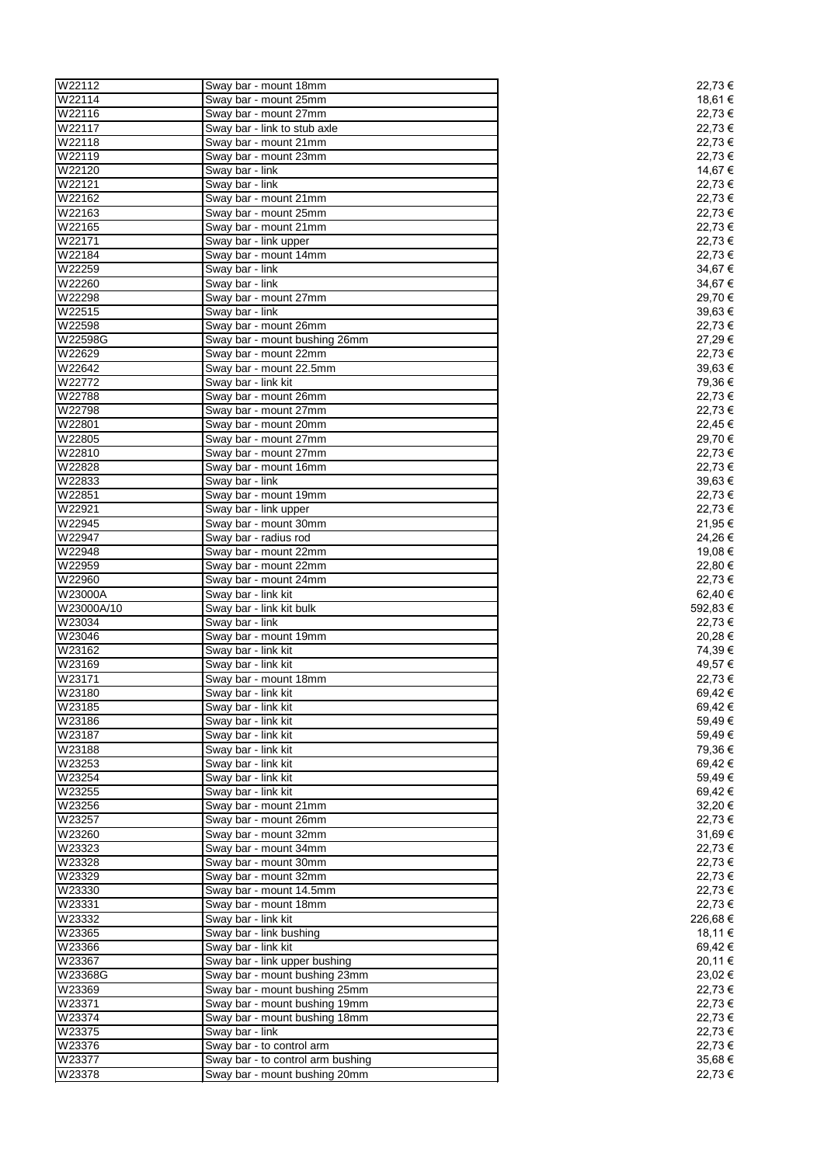| W22112           | Sway bar - mount 18mm                                              | 22,73 €            |
|------------------|--------------------------------------------------------------------|--------------------|
| W22114           | Sway bar - mount 25mm                                              | 18,61 €            |
| W22116           | Sway bar - mount 27mm                                              | 22,73 €            |
| W22117           | Sway bar - link to stub axle                                       | 22,73€             |
| W22118           |                                                                    | 22,73€             |
|                  | Sway bar - mount 21mm                                              |                    |
| W22119           | Sway bar - mount 23mm                                              | 22,73€             |
| W22120           | Sway bar - link                                                    | 14,67 €            |
| W22121           | Sway bar - link                                                    | 22,73 €            |
| W22162           | Sway bar - mount 21mm                                              | 22,73€             |
| W22163           | Sway bar - mount 25mm                                              | 22,73 €            |
| W22165           | Sway bar - mount 21mm                                              | 22,73 €            |
| W22171           | Sway bar - link upper                                              | 22,73 €            |
| W22184           | Sway bar - mount 14mm                                              | 22,73 €            |
| W22259           | Sway bar - link                                                    | 34,67€             |
| W22260           | Sway bar - link                                                    | 34,67€             |
|                  |                                                                    |                    |
| W22298           | Sway bar - mount 27mm                                              | 29,70€             |
| W22515           | Sway bar - link                                                    | 39,63€             |
| W22598           | Sway bar - mount 26mm                                              | 22,73 €            |
| W22598G          | Sway bar - mount bushing 26mm                                      | 27,29€             |
| W22629           | Sway bar - mount 22mm                                              | 22,73 €            |
| W22642           | Sway bar - mount 22.5mm                                            | 39,63 €            |
| W22772           | Sway bar - link kit                                                | 79,36€             |
| W22788           | Sway bar - mount 26mm                                              | 22,73€             |
| W22798           | Sway bar - mount 27mm                                              | 22,73 €            |
|                  |                                                                    | 22,45€             |
| W22801           | Sway bar - mount 20mm                                              |                    |
| W22805           | Sway bar - mount 27mm                                              | 29,70 €            |
| W22810           | Sway bar - mount 27mm                                              | 22,73€             |
| W22828           | Sway bar - mount 16mm                                              | 22,73€             |
| W22833           | Sway bar - link                                                    | 39,63€             |
| W22851           | Sway bar - mount 19mm                                              | 22,73 €            |
| W22921           | Sway bar - link upper                                              | 22,73 €            |
| W22945           | Sway bar - mount 30mm                                              | 21,95€             |
| W22947           | Sway bar - radius rod                                              | 24,26€             |
| W22948           | Sway bar - mount 22mm                                              | 19,08€             |
|                  |                                                                    |                    |
| W22959           | Sway bar - mount 22mm                                              | 22,80 €            |
|                  |                                                                    |                    |
| W22960           | Sway bar - mount 24mm                                              | 22,73€             |
| W23000A          | Sway bar - link kit                                                | 62,40€             |
| W23000A/10       | Sway bar - link kit bulk                                           | 592,83€            |
| W23034           | Sway bar - link                                                    | 22,73 €            |
| W23046           | Sway bar - mount 19mm                                              | 20,28€             |
|                  | Sway bar - link kit                                                |                    |
| W23162           |                                                                    | 74,39€             |
| W23169           | Sway bar - link kit                                                | 49,57€             |
| W23171           | Sway bar - mount 18mm                                              | 22,73€             |
| W23180           | Sway bar - link kit                                                | 69,42€             |
| W23185           | Sway bar - link kit                                                | 69,42€             |
| W23186           | Sway bar - link kit                                                | 59,49€             |
| W23187           | Sway bar - link kit                                                | 59,49€             |
| W23188           | Sway bar - link kit                                                | 79,36€             |
| W23253           | Sway bar - link kit                                                | 69,42€             |
| W23254           | Sway bar - link kit                                                |                    |
|                  | Sway bar - link kit                                                | 59,49€             |
| W23255           |                                                                    | 69,42€             |
| W23256           | Sway bar - mount 21mm                                              | 32,20€             |
| W23257           | Sway bar - mount 26mm                                              | 22,73€             |
| W23260           | Sway bar - mount 32mm                                              | 31,69€             |
| W23323           | Sway bar - mount 34mm                                              | 22,73 €            |
| W23328           | Sway bar - mount 30mm                                              | 22,73 €            |
| W23329           | Sway bar - mount 32mm                                              | 22,73 €            |
| W23330           | Sway bar - mount 14.5mm                                            | 22,73€             |
| W23331           | Sway bar - mount 18mm                                              | 22,73€             |
| W23332           | Sway bar - link kit                                                |                    |
| W23365           |                                                                    | 226,68€<br>18,11 € |
|                  | Sway bar - link bushing                                            |                    |
| W23366           | Sway bar - link kit                                                | 69,42 €            |
| W23367           | Sway bar - link upper bushing                                      | 20,11 €            |
| W23368G          | Sway bar - mount bushing 23mm                                      | 23,02€             |
| W23369           | Sway bar - mount bushing 25mm                                      | 22,73 €            |
| W23371           | Sway bar - mount bushing 19mm                                      | 22,73€             |
| W23374           | Sway bar - mount bushing 18mm                                      | 22,73 €            |
| W23375           | Sway bar - link                                                    | 22,73€             |
| W23376           |                                                                    | 22,73 €            |
|                  | Sway bar - to control arm                                          |                    |
| W23377<br>W23378 | Sway bar - to control arm bushing<br>Sway bar - mount bushing 20mm | 35,68€<br>22,73€   |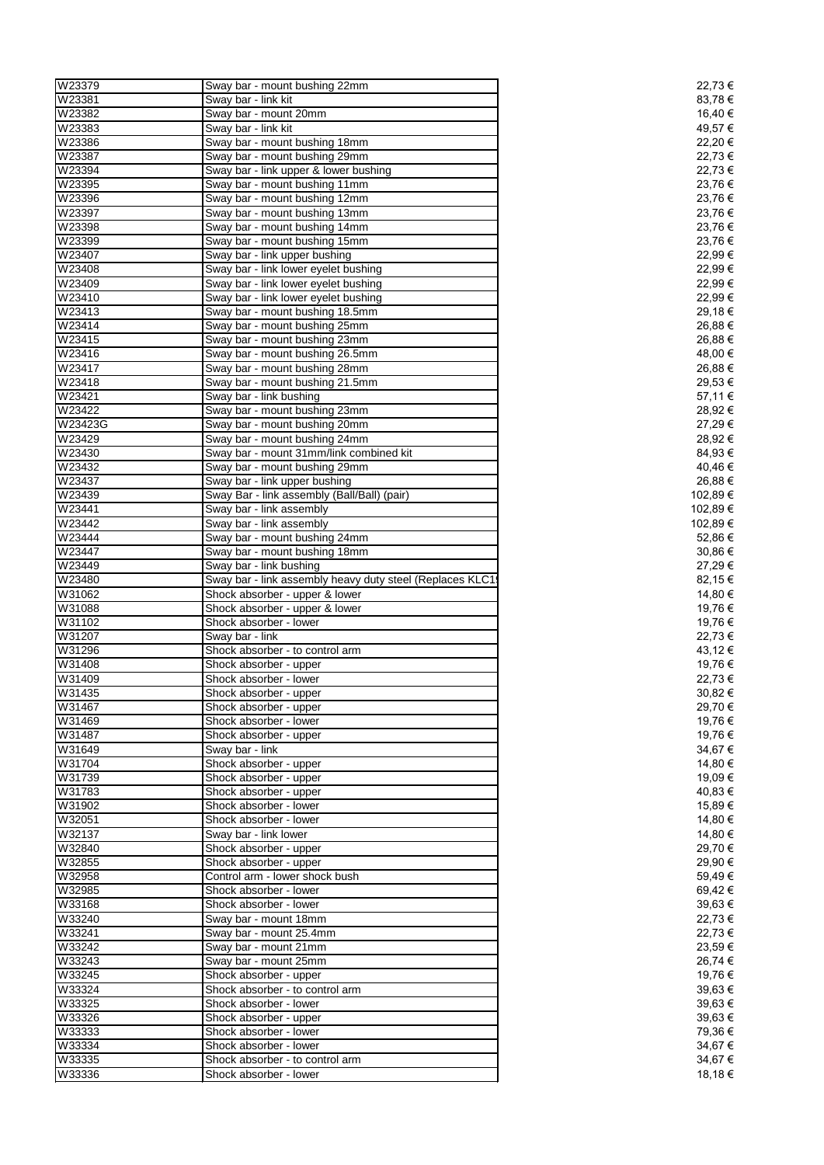| W23379           | Sway bar - mount bushing 22mm                                  | 22,73 €          |
|------------------|----------------------------------------------------------------|------------------|
| W23381           | Sway bar - link kit                                            | 83,78€           |
| W23382           | Sway bar - mount 20mm                                          | 16,40 €          |
| W23383           | Sway bar - link kit                                            | 49,57€           |
| W23386           | Sway bar - mount bushing 18mm                                  | 22,20 €          |
| W23387           | Sway bar - mount bushing 29mm                                  | 22,73 €          |
| W23394           | Sway bar - link upper & lower bushing                          | 22,73 €          |
| W23395           | Sway bar - mount bushing 11mm                                  | 23,76€           |
| W23396           | Sway bar - mount bushing 12mm                                  | 23,76€           |
| W23397           | Sway bar - mount bushing 13mm                                  | 23,76€           |
| W23398           | Sway bar - mount bushing 14mm                                  | 23,76€           |
| W23399           | Sway bar - mount bushing 15mm                                  | 23,76€           |
| W23407           | Sway bar - link upper bushing                                  | 22,99€           |
| W23408           | Sway bar - link lower eyelet bushing                           | 22,99€           |
| W23409           | Sway bar - link lower eyelet bushing                           | 22,99€           |
| W23410           | Sway bar - link lower eyelet bushing                           | 22,99€           |
| W23413           | Sway bar - mount bushing 18.5mm                                | 29,18€           |
| W23414           | Sway bar - mount bushing 25mm                                  | 26,88€           |
| W23415           | Sway bar - mount bushing 23mm                                  | 26,88€           |
| W23416           | Sway bar - mount bushing 26.5mm                                | 48,00 €          |
| W23417           | Sway bar - mount bushing 28mm                                  | 26,88 €          |
| W23418           | Sway bar - mount bushing 21.5mm                                | 29,53€           |
| W23421           | Sway bar - link bushing                                        | 57,11 €          |
| W23422           | Sway bar - mount bushing 23mm                                  | 28,92€           |
| W23423G          | Sway bar - mount bushing 20mm                                  | 27,29€           |
| W23429           | Sway bar - mount bushing 24mm                                  | 28,92€           |
| W23430           | Sway bar - mount 31mm/link combined kit                        | 84,93€           |
| W23432           |                                                                | 40,46€           |
|                  | Sway bar - mount bushing 29mm<br>Sway bar - link upper bushing |                  |
| W23437           |                                                                | 26,88€           |
| W23439           | Sway Bar - link assembly (Ball/Ball) (pair)                    | 102,89€          |
| W23441           | Sway bar - link assembly                                       | 102,89€          |
| W23442           | Sway bar - link assembly                                       | 102,89€          |
| W23444           | Sway bar - mount bushing 24mm                                  | 52,86 €          |
| W23447           | Sway bar - mount bushing 18mm                                  | 30,86 €          |
| W23449           | Sway bar - link bushing                                        | 27,29€           |
| W23480           | Sway bar - link assembly heavy duty steel (Replaces KLC1       | 82,15 €          |
| W31062           | Shock absorber - upper & lower                                 | 14,80 €          |
| W31088           | Shock absorber - upper & lower                                 | 19,76 €          |
| W31102           | Shock absorber - lower                                         | 19,76 €          |
| W31207           | Sway bar - link                                                | 22,73 €          |
| W31296           | Shock absorber - to control arm                                | 43,12 €          |
| W31408           | Shock absorber - upper                                         | 19,76 €          |
| W31409           | Shock absorber - lower                                         | 22,73 €          |
| W31435           | Shock absorber - upper                                         | 30,82€           |
| W31467           | Shock absorber - upper                                         | 29,70 €          |
| W31469           | Shock absorber - lower                                         | 19,76 €          |
| W31487           | Shock absorber - upper                                         |                  |
|                  |                                                                | 19,76 €          |
| W31649           | Sway bar - link                                                | 34,67€           |
| W31704           | Shock absorber - upper                                         | 14,80 €          |
| W31739           | Shock absorber - upper                                         | 19,09€           |
| W31783           | Shock absorber - upper                                         | 40,83 €          |
| W31902           | Shock absorber - lower                                         | 15,89€           |
| W32051           | Shock absorber - lower                                         | 14,80 €          |
| W32137           | Sway bar - link lower                                          | 14,80 €          |
|                  |                                                                | 29,70 €          |
| W32840<br>W32855 | Shock absorber - upper<br>Shock absorber - upper               | 29,90 €          |
|                  |                                                                |                  |
| W32958           | Control arm - lower shock bush                                 | 59,49€           |
| W32985           | Shock absorber - lower                                         | 69,42€           |
| W33168           | Shock absorber - lower                                         | 39,63€           |
| W33240           | Sway bar - mount 18mm                                          | 22,73 €          |
| W33241           | Sway bar - mount 25.4mm                                        | 22,73 €          |
| W33242           | Sway bar - mount 21mm                                          | 23,59€           |
| W33243           | Sway bar - mount 25mm                                          | 26,74 €          |
| W33245           | Shock absorber - upper                                         | 19,76 €          |
| W33324           | Shock absorber - to control arm                                | 39,63€           |
| W33325           | Shock absorber - lower                                         | 39,63€           |
| W33326           | Shock absorber - upper                                         | 39,63€           |
| W33333           | Shock absorber - lower                                         | 79,36 €          |
| W33334           | Shock absorber - lower                                         | 34,67€           |
| W33335<br>W33336 | Shock absorber - to control arm<br>Shock absorber - lower      | 34,67€<br>18,18€ |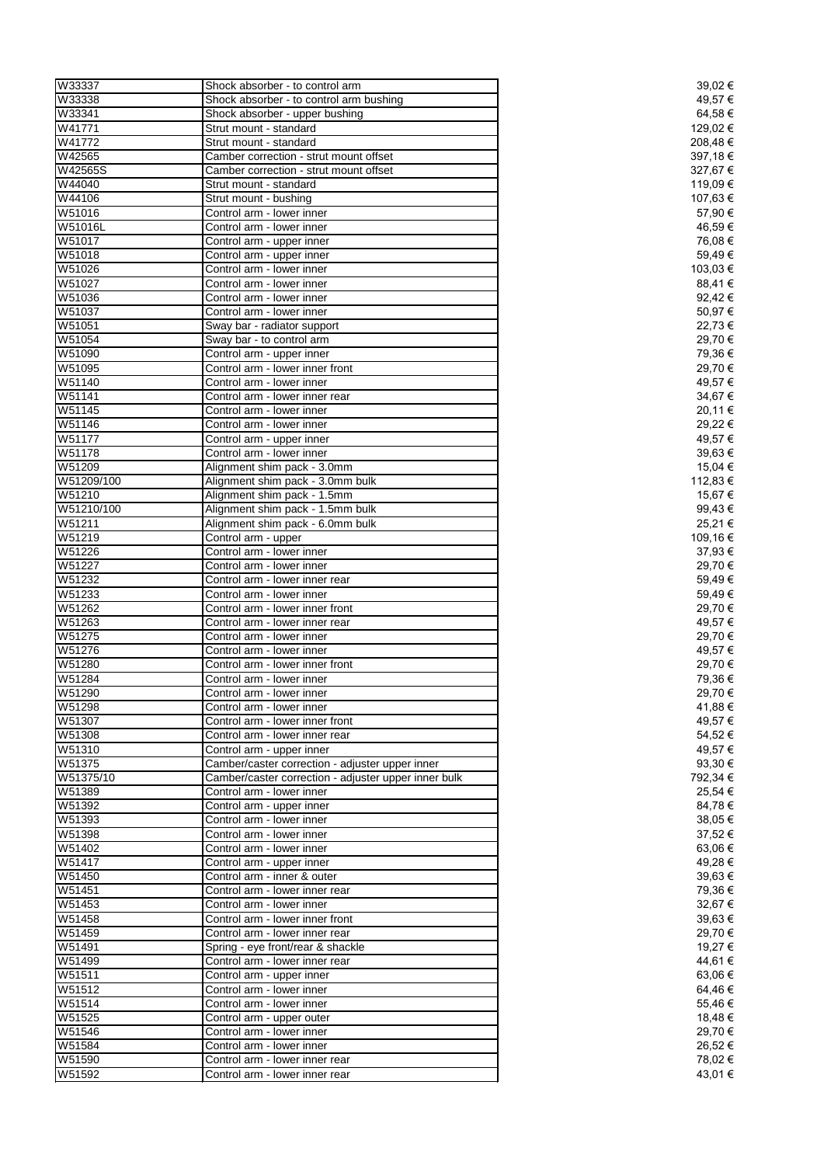| W33337     | Shock absorber - to control arm                      | 39,02 €  |
|------------|------------------------------------------------------|----------|
| W33338     | Shock absorber - to control arm bushing              | 49,57 €  |
| W33341     | Shock absorber - upper bushing                       | 64,58 €  |
| W41771     | Strut mount - standard                               | 129,02 € |
| W41772     | Strut mount - standard                               | 208,48€  |
| W42565     | Camber correction - strut mount offset               | 397,18€  |
| W42565S    | Camber correction - strut mount offset               | 327,67 € |
| W44040     | Strut mount - standard                               | 119,09 € |
| W44106     | Strut mount - bushing                                | 107,63 € |
| W51016     | Control arm - lower inner                            | 57,90 €  |
| W51016L    | Control arm - lower inner                            | 46,59€   |
| W51017     | Control arm - upper inner                            | 76,08€   |
| W51018     | Control arm - upper inner                            | 59,49€   |
| W51026     | Control arm - lower inner                            | 103,03 € |
| W51027     | Control arm - lower inner                            | 88,41€   |
| W51036     | Control arm - lower inner                            | 92,42 €  |
| W51037     | Control arm - lower inner                            | 50,97€   |
| W51051     | Sway bar - radiator support                          | 22,73 €  |
| W51054     | Sway bar - to control arm                            | 29,70 €  |
| W51090     | Control arm - upper inner                            | 79,36 €  |
| W51095     | Control arm - lower inner front                      | 29,70€   |
| W51140     | Control arm - lower inner                            | 49,57 €  |
| W51141     | Control arm - lower inner rear                       | 34,67€   |
| W51145     | Control arm - lower inner                            | 20,11 €  |
| W51146     | Control arm - lower inner                            | 29,22€   |
| W51177     | Control arm - upper inner                            | 49,57 €  |
| W51178     | Control arm - lower inner                            | 39,63€   |
| W51209     | Alignment shim pack - 3.0mm                          | 15,04 €  |
| W51209/100 | Alignment shim pack - 3.0mm bulk                     | 112,83 € |
| W51210     | Alignment shim pack - 1.5mm                          | 15,67 €  |
| W51210/100 | Alignment shim pack - 1.5mm bulk                     | 99,43 €  |
| W51211     | Alignment shim pack - 6.0mm bulk                     | 25,21 €  |
| W51219     | Control arm - upper                                  | 109,16 € |
| W51226     | Control arm - lower inner                            | 37,93 €  |
| W51227     | Control arm - lower inner                            | 29,70 €  |
| W51232     | Control arm - lower inner rear                       | 59,49€   |
| W51233     | Control arm - lower inner                            | 59,49€   |
| W51262     | Control arm - lower inner front                      | 29,70 €  |
| W51263     | Control arm - lower inner rear                       | 49,57 €  |
| W51275     | Control arm - lower inner                            | 29,70 €  |
| W51276     | Control arm - lower inner                            | 49,57€   |
| W51280     | Control arm - lower inner front                      | 29,70 €  |
| W51284     | Control arm - lower inner                            | 79,36€   |
| W51290     | Control arm - lower inner                            | 29,70 €  |
| W51298     | Control arm - lower inner                            | 41,88 €  |
| W51307     | Control arm - lower inner front                      | 49,57 €  |
| W51308     | Control arm - lower inner rear                       | 54,52 €  |
| W51310     | Control arm - upper inner                            | 49,57€   |
| W51375     | Camber/caster correction - adjuster upper inner      | 93,30 €  |
| W51375/10  | Camber/caster correction - adjuster upper inner bulk | 792,34 € |
| W51389     | Control arm - lower inner                            | 25,54 €  |
| W51392     | Control arm - upper inner                            | 84,78€   |
| W51393     | Control arm - lower inner                            | 38,05 €  |
| W51398     | Control arm - lower inner                            | 37,52 €  |
| W51402     | Control arm - lower inner                            | 63,06 €  |
| W51417     | Control arm - upper inner                            | 49,28 €  |
| W51450     | Control arm - inner & outer                          | 39,63 €  |
| W51451     | Control arm - lower inner rear                       | 79,36€   |
| W51453     | Control arm - lower inner                            | 32,67€   |
| W51458     | Control arm - lower inner front                      | 39,63€   |
| W51459     | Control arm - lower inner rear                       | 29,70 €  |
| W51491     | Spring - eye front/rear & shackle                    | 19,27 €  |
| W51499     | Control arm - lower inner rear                       | 44,61 €  |
| W51511     | Control arm - upper inner                            | 63,06 €  |
| W51512     | Control arm - lower inner                            | 64,46 €  |
| W51514     | Control arm - lower inner                            | 55,46€   |
| W51525     | Control arm - upper outer                            | 18,48€   |
| W51546     | Control arm - lower inner                            | 29,70 €  |
| W51584     | Control arm - lower inner                            | 26,52 €  |
| W51590     | Control arm - lower inner rear                       | 78,02 €  |
| W51592     | Control arm - lower inner rear                       | 43,01 €  |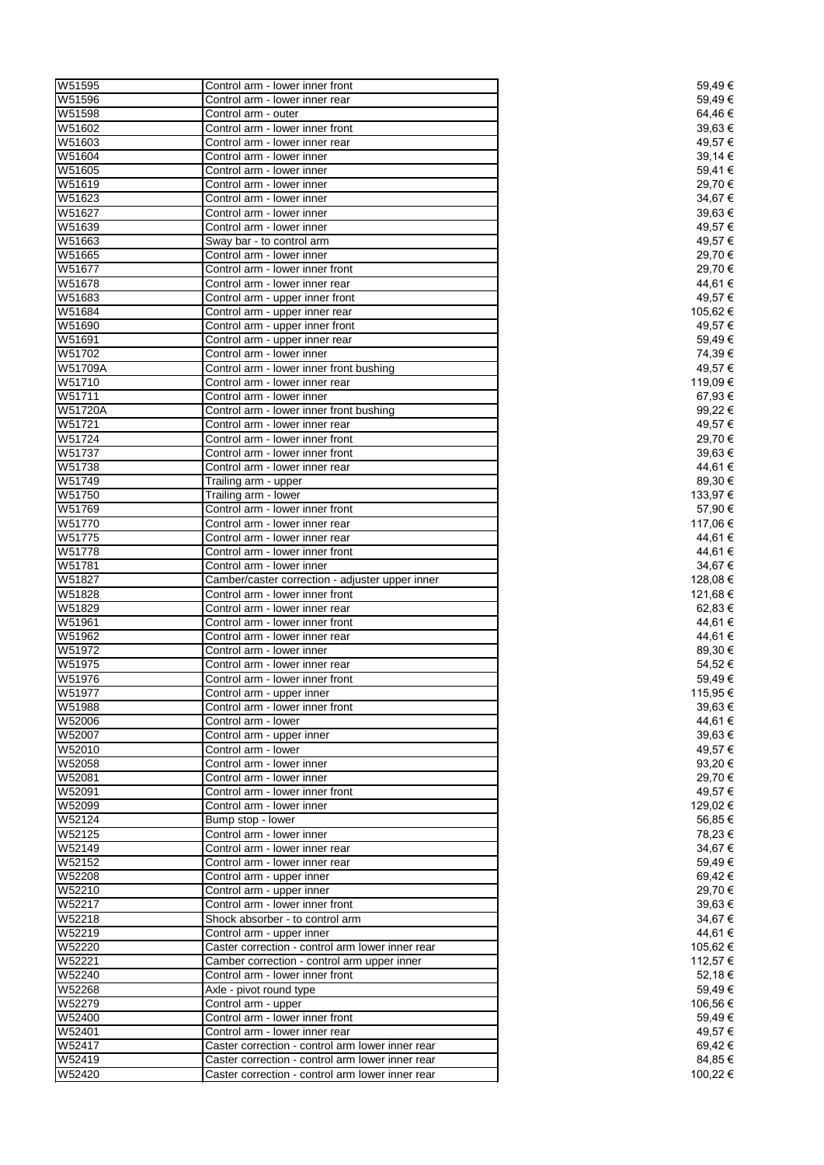| W51595  | Control arm - lower inner front                  | 59,49€   |
|---------|--------------------------------------------------|----------|
| W51596  | Control arm - lower inner rear                   | 59,49€   |
| W51598  | Control arm - outer                              | 64,46€   |
| W51602  | Control arm - lower inner front                  | 39,63 €  |
| W51603  | Control arm - lower inner rear                   | 49,57€   |
| W51604  | Control arm - lower inner                        | 39,14 €  |
| W51605  | Control arm - lower inner                        | 59,41 €  |
| W51619  |                                                  | 29,70 €  |
|         | Control arm - lower inner                        |          |
| W51623  | Control arm - lower inner                        | 34,67€   |
| W51627  | Control arm - lower inner                        | 39,63€   |
| W51639  | Control arm - lower inner                        | 49,57 €  |
| W51663  | Sway bar - to control arm                        | 49,57 €  |
| W51665  | Control arm - lower inner                        | 29,70 €  |
| W51677  | Control arm - lower inner front                  | 29,70 €  |
| W51678  | Control arm - lower inner rear                   | 44,61 €  |
| W51683  | Control arm - upper inner front                  | 49,57 €  |
| W51684  | Control arm - upper inner rear                   | 105,62 € |
| W51690  | Control arm - upper inner front                  | 49,57 €  |
| W51691  | Control arm - upper inner rear                   | 59,49€   |
| W51702  | Control arm - lower inner                        | 74,39€   |
| W51709A |                                                  | 49,57 €  |
|         | Control arm - lower inner front bushing          |          |
| W51710  | Control arm - lower inner rear                   | 119,09€  |
| W51711  | Control arm - lower inner                        | 67,93€   |
| W51720A | Control arm - lower inner front bushing          | 99,22 €  |
| W51721  | Control arm - lower inner rear                   | 49,57 €  |
| W51724  | Control arm - lower inner front                  | 29,70 €  |
| W51737  | Control arm - lower inner front                  | 39,63 €  |
| W51738  | Control arm - lower inner rear                   | 44,61 €  |
| W51749  | Trailing arm - upper                             | 89,30€   |
| W51750  | Trailing arm - lower                             | 133,97 € |
| W51769  | Control arm - lower inner front                  | 57,90 €  |
| W51770  | Control arm - lower inner rear                   | 117,06 € |
|         |                                                  |          |
| W51775  | Control arm - lower inner rear                   | 44,61 €  |
| W51778  | Control arm - lower inner front                  | 44,61 €  |
| W51781  | Control arm - lower inner                        | 34,67 €  |
| W51827  | Camber/caster correction - adjuster upper inner  | 128,08 € |
| W51828  | Control arm - lower inner front                  | 121,68 € |
| W51829  | Control arm - lower inner rear                   | 62,83 €  |
| W51961  | Control arm - lower inner front                  | 44,61 €  |
| W51962  | Control arm - lower inner rear                   | 44,61 €  |
| W51972  | Control arm - lower inner                        | 89,30 €  |
| W51975  | Control arm - lower inner rear                   | 54,52€   |
| W51976  | Control arm - lower inner front                  | 59,49€   |
| W51977  | Control arm - upper inner                        | 115,95 € |
| W51988  |                                                  | 39,63 €  |
|         | Control arm - lower inner front                  |          |
| W52006  | Control arm - lower                              | 44,61 €  |
| W52007  | Control arm - upper inner                        | 39,63 €  |
| W52010  | Control arm - lower                              | 49,57 €  |
| W52058  | Control arm - lower inner                        | 93,20 €  |
| W52081  | Control arm - lower inner                        | 29,70 €  |
| W52091  | Control arm - lower inner front                  | 49,57 €  |
| W52099  | Control arm - lower inner                        | 129,02€  |
| W52124  | Bump stop - lower                                | 56,85 €  |
| W52125  | Control arm - lower inner                        | 78,23 €  |
| W52149  | Control arm - lower inner rear                   | 34,67 €  |
| W52152  | Control arm - lower inner rear                   | 59,49€   |
| W52208  | Control arm - upper inner                        | 69,42 €  |
| W52210  |                                                  | 29,70 €  |
|         | Control arm - upper inner                        |          |
| W52217  | Control arm - lower inner front                  | 39,63 €  |
| W52218  | Shock absorber - to control arm                  | 34,67 €  |
| W52219  | Control arm - upper inner                        | 44,61 €  |
| W52220  | Caster correction - control arm lower inner rear | 105,62 € |
| W52221  | Camber correction - control arm upper inner      | 112,57 € |
| W52240  | Control arm - lower inner front                  | 52,18 €  |
| W52268  | Axle - pivot round type                          | 59,49€   |
| W52279  | Control arm - upper                              | 106,56 € |
| W52400  | Control arm - lower inner front                  | 59,49€   |
| W52401  | Control arm - lower inner rear                   | 49,57 €  |
| W52417  |                                                  | 69,42 €  |
|         | Caster correction - control arm lower inner rear |          |
| W52419  | Caster correction - control arm lower inner rear | 84,85 €  |
| W52420  | Caster correction - control arm lower inner rear | 100,22 € |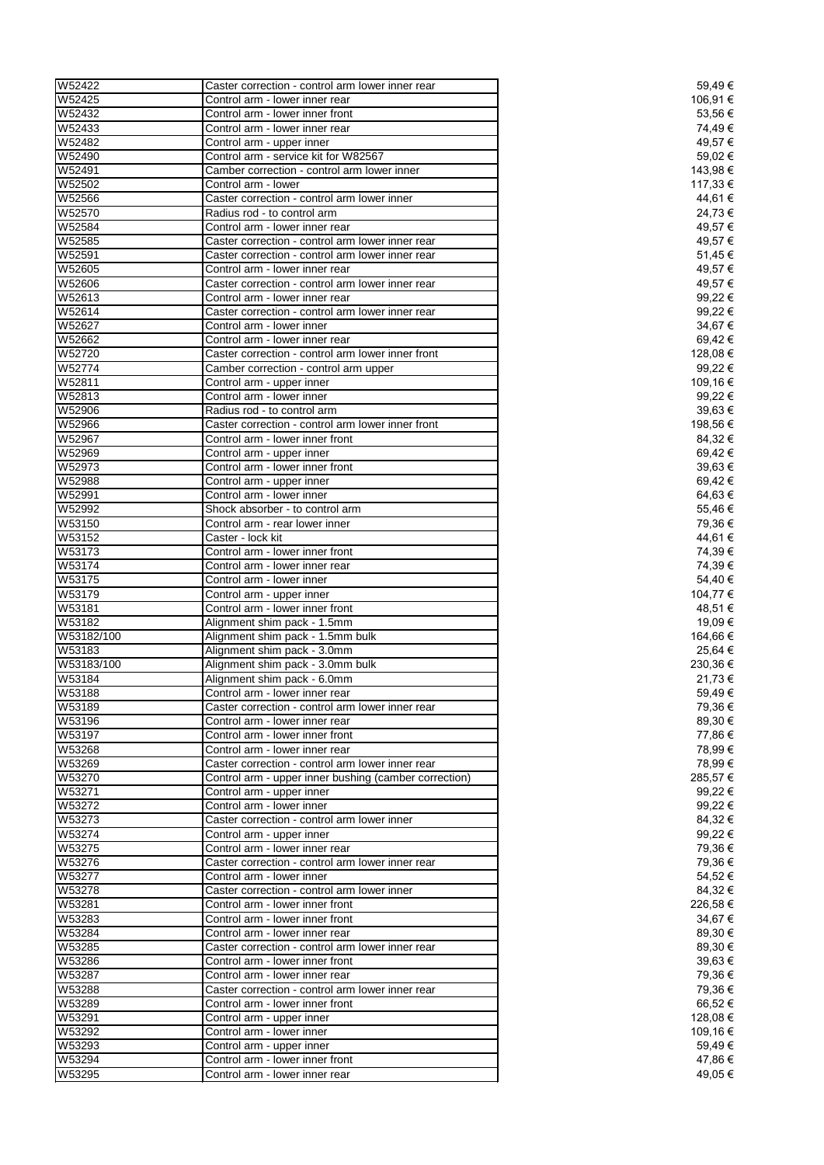| W52422     | Caster correction - control arm lower inner rear      | 59,49€   |
|------------|-------------------------------------------------------|----------|
| W52425     | Control arm - lower inner rear                        | 106,91 € |
| W52432     | Control arm - lower inner front                       | 53,56€   |
| W52433     | Control arm - lower inner rear                        | 74,49€   |
| W52482     |                                                       | 49,57 €  |
|            | Control arm - upper inner                             |          |
| W52490     | Control arm - service kit for W82567                  | 59,02 €  |
| W52491     | Camber correction - control arm lower inner           | 143,98 € |
| W52502     | Control arm - lower                                   | 117,33 € |
| W52566     | Caster correction - control arm lower inner           | 44,61 €  |
| W52570     | Radius rod - to control arm                           | 24,73€   |
| W52584     | Control arm - lower inner rear                        | 49,57 €  |
| W52585     | Caster correction - control arm lower inner rear      | 49,57 €  |
| W52591     | Caster correction - control arm lower inner rear      | 51,45€   |
|            |                                                       |          |
| W52605     | Control arm - lower inner rear                        | 49,57€   |
| W52606     | Caster correction - control arm lower inner rear      | 49,57 €  |
| W52613     | Control arm - lower inner rear                        | 99,22 €  |
| W52614     | Caster correction - control arm lower inner rear      | 99,22€   |
| W52627     | Control arm - lower inner                             | 34,67 €  |
| W52662     | Control arm - lower inner rear                        | 69,42 €  |
|            |                                                       |          |
| W52720     | Caster correction - control arm lower inner front     | 128,08 € |
| W52774     | Camber correction - control arm upper                 | 99,22 €  |
| W52811     | Control arm - upper inner                             | 109,16 € |
| W52813     | Control arm - lower inner                             | 99,22 €  |
| W52906     | Radius rod - to control arm                           | 39,63 €  |
| W52966     | Caster correction - control arm lower inner front     | 198,56 € |
| W52967     | Control arm - lower inner front                       | 84,32 €  |
|            |                                                       |          |
| W52969     | Control arm - upper inner                             | 69,42€   |
| W52973     | Control arm - lower inner front                       | 39,63€   |
| W52988     | Control arm - upper inner                             | 69,42€   |
| W52991     | Control arm - lower inner                             | 64,63€   |
| W52992     | Shock absorber - to control arm                       | 55,46€   |
| W53150     | Control arm - rear lower inner                        | 79,36 €  |
|            |                                                       |          |
| W53152     | Caster - lock kit                                     | 44,61 €  |
| W53173     | Control arm - lower inner front                       | 74,39€   |
| W53174     | Control arm - lower inner rear                        | 74,39€   |
| W53175     | Control arm - lower inner                             | 54,40 €  |
|            | Control arm - upper inner                             |          |
|            |                                                       | 104,77 € |
| W53179     |                                                       |          |
| W53181     | Control arm - lower inner front                       | 48,51 €  |
| W53182     | Alignment shim pack - 1.5mm                           | 19,09€   |
| W53182/100 | Alignment shim pack - 1.5mm bulk                      | 164,66 € |
| W53183     | Alignment shim pack - 3.0mm                           | 25,64 €  |
| W53183/100 | Alignment shim pack - 3.0mm bulk                      | 230,36 € |
| W53184     | Alignment shim pack - 6.0mm                           | 21,73 €  |
|            | Control arm - lower inner rear                        | 59,49€   |
| W53188     |                                                       |          |
| W53189     | Caster correction - control arm lower inner rear      | 79,36 €  |
| W53196     | Control arm - lower inner rear                        | 89,30 €  |
| W53197     | Control arm - lower inner front                       | 77,86 €  |
| W53268     | Control arm - lower inner rear                        | 78,99€   |
| W53269     | Caster correction - control arm lower inner rear      | 78,99€   |
| W53270     | Control arm - upper inner bushing (camber correction) | 285,57€  |
| W53271     | Control arm - upper inner                             | 99,22 €  |
|            | Control arm - lower inner                             | 99,22 €  |
| W53272     |                                                       |          |
| W53273     | Caster correction - control arm lower inner           | 84,32 €  |
| W53274     | Control arm - upper inner                             | 99,22 €  |
| W53275     | Control arm - lower inner rear                        | 79,36 €  |
| W53276     | Caster correction - control arm lower inner rear      | 79,36€   |
| W53277     | Control arm - lower inner                             | 54,52€   |
| W53278     | Caster correction - control arm lower inner           | 84,32 €  |
| W53281     | Control arm - lower inner front                       | 226,58€  |
|            |                                                       |          |
| W53283     | Control arm - lower inner front                       | 34,67 €  |
| W53284     | Control arm - lower inner rear                        | 89,30 €  |
| W53285     | Caster correction - control arm lower inner rear      | 89,30 €  |
| W53286     | Control arm - lower inner front                       | 39,63€   |
| W53287     | Control arm - lower inner rear                        | 79,36 €  |
| W53288     | Caster correction - control arm lower inner rear      | 79,36€   |
| W53289     | Control arm - lower inner front                       | 66,52€   |
|            |                                                       |          |
| W53291     | Control arm - upper inner                             | 128,08 € |
| W53292     | Control arm - lower inner                             | 109,16 € |
| W53293     | Control arm - upper inner                             | 59,49€   |
| W53294     | Control arm - lower inner front                       | 47,86 €  |
| W53295     | Control arm - lower inner rear                        | 49,05€   |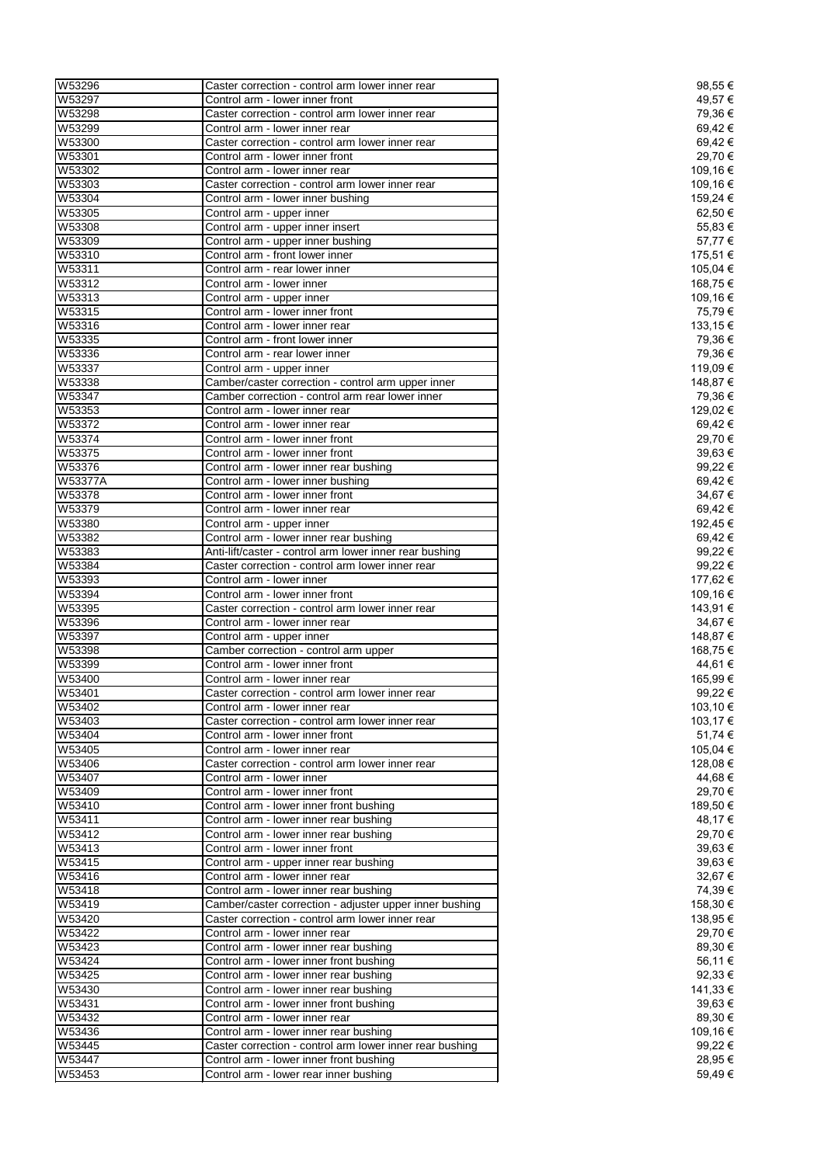| W53296         | Caster correction - control arm lower inner rear         | 98,55 €  |
|----------------|----------------------------------------------------------|----------|
| W53297         | Control arm - lower inner front                          | 49,57 €  |
| W53298         | Caster correction - control arm lower inner rear         | 79,36€   |
| W53299         | Control arm - lower inner rear                           | 69,42€   |
|                |                                                          |          |
| W53300         | Caster correction - control arm lower inner rear         | 69,42€   |
| W53301         | Control arm - lower inner front                          | 29,70 €  |
| W53302         | Control arm - lower inner rear                           | 109,16€  |
| W53303         | Caster correction - control arm lower inner rear         | 109,16€  |
| W53304         | Control arm - lower inner bushing                        | 159,24 € |
| W53305         | Control arm - upper inner                                | 62,50 €  |
| W53308         | Control arm - upper inner insert                         | 55,83 €  |
| W53309         | Control arm - upper inner bushing                        | 57,77€   |
|                | Control arm - front lower inner                          |          |
| W53310         |                                                          | 175,51 € |
| W53311         | Control arm - rear lower inner                           | 105,04 € |
| W53312         | Control arm - lower inner                                | 168,75 € |
| W53313         | Control arm - upper inner                                | 109,16€  |
| W53315         | Control arm - lower inner front                          | 75,79€   |
| W53316         | Control arm - lower inner rear                           | 133,15 € |
| W53335         | Control arm - front lower inner                          | 79,36 €  |
| W53336         | Control arm - rear lower inner                           | 79,36 €  |
| W53337         |                                                          | 119,09€  |
|                | Control arm - upper inner                                |          |
| W53338         | Camber/caster correction - control arm upper inner       | 148,87 € |
| W53347         | Camber correction - control arm rear lower inner         | 79,36 €  |
| W53353         | Control arm - lower inner rear                           | 129,02 € |
| W53372         | Control arm - lower inner rear                           | 69,42€   |
| W53374         | Control arm - lower inner front                          | 29,70 €  |
| W53375         | Control arm - lower inner front                          | 39,63€   |
| W53376         | Control arm - lower inner rear bushing                   | 99,22 €  |
| <b>W53377A</b> | Control arm - lower inner bushing                        | 69,42€   |
|                |                                                          |          |
| W53378         | Control arm - lower inner front                          | 34,67€   |
| W53379         | Control arm - lower inner rear                           | 69,42€   |
| W53380         | Control arm - upper inner                                | 192,45 € |
| W53382         | Control arm - lower inner rear bushing                   | 69,42€   |
| W53383         | Anti-lift/caster - control arm lower inner rear bushing  | 99,22 €  |
| W53384         | Caster correction - control arm lower inner rear         | 99,22 €  |
| W53393         | Control arm - lower inner                                | 177,62 € |
| W53394         | Control arm - lower inner front                          | 109,16 € |
| W53395         | Caster correction - control arm lower inner rear         | 143,91 € |
|                |                                                          |          |
| W53396         | Control arm - lower inner rear                           | 34,67 €  |
| W53397         | Control arm - upper inner                                | 148,87 € |
| W53398         | Camber correction - control arm upper                    | 168,75€  |
| W53399         | Control arm - lower inner front                          | 44,61 €  |
| W53400         | Control arm - lower inner rear                           | 165,99€  |
| W53401         | Caster correction - control arm lower inner rear         | 99,22 €  |
| W53402         | Control arm - lower inner rear                           | 103,10 € |
| W53403         | Caster correction - control arm lower inner rear         | 103,17 € |
| W53404         |                                                          | 51,74 €  |
|                | Control arm - lower inner front                          |          |
| W53405         | Control arm - lower inner rear                           | 105,04 € |
| W53406         | Caster correction - control arm lower inner rear         | 128,08 € |
| W53407         | Control arm - lower inner                                | 44,68 €  |
| W53409         | Control arm - lower inner front                          | 29,70 €  |
| W53410         | Control arm - lower inner front bushing                  | 189,50 € |
| W53411         | Control arm - lower inner rear bushing                   | 48,17€   |
| W53412         | Control arm - lower inner rear bushing                   | 29,70 €  |
| W53413         | Control arm - lower inner front                          | 39,63 €  |
| W53415         | Control arm - upper inner rear bushing                   | 39,63 €  |
|                |                                                          |          |
| W53416         | Control arm - lower inner rear                           | 32,67€   |
| W53418         | Control arm - lower inner rear bushing                   | 74,39€   |
| W53419         | Camber/caster correction - adjuster upper inner bushing  | 158,30 € |
| W53420         | Caster correction - control arm lower inner rear         | 138,95 € |
| W53422         | Control arm - lower inner rear                           | 29,70 €  |
| W53423         | Control arm - lower inner rear bushing                   | 89,30 €  |
| W53424         | Control arm - lower inner front bushing                  | 56,11 €  |
| W53425         | Control arm - lower inner rear bushing                   | 92,33 €  |
| W53430         | Control arm - lower inner rear bushing                   | 141,33 € |
|                |                                                          |          |
| W53431         | Control arm - lower inner front bushing                  | 39,63 €  |
| W53432         | Control arm - lower inner rear                           | 89,30 €  |
| W53436         | Control arm - lower inner rear bushing                   | 109,16 € |
| W53445         | Caster correction - control arm lower inner rear bushing | 99,22 €  |
| W53447         | Control arm - lower inner front bushing                  | 28,95€   |
| W53453         | Control arm - lower rear inner bushing                   | 59,49€   |
|                |                                                          |          |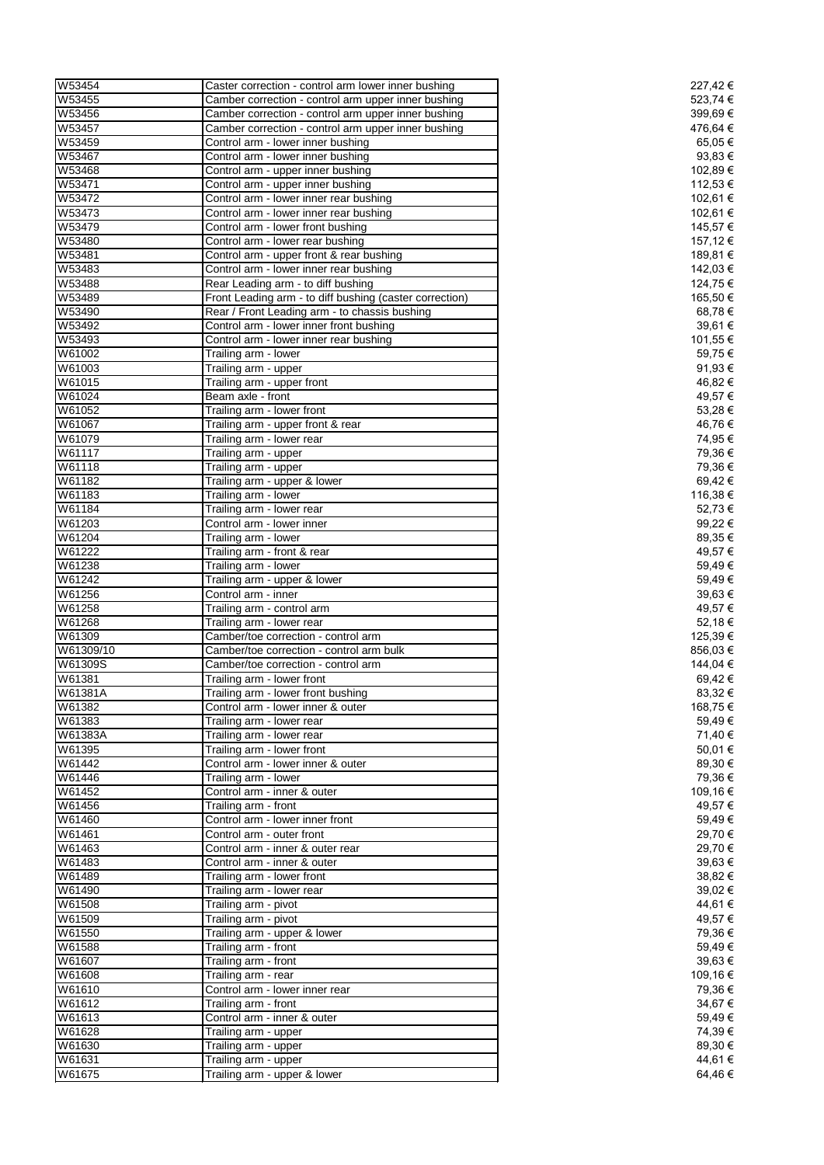| W53454    | Caster correction - control arm lower inner bushing     | 227,42 € |
|-----------|---------------------------------------------------------|----------|
| W53455    | Camber correction - control arm upper inner bushing     | 523,74 € |
| W53456    | Camber correction - control arm upper inner bushing     | 399,69€  |
| W53457    | Camber correction - control arm upper inner bushing     | 476,64 € |
| W53459    | Control arm - lower inner bushing                       | 65,05€   |
| W53467    | Control arm - lower inner bushing                       | 93,83€   |
| W53468    | Control arm - upper inner bushing                       | 102,89 € |
| W53471    | Control arm - upper inner bushing                       | 112,53 € |
|           |                                                         |          |
| W53472    | Control arm - lower inner rear bushing                  | 102,61 € |
| W53473    | Control arm - lower inner rear bushing                  | 102,61 € |
| W53479    | Control arm - lower front bushing                       | 145,57 € |
| W53480    | Control arm - lower rear bushing                        | 157,12 € |
| W53481    | Control arm - upper front & rear bushing                | 189,81 € |
| W53483    | Control arm - lower inner rear bushing                  | 142,03 € |
| W53488    | Rear Leading arm - to diff bushing                      | 124,75 € |
| W53489    | Front Leading arm - to diff bushing (caster correction) | 165,50 € |
| W53490    | Rear / Front Leading arm - to chassis bushing           | 68,78 €  |
| W53492    | Control arm - lower inner front bushing                 | 39,61 €  |
| W53493    | Control arm - lower inner rear bushing                  | 101,55 € |
| W61002    | Trailing arm - lower                                    | 59,75€   |
| W61003    |                                                         |          |
|           | Trailing arm - upper                                    | 91,93 €  |
| W61015    | Trailing arm - upper front                              | 46,82 €  |
| W61024    | Beam axle - front                                       | 49,57 €  |
| W61052    | Trailing arm - lower front                              | 53,28€   |
| W61067    | Trailing arm - upper front & rear                       | 46,76 €  |
| W61079    | Trailing arm - lower rear                               | 74,95 €  |
| W61117    | Trailing arm - upper                                    | 79,36€   |
| W61118    | Trailing arm - upper                                    | 79,36 €  |
| W61182    | Trailing arm - upper & lower                            | 69,42€   |
| W61183    | Trailing arm - lower                                    | 116,38 € |
| W61184    | Trailing arm - lower rear                               | 52,73 €  |
| W61203    |                                                         | 99,22 €  |
|           | Control arm - lower inner                               |          |
| W61204    | Trailing arm - lower                                    | 89,35 €  |
| W61222    | Trailing arm - front & rear                             | 49,57€   |
| W61238    | Trailing arm - lower                                    | 59,49€   |
| W61242    | Trailing arm - upper & lower                            | 59,49€   |
| W61256    | Control arm - inner                                     | 39,63€   |
| W61258    | Trailing arm - control arm                              | 49,57 €  |
| W61268    | Trailing arm - lower rear                               | 52,18€   |
| W61309    | Camber/toe correction - control arm                     | 125,39€  |
| W61309/10 | Camber/toe correction - control arm bulk                | 856,03€  |
| W61309S   | Camber/toe correction - control arm                     | 144,04 € |
| W61381    | Trailing arm - lower front                              | 69,42 €  |
| W61381A   |                                                         | 83,32 €  |
|           | Trailing arm - lower front bushing                      |          |
| W61382    | Control arm - lower inner & outer                       | 168,75 € |
| W61383    | Trailing arm - lower rear                               | 59,49€   |
| W61383A   | Trailing arm - lower rear                               | 71,40 €  |
| W61395    | Trailing arm - lower front                              | 50,01€   |
| W61442    | Control arm - lower inner & outer                       | 89,30 €  |
| W61446    | Trailing arm - lower                                    | 79,36 €  |
| W61452    | Control arm - inner & outer                             | 109,16 € |
| W61456    | Trailing arm - front                                    | 49,57 €  |
| W61460    | Control arm - lower inner front                         | 59,49€   |
| W61461    | Control arm - outer front                               | 29,70 €  |
| W61463    | Control arm - inner & outer rear                        | 29,70 €  |
| W61483    | Control arm - inner & outer                             | 39,63 €  |
|           |                                                         |          |
| W61489    | Trailing arm - lower front                              | 38,82 €  |
| W61490    | Trailing arm - lower rear                               | 39,02€   |
| W61508    | Trailing arm - pivot                                    | 44,61 €  |
| W61509    | Trailing arm - pivot                                    | 49,57 €  |
| W61550    | Trailing arm - upper & lower                            | 79,36 €  |
| W61588    | Trailing arm - front                                    | 59,49€   |
| W61607    | Trailing arm - front                                    | 39,63 €  |
| W61608    | Trailing arm - rear                                     | 109,16 € |
| W61610    | Control arm - lower inner rear                          | 79,36 €  |
| W61612    | Trailing arm - front                                    | 34,67 €  |
| W61613    | Control arm - inner & outer                             | 59,49€   |
| W61628    |                                                         | 74,39 €  |
|           | Trailing arm - upper                                    |          |
| W61630    | Trailing arm - upper                                    | 89,30 €  |
| W61631    | Trailing arm - upper                                    | 44,61 €  |
| W61675    | Trailing arm - upper & lower                            | 64,46€   |
|           |                                                         |          |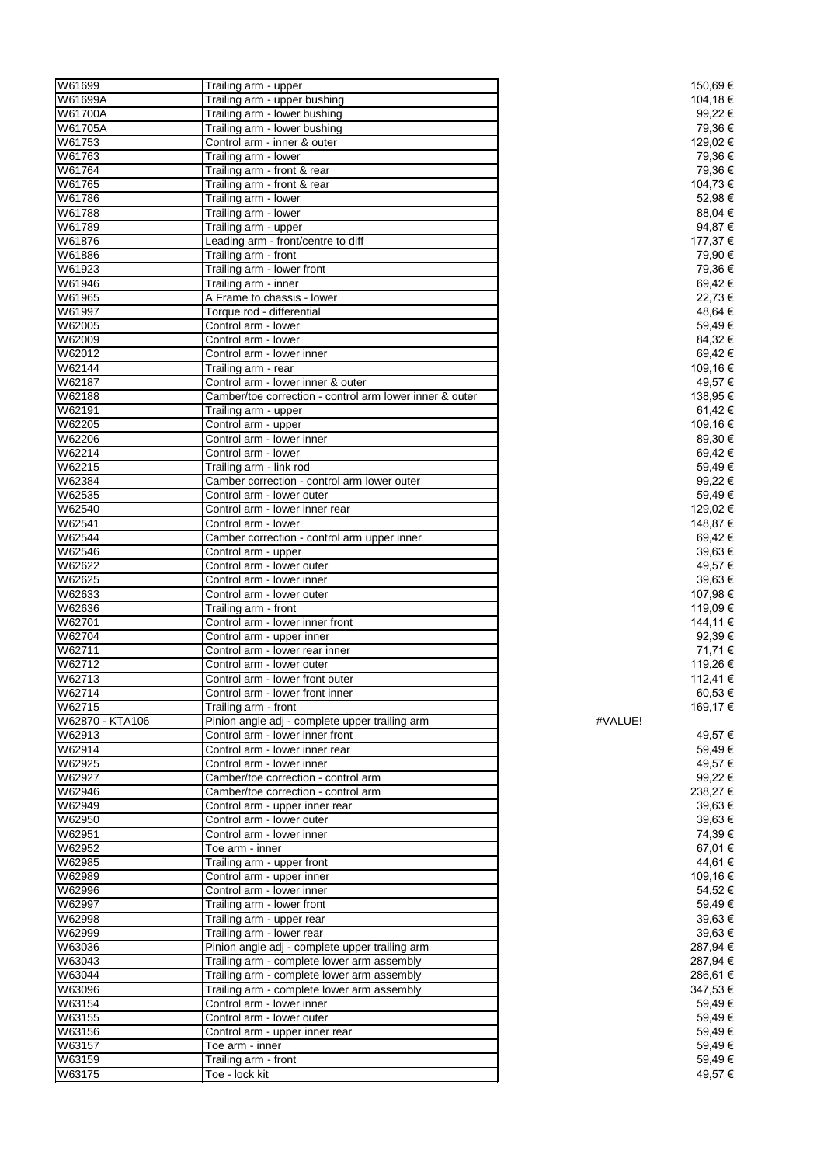| W61699          | Trailing arm - upper                                    | 150,69€  |  |
|-----------------|---------------------------------------------------------|----------|--|
|                 |                                                         |          |  |
| W61699A         | Trailing arm - upper bushing                            | 104,18 € |  |
| W61700A         | Trailing arm - lower bushing                            | 99,22€   |  |
| W61705A         | Trailing arm - lower bushing                            | 79,36 €  |  |
| W61753          | Control arm - inner & outer                             | 129,02 € |  |
| W61763          | Trailing arm - lower                                    | 79,36 €  |  |
|                 |                                                         |          |  |
| W61764          | Trailing arm - front & rear                             | 79,36 €  |  |
| W61765          | Trailing arm - front & rear                             | 104,73 € |  |
| W61786          | Trailing arm - lower                                    | 52,98€   |  |
| W61788          | Trailing arm - lower                                    | 88,04 €  |  |
|                 |                                                         |          |  |
| W61789          | Trailing arm - upper                                    | 94,87 €  |  |
| W61876          | Leading arm - front/centre to diff                      | 177,37 € |  |
| W61886          | Trailing arm - front                                    | 79,90 €  |  |
| W61923          | Trailing arm - lower front                              | 79,36 €  |  |
| W61946          |                                                         | 69,42€   |  |
|                 | Trailing arm - inner                                    |          |  |
| W61965          | A Frame to chassis - lower                              | 22,73 €  |  |
| W61997          | Torque rod - differential                               | 48,64 €  |  |
| W62005          | Control arm - lower                                     | 59,49€   |  |
| W62009          | Control arm - lower                                     | 84,32€   |  |
|                 |                                                         |          |  |
| W62012          | Control arm - lower inner                               | 69,42€   |  |
| W62144          | Trailing arm - rear                                     | 109,16 € |  |
| W62187          | Control arm - lower inner & outer                       | 49,57 €  |  |
| W62188          | Camber/toe correction - control arm lower inner & outer | 138,95 € |  |
|                 |                                                         |          |  |
| W62191          | Trailing arm - upper                                    | 61,42 €  |  |
| W62205          | Control arm - upper                                     | 109,16 € |  |
| W62206          | Control arm - lower inner                               | 89,30 €  |  |
| W62214          | Control arm - lower                                     | 69,42€   |  |
|                 |                                                         |          |  |
| W62215          | Trailing arm - link rod                                 | 59,49€   |  |
| W62384          | Camber correction - control arm lower outer             | 99,22€   |  |
| W62535          | Control arm - lower outer                               | 59,49€   |  |
| W62540          | Control arm - lower inner rear                          | 129,02€  |  |
|                 |                                                         |          |  |
| W62541          | Control arm - lower                                     | 148,87 € |  |
| W62544          | Camber correction - control arm upper inner             | 69,42€   |  |
| W62546          | Control arm - upper                                     | 39,63 €  |  |
| W62622          | Control arm - lower outer                               | 49,57 €  |  |
| W62625          |                                                         | 39,63 €  |  |
|                 | Control arm - lower inner                               |          |  |
| W62633          | Control arm - lower outer                               | 107,98 € |  |
| W62636          | Trailing arm - front                                    | 119,09€  |  |
| W62701          | Control arm - lower inner front                         | 144,11 € |  |
| W62704          | Control arm - upper inner                               | 92,39€   |  |
|                 |                                                         |          |  |
| W62711          | Control arm - lower rear inner                          | 71,71 €  |  |
| W62712          | Control arm - lower outer                               | 119,26 € |  |
| W62713          | Control arm - lower front outer                         | 112,41 € |  |
| W62714          | Control arm - lower front inner                         | 60,53€   |  |
|                 |                                                         |          |  |
| W62715          | Trailing arm - front                                    | 169,17 € |  |
| W62870 - KTA106 | Pinion angle adj - complete upper trailing arm          | #VALUE!  |  |
| W62913          | Control arm - lower inner front                         | 49,57 €  |  |
| W62914          | Control arm - lower inner rear                          | 59,49€   |  |
| W62925          | Control arm - lower inner                               | 49,57 €  |  |
|                 |                                                         |          |  |
| W62927          | Camber/toe correction - control arm                     | 99,22€   |  |
| W62946          | Camber/toe correction - control arm                     | 238,27€  |  |
| W62949          | Control arm - upper inner rear                          | 39,63€   |  |
| W62950          | Control arm - lower outer                               | 39,63€   |  |
|                 |                                                         | 74,39€   |  |
| W62951          | Control arm - lower inner                               |          |  |
| W62952          | Toe arm - inner                                         | 67,01 €  |  |
| W62985          | Trailing arm - upper front                              | 44,61 €  |  |
| W62989          | Control arm - upper inner                               | 109,16€  |  |
| W62996          | Control arm - lower inner                               | 54,52€   |  |
|                 |                                                         |          |  |
| W62997          | Trailing arm - lower front                              | 59,49€   |  |
| W62998          | Trailing arm - upper rear                               | 39,63€   |  |
| W62999          | Trailing arm - lower rear                               | 39,63 €  |  |
| W63036          | Pinion angle adj - complete upper trailing arm          | 287,94 € |  |
| W63043          |                                                         |          |  |
|                 | Trailing arm - complete lower arm assembly              | 287,94 € |  |
| W63044          | Trailing arm - complete lower arm assembly              | 286,61 € |  |
| W63096          | Trailing arm - complete lower arm assembly              | 347,53 € |  |
| W63154          | Control arm - lower inner                               | 59,49€   |  |
| W63155          | Control arm - lower outer                               | 59,49€   |  |
|                 |                                                         |          |  |
| W63156          | Control arm - upper inner rear                          | 59,49€   |  |
| W63157          | Toe arm - inner                                         | 59,49€   |  |
| W63159          | Trailing arm - front                                    | 59,49€   |  |
| W63175          | Toe - lock kit                                          | 49,57€   |  |
|                 |                                                         |          |  |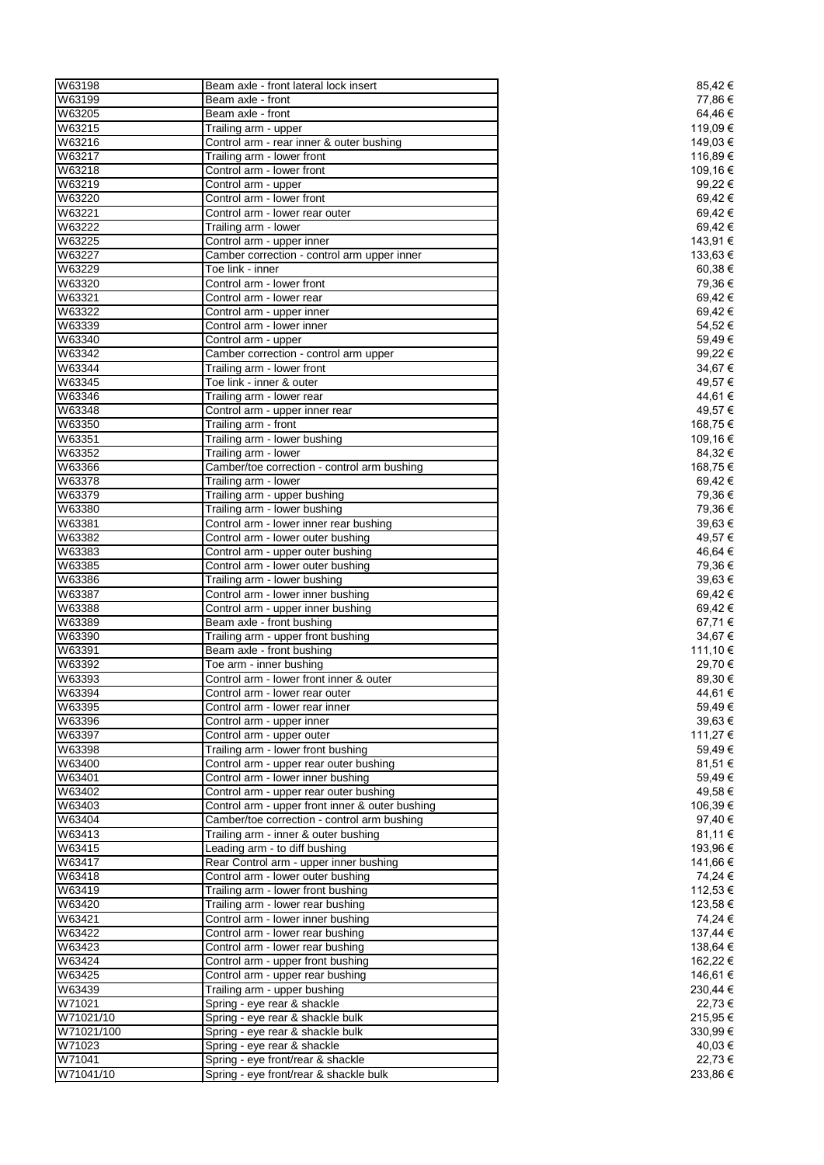| W63198     | Beam axle - front lateral lock insert           | 85,42€   |
|------------|-------------------------------------------------|----------|
| W63199     | Beam axle - front                               | 77,86 €  |
| W63205     | Beam axle - front                               | 64,46 €  |
| W63215     | Trailing arm - upper                            | 119,09€  |
| W63216     | Control arm - rear inner & outer bushing        | 149,03€  |
| W63217     | Trailing arm - lower front                      | 116,89€  |
|            |                                                 |          |
| W63218     | Control arm - lower front                       | 109,16€  |
| W63219     | Control arm - upper                             | 99,22 €  |
| W63220     | Control arm - lower front                       | 69,42€   |
| W63221     | Control arm - lower rear outer                  | 69,42€   |
| W63222     | Trailing arm - lower                            | 69,42€   |
| W63225     | Control arm - upper inner                       | 143,91 € |
| W63227     | Camber correction - control arm upper inner     | 133,63 € |
| W63229     | Toe link - inner                                | 60,38€   |
| W63320     | Control arm - lower front                       | 79,36 €  |
| W63321     | Control arm - lower rear                        | 69,42€   |
|            |                                                 |          |
| W63322     | Control arm - upper inner                       | 69,42€   |
| W63339     | Control arm - lower inner                       | 54,52€   |
| W63340     | Control arm - upper                             | 59,49€   |
| W63342     | Camber correction - control arm upper           | 99,22 €  |
| W63344     | Trailing arm - lower front                      | 34,67€   |
| W63345     | Toe link - inner & outer                        | 49,57€   |
| W63346     | Trailing arm - lower rear                       | 44,61 €  |
| W63348     | Control arm - upper inner rear                  | 49,57€   |
| W63350     | Trailing arm - front                            | 168,75 € |
| W63351     |                                                 |          |
|            | Trailing arm - lower bushing                    | 109,16 € |
| W63352     | Trailing arm - lower                            | 84,32€   |
| W63366     | Camber/toe correction - control arm bushing     | 168,75€  |
| W63378     | Trailing arm - lower                            | 69,42 €  |
| W63379     | Trailing arm - upper bushing                    | 79,36 €  |
| W63380     | Trailing arm - lower bushing                    | 79,36 €  |
| W63381     | Control arm - lower inner rear bushing          | 39,63 €  |
| W63382     | Control arm - lower outer bushing               | 49,57 €  |
| W63383     | Control arm - upper outer bushing               | 46,64 €  |
| W63385     | Control arm - lower outer bushing               | 79,36 €  |
|            |                                                 |          |
| W63386     | Trailing arm - lower bushing                    | 39,63€   |
| W63387     | Control arm - lower inner bushing               | 69,42€   |
| W63388     | Control arm - upper inner bushing               | 69,42€   |
| W63389     | Beam axle - front bushing                       | 67,71€   |
| W63390     | Trailing arm - upper front bushing              | 34,67€   |
| W63391     | Beam axle - front bushing                       | 111,10€  |
| W63392     | Toe arm - inner bushing                         | 29,70 €  |
| W63393     | Control arm - lower front inner & outer         | 89,30 €  |
| W63394     | Control arm - lower rear outer                  | 44,61 €  |
| W63395     | Control arm - lower rear inner                  | 59,49€   |
|            |                                                 |          |
| W63396     | Control arm - upper inner                       | 39,63 €  |
| W63397     | Control arm - upper outer                       | 111,27 € |
| W63398     | Trailing arm - lower front bushing              | 59,49€   |
| W63400     | Control arm - upper rear outer bushing          | 81,51 €  |
| W63401     | Control arm - lower inner bushing               | 59,49€   |
| W63402     | Control arm - upper rear outer bushing          | 49,58€   |
| W63403     | Control arm - upper front inner & outer bushing | 106,39€  |
| W63404     | Camber/toe correction - control arm bushing     | 97,40 €  |
| W63413     | Trailing arm - inner & outer bushing            | 81,11 €  |
| W63415     |                                                 | 193,96€  |
|            | Leading arm - to diff bushing                   |          |
| W63417     | Rear Control arm - upper inner bushing          | 141,66 € |
| W63418     | Control arm - lower outer bushing               | 74,24 €  |
| W63419     | Trailing arm - lower front bushing              | 112,53 € |
| W63420     | Trailing arm - lower rear bushing               | 123,58€  |
| W63421     | Control arm - lower inner bushing               | 74,24 €  |
| W63422     | Control arm - lower rear bushing                | 137,44 € |
| W63423     | Control arm - lower rear bushing                | 138,64 € |
| W63424     | Control arm - upper front bushing               | 162,22 € |
| W63425     | Control arm - upper rear bushing                | 146,61 € |
|            |                                                 |          |
| W63439     | Trailing arm - upper bushing                    | 230,44 € |
| W71021     | Spring - eye rear & shackle                     | 22,73 €  |
| W71021/10  | Spring - eye rear & shackle bulk                | 215,95€  |
| W71021/100 | Spring - eye rear & shackle bulk                | 330,99€  |
| W71023     | Spring - eye rear & shackle                     | 40,03 €  |
| W71041     | Spring - eye front/rear & shackle               | 22,73 €  |
| W71041/10  | Spring - eye front/rear & shackle bulk          | 233,86€  |
|            |                                                 |          |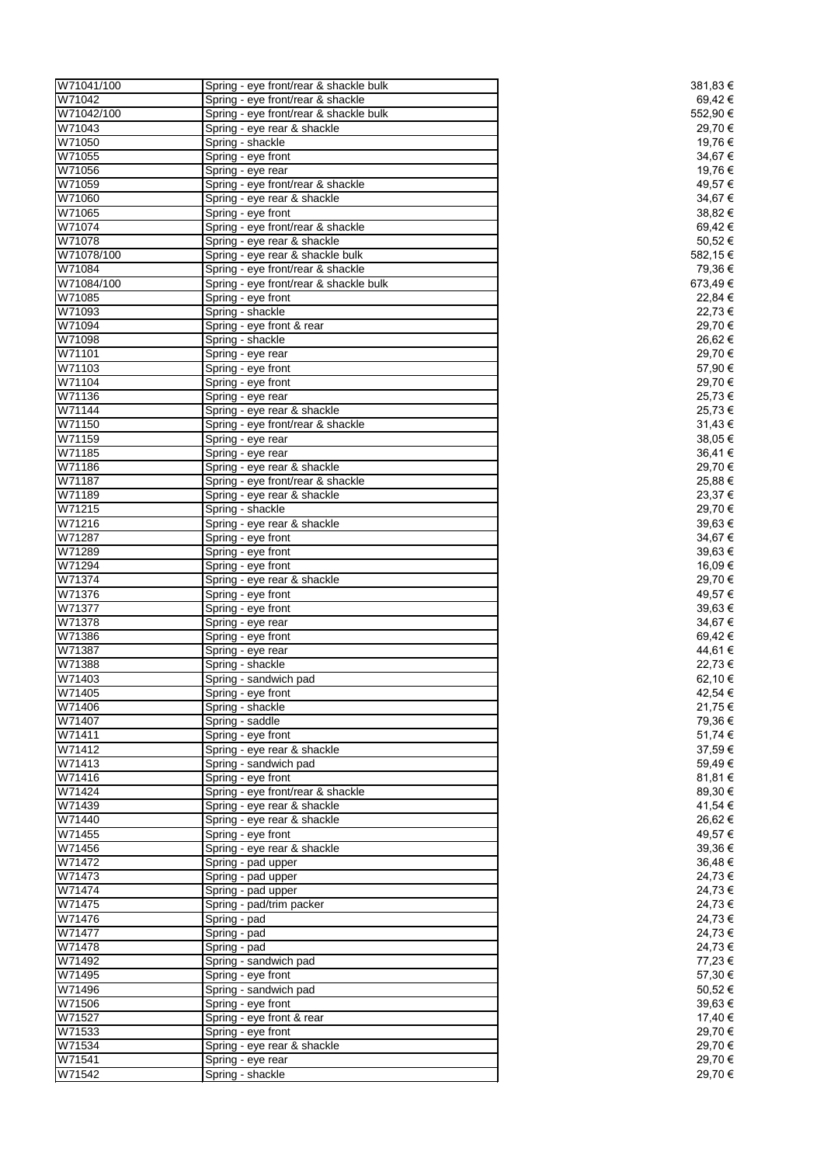| W71041/100       | Spring - eye front/rear & shackle bulk                           | 381,83 €           |
|------------------|------------------------------------------------------------------|--------------------|
| W71042           | Spring - eye front/rear & shackle                                | 69,42 €            |
| W71042/100       | Spring - eye front/rear & shackle bulk                           | 552,90 €           |
| W71043           | Spring - eye rear & shackle                                      | 29,70 €            |
| W71050           | Spring - shackle                                                 | 19,76 €            |
| W71055<br>W71056 | Spring - eye front                                               | 34,67 €<br>19,76 € |
| W71059           | Spring - eye rear<br>Spring - eye front/rear & shackle           | 49,57 €            |
| W71060           | Spring - eye rear & shackle                                      | 34,67 €            |
| W71065           | Spring - eye front                                               | 38,82 €            |
| W71074           | Spring - eye front/rear & shackle                                | 69,42 €            |
| W71078           | Spring - eye rear & shackle                                      | 50,52€             |
| W71078/100       | Spring - eye rear & shackle bulk                                 | 582,15€            |
| W71084           | Spring - eye front/rear & shackle                                | 79,36€             |
| W71084/100       | Spring - eye front/rear & shackle bulk                           | 673,49€            |
| W71085           | Spring - eye front                                               | 22,84 €            |
| W71093           | Spring - shackle                                                 | 22,73 €            |
| W71094           | Spring - eye front & rear                                        | 29,70 €            |
| W71098           | Spring - shackle                                                 | 26,62€             |
| W71101           | Spring - eye rear                                                | 29,70 €            |
| W71103           | Spring - eye front                                               | 57,90 €            |
| W71104           | Spring - eye front                                               | 29,70 €            |
| W71136           | Spring - eye rear                                                | 25,73€             |
| W71144           | Spring - eye rear & shackle                                      | 25,73€             |
| W71150           | Spring - eye front/rear & shackle                                | 31,43€             |
| W71159           | Spring - eye rear                                                | 38,05 €            |
| W71185<br>W71186 | Spring - eye rear                                                | 36,41€<br>29,70€   |
| W71187           | Spring - eye rear & shackle<br>Spring - eye front/rear & shackle | 25,88€             |
| W71189           | Spring - eye rear & shackle                                      | 23,37 €            |
| W71215           | Spring - shackle                                                 | 29,70 €            |
| W71216           | Spring - eye rear & shackle                                      | 39,63 €            |
| W71287           | Spring - eye front                                               | 34,67 €            |
| W71289           | Spring - eye front                                               | 39,63 €            |
| W71294           | Spring - eye front                                               | 16,09€             |
| W71374           | Spring - eye rear & shackle                                      | 29,70 €            |
| W71376           | Spring - eye front                                               | 49,57 €            |
| W71377           | Spring - eye front                                               | 39,63 €            |
| W71378           | Spring - eye rear                                                | 34,67 €            |
| W71386           | Spring - eye front                                               | 69,42€             |
| W71387           | Spring - eye rear                                                | 44,61 €            |
| W71388           | Spring - shackle                                                 | 22,73 €            |
| W71403           | Spring - sandwich pad                                            | 62,10 €            |
| W71405           | Spring - eye front                                               | 42,54 €            |
| W71406           | Spring - shackle                                                 | 21,75 €            |
| W71407<br>W71411 | Spring - saddle<br>Spring - eye front                            | 79,36 €<br>51,74 € |
| W71412           | Spring - eye rear & shackle                                      | 37,59€             |
| W71413           | Spring - sandwich pad                                            | 59,49€             |
| W71416           | Spring - eye front                                               | 81,81 €            |
| W71424           | Spring - eye front/rear & shackle                                | 89,30€             |
| W71439           | Spring - eye rear & shackle                                      | 41,54 €            |
| W71440           | Spring - eye rear & shackle                                      | 26,62€             |
| W71455           | Spring - eye front                                               | 49,57€             |
| W71456           | Spring - eye rear & shackle                                      | 39,36 €            |
| W71472           | Spring - pad upper                                               | 36,48€             |
| W71473           | Spring - pad upper                                               | 24,73 €            |
| W71474           | Spring - pad upper                                               | 24,73€             |
| W71475           | Spring - pad/trim packer                                         | 24,73 €            |
| W71476           | Spring - pad                                                     | 24,73 €            |
| W71477           | Spring - pad                                                     | 24,73 €            |
| W71478           | Spring - pad                                                     | 24,73 €            |
| W71492           | Spring - sandwich pad                                            | 77,23 €            |
| W71495           | Spring - eye front                                               | 57,30 €            |
| W71496           | Spring - sandwich pad                                            | 50,52€             |
| W71506           | Spring - eye front                                               | 39,63 €            |
| W71527           | Spring - eye front & rear                                        | 17,40 €            |
| W71533           | Spring - eye front                                               | 29,70 €            |
| W71534           | Spring - eye rear & shackle                                      | 29,70 €            |
| W71541           | Spring - eye rear                                                | 29,70 €            |
| W71542           | Spring - shackle                                                 | 29,70€             |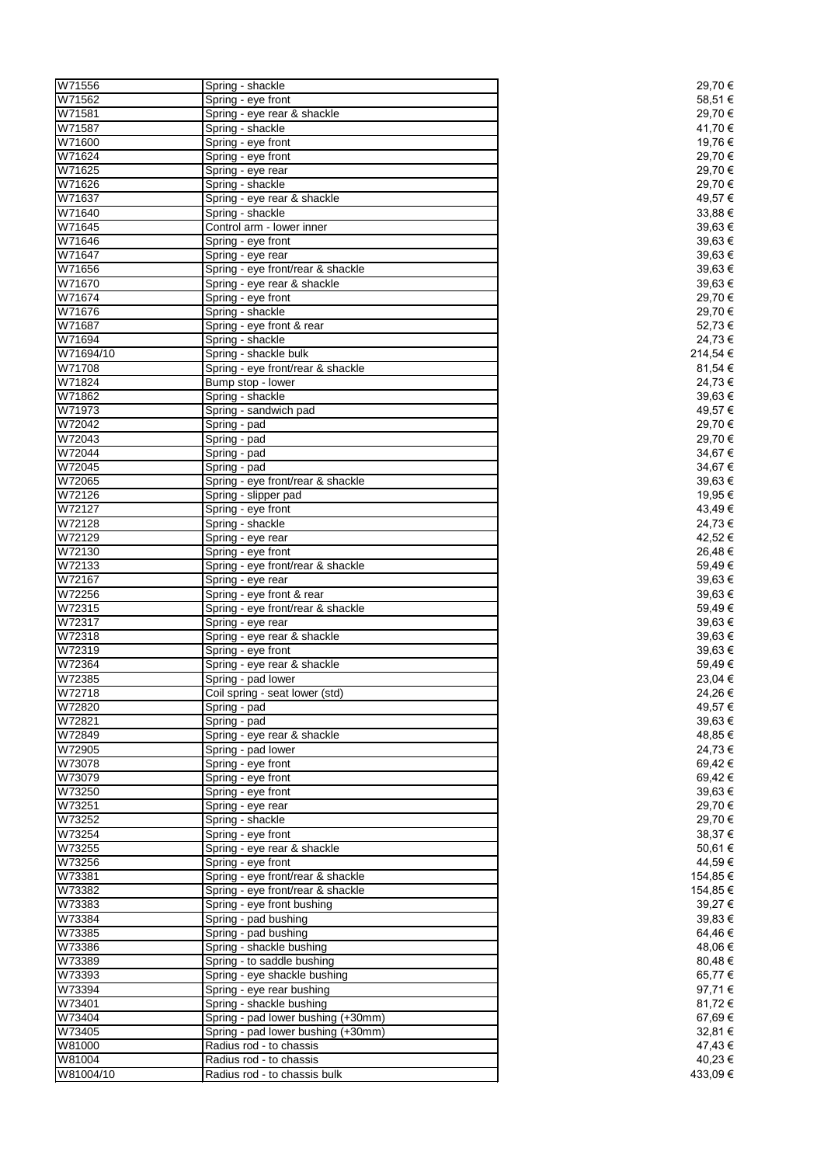| W71556    | Spring - shackle                   | 29,70€   |
|-----------|------------------------------------|----------|
| W71562    | Spring - eye front                 | 58,51€   |
| W71581    | Spring - eye rear & shackle        | 29,70€   |
| W71587    | Spring - shackle                   | 41,70 €  |
| W71600    | Spring - eye front                 | 19,76€   |
| W71624    | Spring - eye front                 | 29,70€   |
| W71625    | Spring - eye rear                  | 29,70€   |
| W71626    | Spring - shackle                   | 29,70€   |
| W71637    |                                    | 49,57€   |
|           | Spring - eye rear & shackle        |          |
| W71640    | Spring - shackle                   | 33,88 €  |
| W71645    | Control arm - lower inner          | 39,63€   |
| W71646    | Spring - eye front                 | 39,63 €  |
| W71647    | Spring - eye rear                  | 39,63€   |
| W71656    | Spring - eye front/rear & shackle  | 39,63€   |
| W71670    | Spring - eye rear & shackle        | 39,63€   |
| W71674    | Spring - eye front                 | 29,70 €  |
| W71676    | Spring - shackle                   | 29,70 €  |
| W71687    | Spring - eye front & rear          | 52,73€   |
| W71694    | Spring - shackle                   | 24,73 €  |
| W71694/10 | Spring - shackle bulk              | 214,54 € |
| W71708    | Spring - eye front/rear & shackle  | 81,54 €  |
| W71824    | Bump stop - lower                  | 24,73€   |
| W71862    | Spring - shackle                   | 39,63€   |
| W71973    | Spring - sandwich pad              | 49,57€   |
|           |                                    |          |
| W72042    | Spring - pad                       | 29,70€   |
| W72043    | Spring - pad                       | 29,70 €  |
| W72044    | Spring - pad                       | 34,67€   |
| W72045    | Spring - pad                       | 34,67€   |
| W72065    | Spring - eye front/rear & shackle  | 39,63€   |
| W72126    | Spring - slipper pad               | 19,95€   |
| W72127    | Spring - eye front                 | 43,49€   |
| W72128    | Spring - shackle                   | 24,73€   |
| W72129    | Spring - eye rear                  | 42,52 €  |
| W72130    | Spring - eye front                 | 26,48€   |
| W72133    | Spring - eye front/rear & shackle  | 59,49€   |
| W72167    | Spring - eye rear                  | 39,63€   |
| W72256    | Spring - eye front & rear          | 39,63€   |
| W72315    | Spring - eye front/rear & shackle  | 59,49€   |
| W72317    |                                    | 39,63€   |
|           | Spring - eye rear                  |          |
| W72318    | Spring - eye rear & shackle        | 39,63€   |
| W72319    | Spring - eye front                 | 39,63€   |
| W72364    | Spring - eye rear & shackle        | 59,49€   |
| W72385    | Spring - pad lower                 | 23,04 €  |
| W72718    | Coil spring - seat lower (std)     | 24,26€   |
| W72820    | Spring - pad                       | 49,57€   |
| W72821    | Spring - pad                       | 39,63€   |
| W72849    | Spring - eye rear & shackle        | 48,85€   |
| W72905    | Spring - pad lower                 | 24,73€   |
| W73078    | Spring - eye front                 | 69,42€   |
| W73079    | Spring - eye front                 | 69,42€   |
| W73250    | Spring - eye front                 | 39,63€   |
| W73251    | Spring - eye rear                  | 29,70€   |
| W73252    | Spring - shackle                   | 29,70 €  |
| W73254    | Spring - eye front                 | 38,37€   |
| W73255    | Spring - eye rear & shackle        | 50,61€   |
| W73256    | Spring - eye front                 | 44,59€   |
|           | Spring - eye front/rear & shackle  | 154,85€  |
| W73381    |                                    |          |
| W73382    | Spring - eye front/rear & shackle  | 154,85€  |
| W73383    | Spring - eye front bushing         | 39,27€   |
| W73384    | Spring - pad bushing               | 39,83 €  |
| W73385    | Spring - pad bushing               | 64,46€   |
| W73386    | Spring - shackle bushing           | 48,06€   |
| W73389    | Spring - to saddle bushing         | 80,48€   |
| W73393    | Spring - eye shackle bushing       | 65,77€   |
| W73394    | Spring - eye rear bushing          | 97,71€   |
| W73401    | Spring - shackle bushing           | 81,72€   |
| W73404    | Spring - pad lower bushing (+30mm) | 67,69€   |
| W73405    | Spring - pad lower bushing (+30mm) | 32,81 €  |
| W81000    | Radius rod - to chassis            | 47,43€   |
| W81004    | Radius rod - to chassis            | 40,23 €  |
|           |                                    |          |
| W81004/10 | Radius rod - to chassis bulk       | 433,09€  |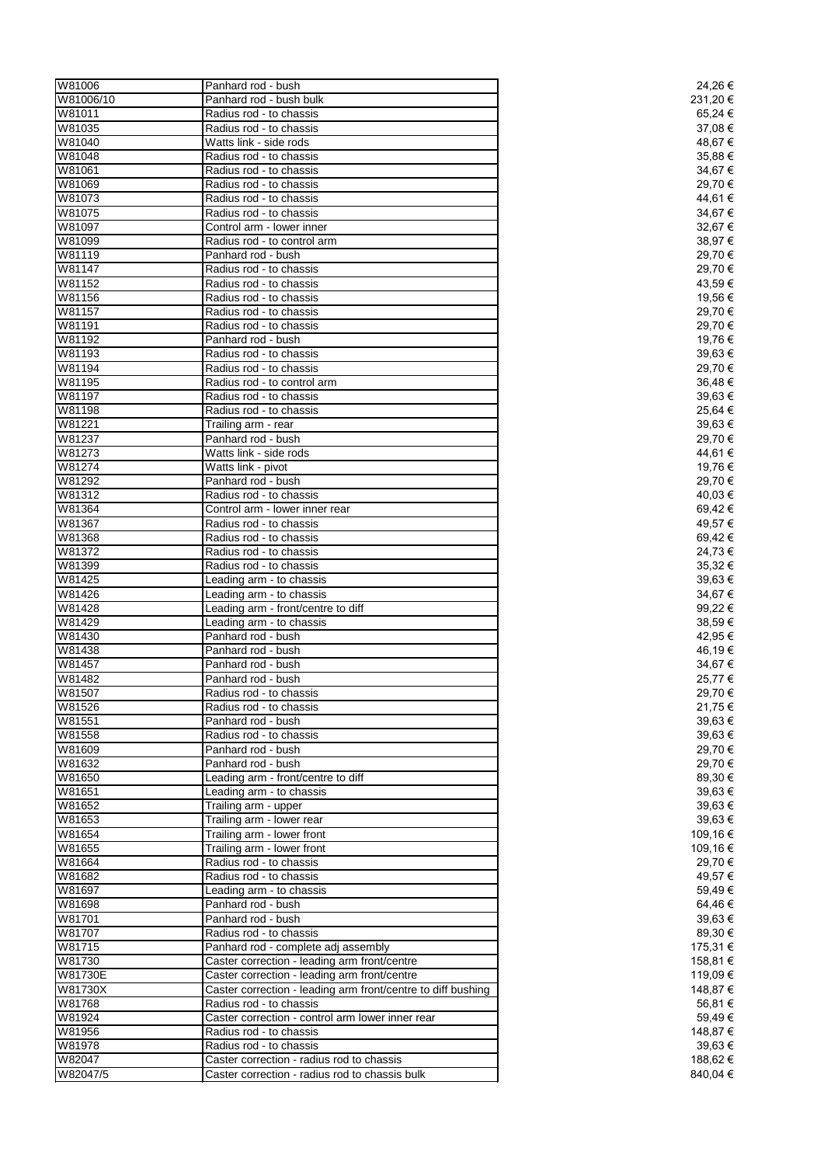| W81006    | Panhard rod - bush                                           | 24,26€   |
|-----------|--------------------------------------------------------------|----------|
| W81006/10 | Panhard rod - bush bulk                                      | 231,20 € |
| W81011    | Radius rod - to chassis                                      | 65,24 €  |
| W81035    | Radius rod - to chassis                                      | 37,08 €  |
| W81040    | Watts link - side rods                                       | 48,67 €  |
| W81048    | Radius rod - to chassis                                      | 35,88€   |
| W81061    | Radius rod - to chassis                                      | 34,67 €  |
| W81069    | Radius rod - to chassis                                      | 29,70 €  |
| W81073    | Radius rod - to chassis                                      | 44,61 €  |
| W81075    | Radius rod - to chassis                                      | 34,67€   |
| W81097    | Control arm - lower inner                                    | 32,67€   |
| W81099    | Radius rod - to control arm                                  | 38,97 €  |
| W81119    | Panhard rod - bush                                           | 29,70 €  |
| W81147    | Radius rod - to chassis                                      | 29,70 €  |
| W81152    | Radius rod - to chassis                                      | 43,59€   |
| W81156    | Radius rod - to chassis                                      | 19,56 €  |
| W81157    | Radius rod - to chassis                                      | 29,70 €  |
| W81191    | Radius rod - to chassis                                      | 29,70 €  |
| W81192    | Panhard rod - bush                                           | 19,76€   |
| W81193    |                                                              |          |
|           | Radius rod - to chassis                                      | 39,63€   |
| W81194    | Radius rod - to chassis                                      | 29,70 €  |
| W81195    | Radius rod - to control arm                                  | 36,48€   |
| W81197    | Radius rod - to chassis                                      | 39,63€   |
| W81198    | Radius rod - to chassis                                      | 25,64 €  |
| W81221    | Trailing arm - rear                                          | 39,63 €  |
| W81237    | Panhard rod - bush                                           | 29,70 €  |
| W81273    | Watts link - side rods                                       | 44,61 €  |
| W81274    | Watts link - pivot                                           | 19,76€   |
| W81292    | Panhard rod - bush                                           | 29,70 €  |
| W81312    | Radius rod - to chassis                                      | 40,03 €  |
| W81364    | Control arm - lower inner rear                               | 69,42 €  |
| W81367    | Radius rod - to chassis                                      | 49,57 €  |
| W81368    | Radius rod - to chassis                                      | 69,42€   |
| W81372    | Radius rod - to chassis                                      | 24,73 €  |
| W81399    | Radius rod - to chassis                                      | 35,32€   |
| W81425    | Leading arm - to chassis                                     | 39,63€   |
|           |                                                              |          |
| W81426    | Leading arm - to chassis                                     | 34,67 €  |
| W81428    | Leading arm - front/centre to diff                           | 99,22 €  |
| W81429    | Leading arm - to chassis                                     | 38,59€   |
| W81430    | Panhard rod - bush                                           | 42,95 €  |
| W81438    | Panhard rod - bush                                           | 46,19€   |
| W81457    | Panhard rod - bush                                           | 34,67 €  |
| W81482    | Panhard rod - bush                                           | 25,77€   |
| W81507    | Radius rod - to chassis                                      | 29,70 €  |
| W81526    | Radius rod - to chassis                                      | 21,75€   |
| W81551    | Panhard rod - bush                                           | 39,63€   |
| W81558    | Radius rod - to chassis                                      | 39,63 €  |
| W81609    | Panhard rod - bush                                           | 29,70 €  |
| W81632    | Panhard rod - bush                                           | 29,70 €  |
| W81650    | Leading arm - front/centre to diff                           | 89,30€   |
| W81651    | Leading arm - to chassis                                     | 39,63€   |
| W81652    | Trailing arm - upper                                         | 39,63 €  |
| W81653    | Trailing arm - lower rear                                    | 39,63 €  |
| W81654    | Trailing arm - lower front                                   | 109,16 € |
| W81655    | Trailing arm - lower front                                   | 109,16 € |
| W81664    | Radius rod - to chassis                                      | 29,70 €  |
|           |                                                              |          |
| W81682    | Radius rod - to chassis                                      | 49,57 €  |
| W81697    | Leading arm - to chassis                                     | 59,49€   |
| W81698    | Panhard rod - bush                                           | 64,46€   |
| W81701    | Panhard rod - bush                                           | 39,63 €  |
| W81707    | Radius rod - to chassis                                      | 89,30€   |
| W81715    | Panhard rod - complete adj assembly                          | 175,31 € |
| W81730    | Caster correction - leading arm front/centre                 | 158,81 € |
| W81730E   | Caster correction - leading arm front/centre                 | 119,09€  |
| W81730X   | Caster correction - leading arm front/centre to diff bushing | 148,87 € |
| W81768    | Radius rod - to chassis                                      | 56,81 €  |
| W81924    | Caster correction - control arm lower inner rear             | 59,49€   |
| W81956    | Radius rod - to chassis                                      | 148,87 € |
| W81978    | Radius rod - to chassis                                      | 39,63 €  |
| W82047    | Caster correction - radius rod to chassis                    | 188,62 € |
| W82047/5  | Caster correction - radius rod to chassis bulk               | 840,04 € |
|           |                                                              |          |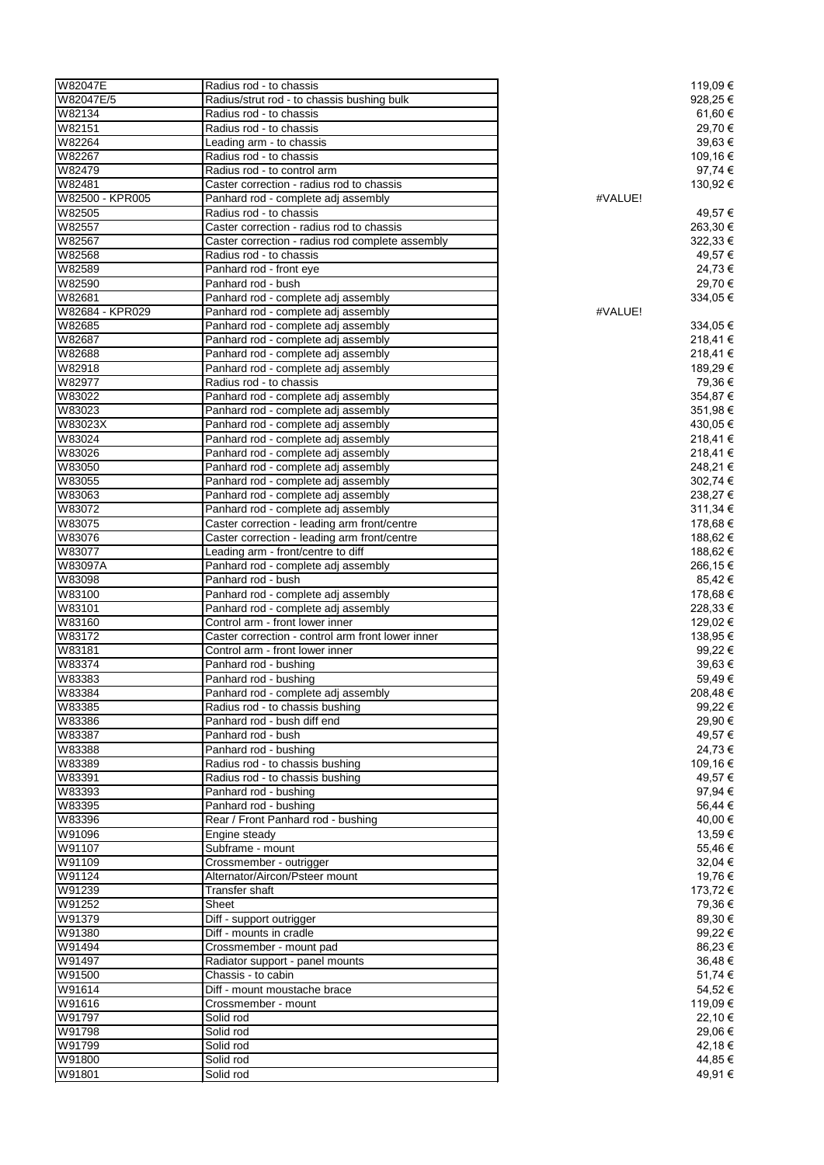| W82047E          | Radius rod - to chassis                                                    |         | 119,09 €             |
|------------------|----------------------------------------------------------------------------|---------|----------------------|
| W82047E/5        | Radius/strut rod - to chassis bushing bulk                                 |         | 928,25€              |
| W82134           | Radius rod - to chassis                                                    |         | 61,60 €              |
| W82151           | Radius rod - to chassis                                                    |         | 29,70 €              |
| W82264           | Leading arm - to chassis                                                   |         | 39,63 €              |
| W82267           | Radius rod - to chassis                                                    |         | 109,16 €             |
| W82479<br>W82481 | Radius rod - to control arm<br>Caster correction - radius rod to chassis   |         | 97,74 €<br>130,92 €  |
| W82500 - KPR005  | Panhard rod - complete adj assembly                                        | #VALUE! |                      |
| W82505           | Radius rod - to chassis                                                    |         | 49,57 €              |
| W82557           | Caster correction - radius rod to chassis                                  |         | 263,30 €             |
| W82567           | Caster correction - radius rod complete assembly                           |         | 322,33 €             |
| W82568           | Radius rod - to chassis                                                    |         | 49,57 €              |
| W82589           | Panhard rod - front eye                                                    |         | 24,73 €              |
| W82590           | Panhard rod - bush                                                         |         | 29,70 €              |
| W82681           | Panhard rod - complete adj assembly                                        |         | 334,05€              |
| W82684 - KPR029  | Panhard rod - complete adj assembly                                        | #VALUE! |                      |
| W82685           | Panhard rod - complete adj assembly                                        |         | 334,05 €             |
| W82687           | Panhard rod - complete adj assembly                                        |         | 218,41€              |
| W82688           | Panhard rod - complete adj assembly                                        |         | 218,41€              |
| W82918           | Panhard rod - complete adj assembly                                        |         | 189,29 €             |
| W82977           | Radius rod - to chassis                                                    |         | 79,36 €              |
| W83022<br>W83023 | Panhard rod - complete adj assembly                                        |         | 354,87€              |
| W83023X          | Panhard rod - complete adj assembly<br>Panhard rod - complete adj assembly |         | 351,98 €<br>430,05 € |
| W83024           | Panhard rod - complete adj assembly                                        |         | 218,41€              |
| W83026           | Panhard rod - complete adj assembly                                        |         | 218,41€              |
| W83050           | Panhard rod - complete adj assembly                                        |         | 248,21€              |
| W83055           | Panhard rod - complete adj assembly                                        |         | 302,74 €             |
| W83063           | Panhard rod - complete adj assembly                                        |         | 238,27 €             |
| W83072           | Panhard rod - complete adj assembly                                        |         | 311,34 €             |
| W83075           | Caster correction - leading arm front/centre                               |         | 178,68 €             |
| W83076           | Caster correction - leading arm front/centre                               |         | 188,62 €             |
| W83077           | Leading arm - front/centre to diff                                         |         | 188,62 €             |
| W83097A          | Panhard rod - complete adj assembly                                        |         | 266,15€              |
| W83098           | Panhard rod - bush                                                         |         | 85,42€               |
| W83100           | Panhard rod - complete adj assembly                                        |         | 178,68 €             |
| W83101           | Panhard rod - complete adj assembly                                        |         | 228,33 €             |
| W83160           | Control arm - front lower inner                                            |         | 129,02 €             |
| W83172           | Caster correction - control arm front lower inner                          |         | 138,95 €             |
| W83181<br>W83374 | Control arm - front lower inner<br>Panhard rod - bushing                   |         | 99,22 €              |
| W83383           | Panhard rod - bushing                                                      |         | 39,63€<br>59,49€     |
| W83384           | Panhard rod - complete adj assembly                                        |         | 208,48€              |
| W83385           | Radius rod - to chassis bushing                                            |         | 99,22 €              |
| W83386           | Panhard rod - bush diff end                                                |         | 29,90 €              |
| W83387           | Panhard rod - bush                                                         |         | 49,57€               |
| W83388           | Panhard rod - bushing                                                      |         | 24,73€               |
| W83389           | Radius rod - to chassis bushing                                            |         | 109,16 €             |
| W83391           | Radius rod - to chassis bushing                                            |         | 49,57€               |
| W83393           | Panhard rod - bushing                                                      |         | 97,94 €              |
| W83395           | Panhard rod - bushing                                                      |         | 56,44 €              |
| W83396           | Rear / Front Panhard rod - bushing                                         |         | 40,00 €              |
| W91096           | Engine steady                                                              |         | 13,59€               |
| W91107           | Subframe - mount                                                           |         | 55,46€               |
| W91109           | Crossmember - outrigger                                                    |         | 32,04 €              |
| W91124           | Alternator/Aircon/Psteer mount                                             |         | 19,76 €              |
| W91239           | Transfer shaft                                                             |         | 173,72 €             |
| W91252           | Sheet                                                                      |         | 79,36 €              |
| W91379<br>W91380 | Diff - support outrigger<br>Diff - mounts in cradle                        |         | 89,30 €<br>99,22 €   |
| W91494           | Crossmember - mount pad                                                    |         | 86,23€               |
| W91497           | Radiator support - panel mounts                                            |         | 36,48€               |
| W91500           | Chassis - to cabin                                                         |         | 51,74 €              |
| W91614           | Diff - mount moustache brace                                               |         | 54,52€               |
| W91616           | Crossmember - mount                                                        |         | 119,09 €             |
| W91797           | Solid rod                                                                  |         | 22,10 €              |
| W91798           | Solid rod                                                                  |         | 29,06 €              |
| W91799           | Solid rod                                                                  |         | 42,18€               |
| W91800           | Solid rod                                                                  |         | 44,85€               |
| W91801           | Solid rod                                                                  |         | 49,91€               |
|                  |                                                                            |         |                      |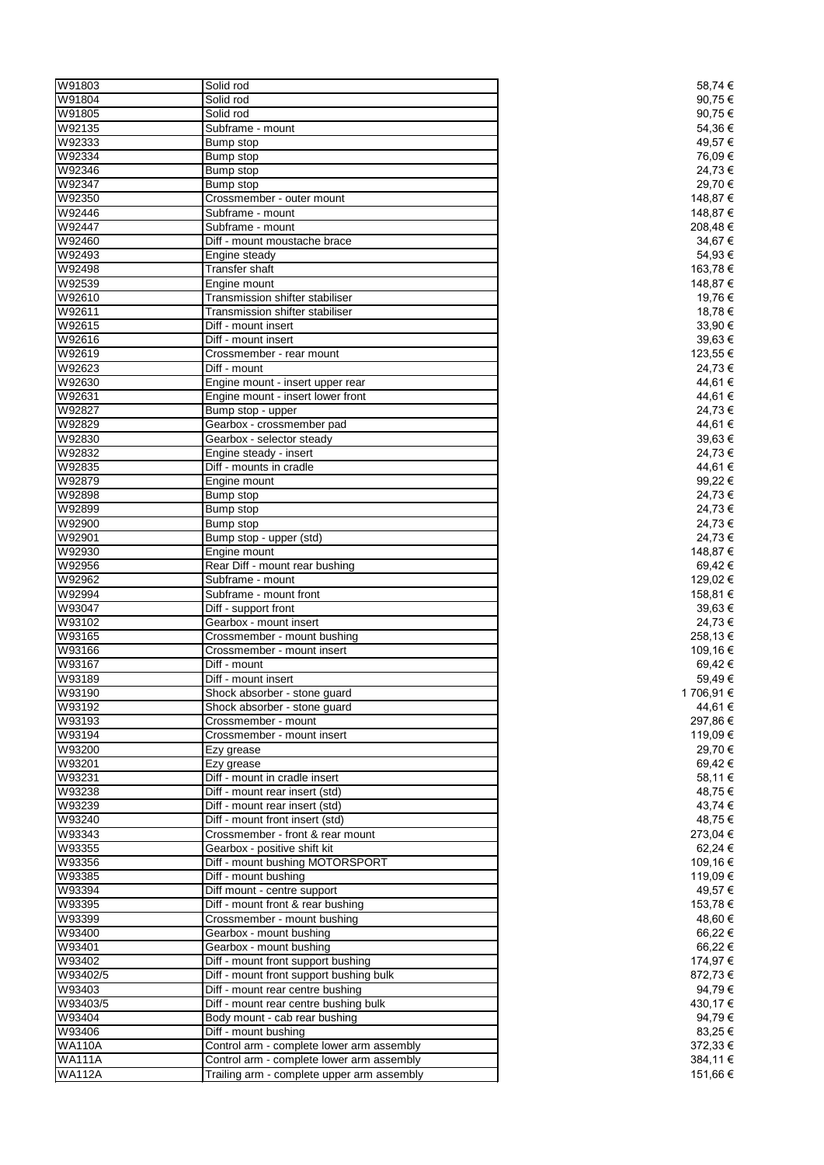| W91803        | Solid rod                                  | 58,74 €    |
|---------------|--------------------------------------------|------------|
| W91804        | Solid rod                                  | 90,75€     |
| W91805        | Solid rod                                  | 90,75€     |
|               |                                            |            |
| W92135        | Subframe - mount                           | 54,36€     |
| W92333        | Bump stop                                  | 49,57€     |
| W92334        | Bump stop                                  | 76,09€     |
| W92346        | Bump stop                                  | 24,73€     |
| W92347        | Bump stop                                  | 29,70 €    |
| W92350        | Crossmember - outer mount                  | 148,87 €   |
| W92446        | Subframe - mount                           | 148,87 €   |
| W92447        | Subframe - mount                           | 208,48€    |
|               |                                            |            |
| W92460        | Diff - mount moustache brace               | 34,67€     |
| W92493        | Engine steady                              | 54,93 €    |
| W92498        | <b>Transfer shaft</b>                      | 163,78 €   |
| W92539        | Engine mount                               | 148,87 €   |
| W92610        | Transmission shifter stabiliser            | 19,76€     |
| W92611        | Transmission shifter stabiliser            | 18,78€     |
| W92615        | Diff - mount insert                        | 33,90 €    |
| W92616        | Diff - mount insert                        | 39,63€     |
| W92619        | Crossmember - rear mount                   | 123,55 €   |
|               |                                            |            |
| W92623        | Diff - mount                               | 24,73€     |
| W92630        | Engine mount - insert upper rear           | 44,61€     |
| W92631        | Engine mount - insert lower front          | 44,61 €    |
| W92827        | Bump stop - upper                          | 24,73€     |
| W92829        | Gearbox - crossmember pad                  | 44,61 €    |
| W92830        | Gearbox - selector steady                  | 39,63€     |
| W92832        | Engine steady - insert                     | 24,73€     |
| W92835        | Diff - mounts in cradle                    | 44,61 €    |
| W92879        |                                            |            |
|               | Engine mount                               | 99,22€     |
| W92898        | Bump stop                                  | 24,73€     |
| W92899        | Bump stop                                  | 24,73€     |
| W92900        | Bump stop                                  | 24,73€     |
| W92901        | Bump stop - upper (std)                    | 24,73 €    |
| W92930        | Engine mount                               | 148,87 €   |
| W92956        | Rear Diff - mount rear bushing             | 69,42€     |
| W92962        | Subframe - mount                           | 129,02€    |
| W92994        | Subframe - mount front                     | 158,81 €   |
|               |                                            |            |
| W93047        | Diff - support front                       | 39,63 €    |
| W93102        | Gearbox - mount insert                     | 24,73€     |
| W93165        | Crossmember - mount bushing                | 258,13€    |
| W93166        | Crossmember - mount insert                 | 109,16€    |
| W93167        | Diff - mount                               | 69,42€     |
| W93189        | Diff - mount insert                        | 59,49€     |
| W93190        | Shock absorber - stone guard               | 1 706,91 € |
| W93192        | Shock absorber - stone guard               | 44,61 €    |
| W93193        | Crossmember - mount                        | 297,86€    |
| W93194        |                                            |            |
|               | Crossmember - mount insert                 | 119,09€    |
| W93200        | Ezy grease                                 | 29,70 €    |
| W93201        | Ezy grease                                 | 69,42€     |
| W93231        | Diff - mount in cradle insert              | 58,11 €    |
| W93238        | Diff - mount rear insert (std)             | 48,75€     |
| W93239        | Diff - mount rear insert (std)             | 43,74 €    |
| W93240        | Diff - mount front insert (std)            | 48,75 €    |
| W93343        | Crossmember - front & rear mount           | 273,04 €   |
| W93355        | Gearbox - positive shift kit               | 62,24 €    |
| W93356        | Diff - mount bushing MOTORSPORT            | 109,16 €   |
| W93385        | Diff - mount bushing                       | 119,09€    |
|               |                                            |            |
| W93394        | Diff mount - centre support                | 49,57 €    |
| W93395        | Diff - mount front & rear bushing          | 153,78€    |
| W93399        | Crossmember - mount bushing                | 48,60 €    |
| W93400        | Gearbox - mount bushing                    | 66,22 €    |
| W93401        | Gearbox - mount bushing                    | 66,22€     |
| W93402        | Diff - mount front support bushing         | 174,97 €   |
| W93402/5      | Diff - mount front support bushing bulk    | 872,73€    |
| W93403        | Diff - mount rear centre bushing           | 94,79€     |
| W93403/5      | Diff - mount rear centre bushing bulk      | 430,17€    |
|               |                                            |            |
| W93404        | Body mount - cab rear bushing              | 94,79€     |
| W93406        | Diff - mount bushing                       | 83,25€     |
| <b>WA110A</b> | Control arm - complete lower arm assembly  | 372,33 €   |
| <b>WA111A</b> | Control arm - complete lower arm assembly  | 384,11 €   |
| <b>WA112A</b> | Trailing arm - complete upper arm assembly | 151,66 €   |
|               |                                            |            |